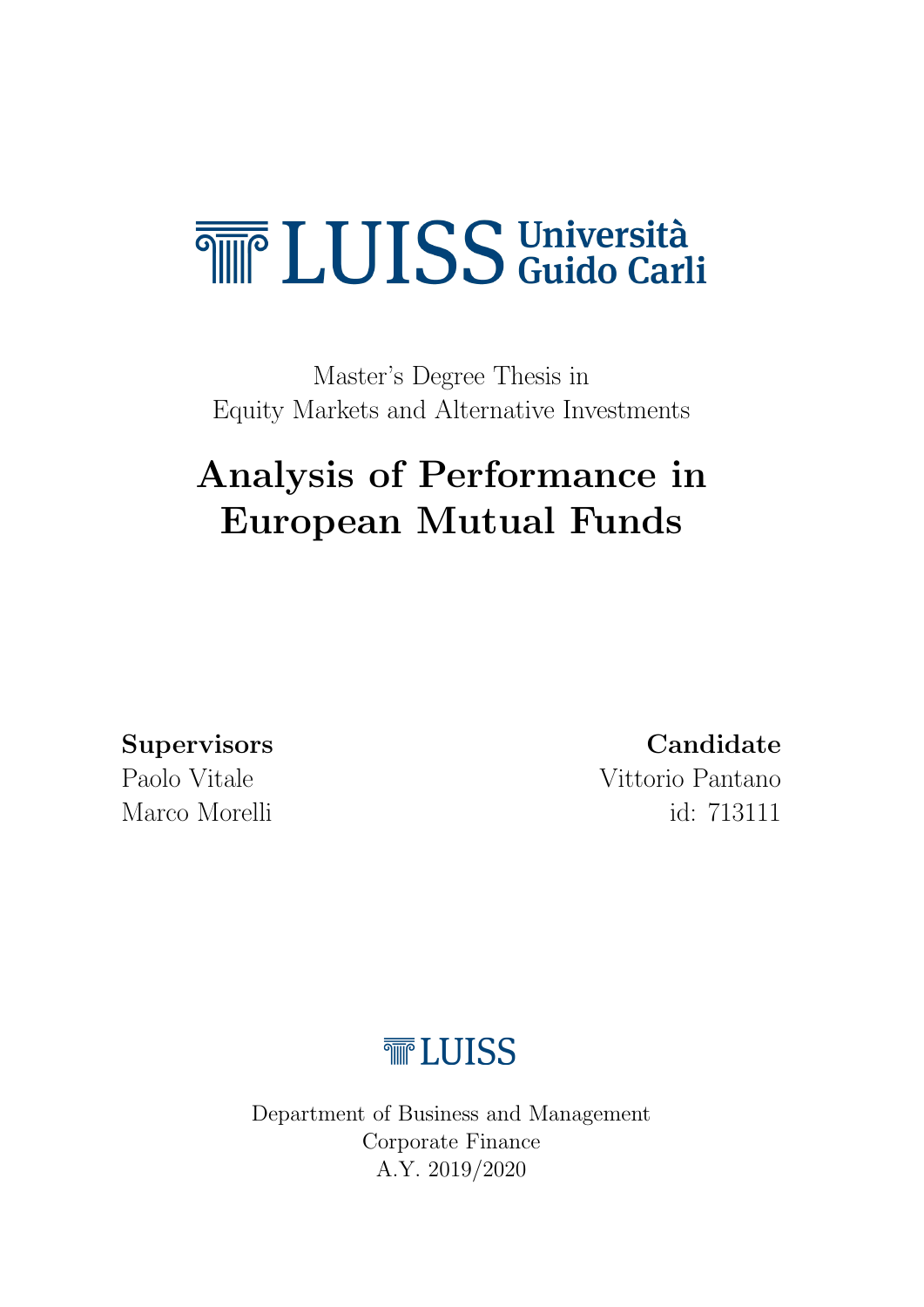# <span id="page-0-0"></span>**THE LUISS** Università

Master's Degree Thesis in Equity Markets and Alternative Investments

# Analysis of Performance in European Mutual Funds

### Supervisors Candidate

Paolo Vitale Vittorio Pantano Marco Morelli id: 713111

# **TELUISS**

Department of Business and Management Corporate Finance A.Y. 2019/2020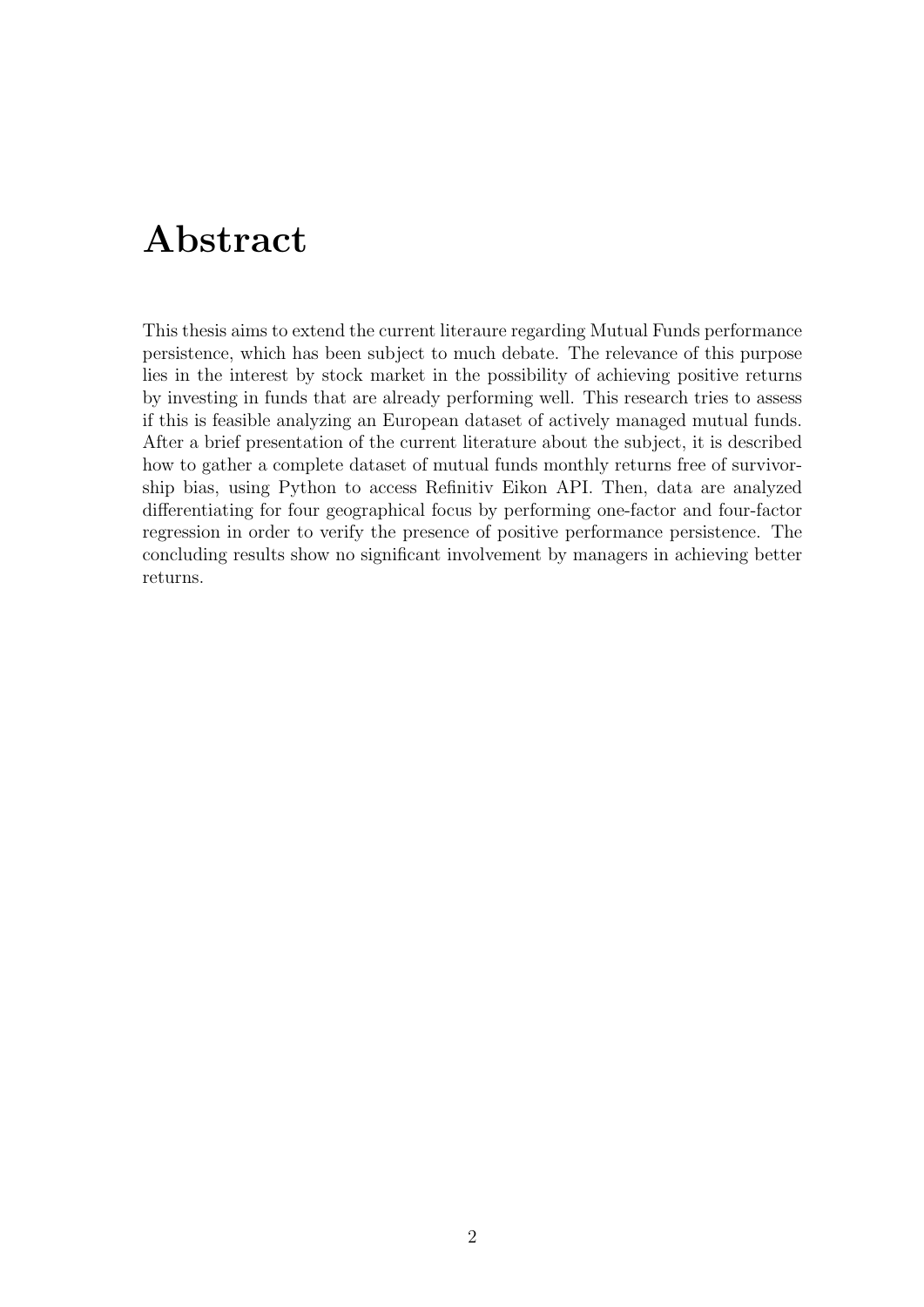### Abstract

This thesis aims to extend the current literaure regarding Mutual Funds performance persistence, which has been subject to much debate. The relevance of this purpose lies in the interest by stock market in the possibility of achieving positive returns by investing in funds that are already performing well. This research tries to assess if this is feasible analyzing an European dataset of actively managed mutual funds. After a brief presentation of the current literature about the subject, it is described how to gather a complete dataset of mutual funds monthly returns free of survivorship bias, using Python to access Refinitiv Eikon API. Then, data are analyzed differentiating for four geographical focus by performing one-factor and four-factor regression in order to verify the presence of positive performance persistence. The concluding results show no significant involvement by managers in achieving better returns.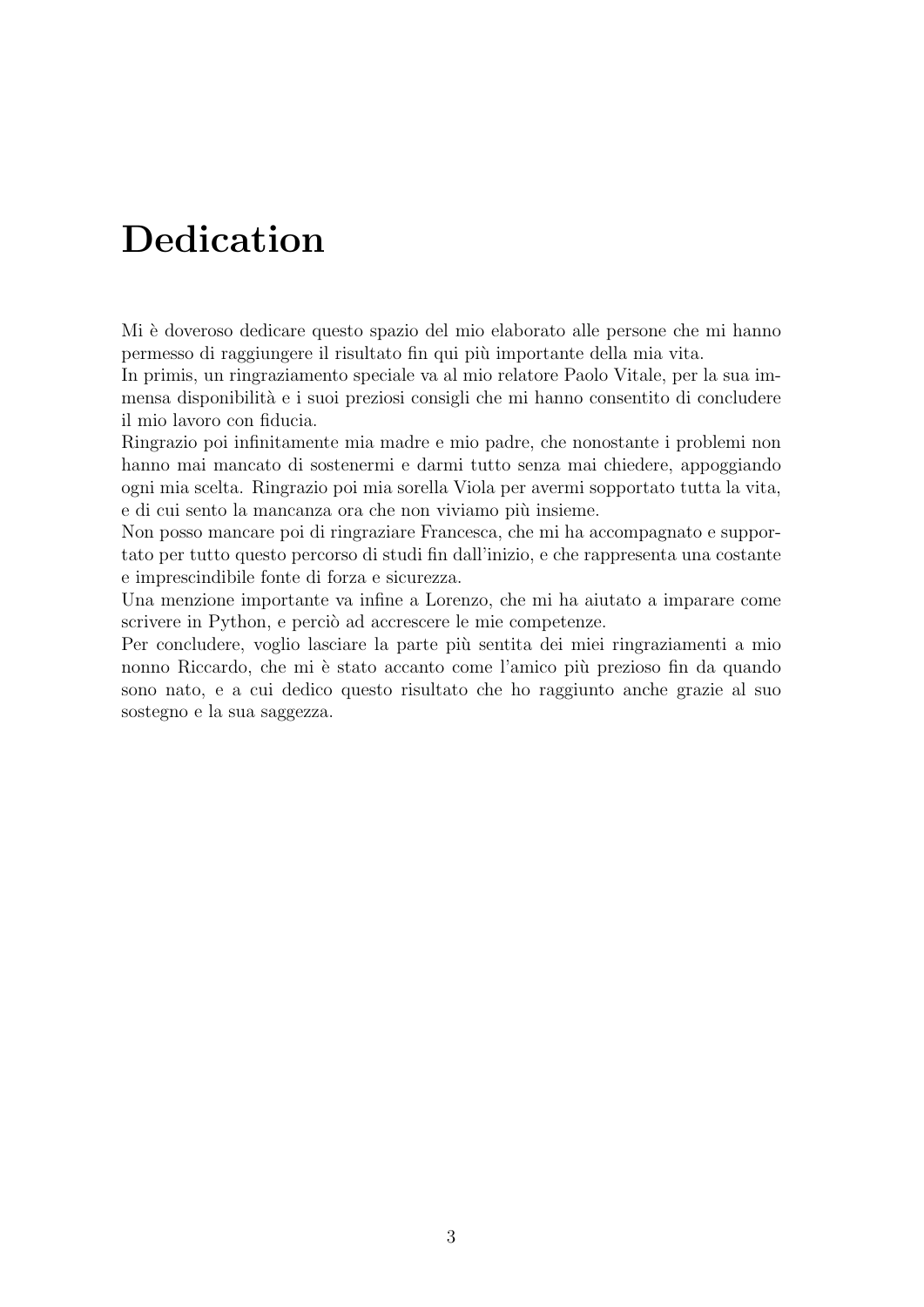# Dedication

Mi è doveroso dedicare questo spazio del mio elaborato alle persone che mi hanno permesso di raggiungere il risultato fin qui più importante della mia vita.

In primis, un ringraziamento speciale va al mio relatore Paolo Vitale, per la sua immensa disponibilità e i suoi preziosi consigli che mi hanno consentito di concludere il mio lavoro con fiducia.

Ringrazio poi infinitamente mia madre e mio padre, che nonostante i problemi non hanno mai mancato di sostenermi e darmi tutto senza mai chiedere, appoggiando ogni mia scelta. Ringrazio poi mia sorella Viola per avermi sopportato tutta la vita, e di cui sento la mancanza ora che non viviamo più insieme.

Non posso mancare poi di ringraziare Francesca, che mi ha accompagnato e supportato per tutto questo percorso di studi fin dall'inizio, e che rappresenta una costante e imprescindibile fonte di forza e sicurezza.

Una menzione importante va infine a Lorenzo, che mi ha aiutato a imparare come scrivere in Python, e perciò ad accrescere le mie competenze.

Per concludere, voglio lasciare la parte più sentita dei miei ringraziamenti a mio nonno Riccardo, che mi è stato accanto come l'amico più prezioso fin da quando sono nato, e a cui dedico questo risultato che ho raggiunto anche grazie al suo sostegno e la sua saggezza.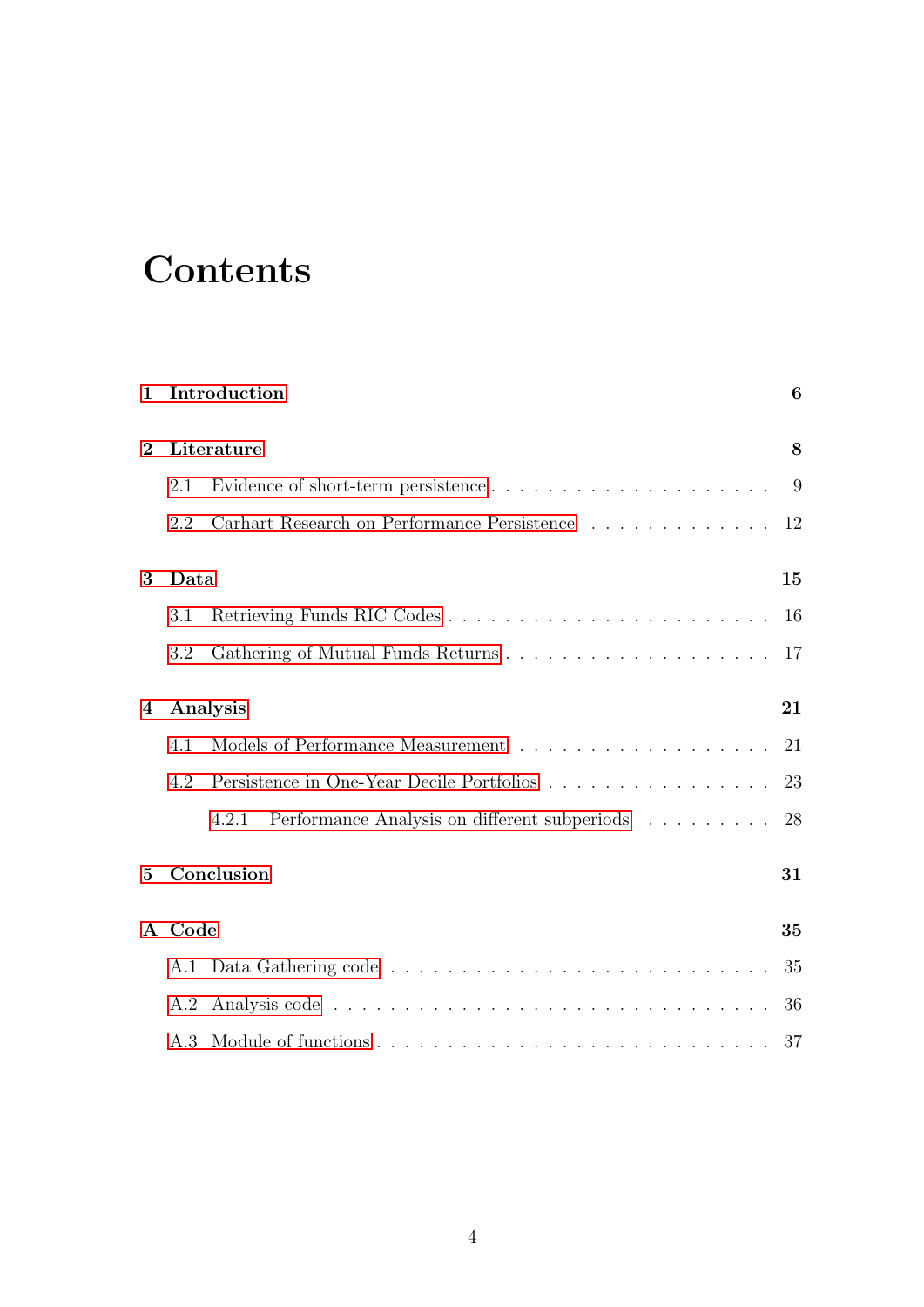# **Contents**

| $\mathbf{1}$ | Introduction |                                                       |    |  |  |  |  |  |  |  |  |  |
|--------------|--------------|-------------------------------------------------------|----|--|--|--|--|--|--|--|--|--|
| $\bf{2}$     |              | Literature                                            |    |  |  |  |  |  |  |  |  |  |
|              | 2.1          |                                                       | 9  |  |  |  |  |  |  |  |  |  |
|              | 2.2          | Carhart Research on Performance Persistence           | 12 |  |  |  |  |  |  |  |  |  |
| 3            | Data         |                                                       | 15 |  |  |  |  |  |  |  |  |  |
|              | 3.1          |                                                       | 16 |  |  |  |  |  |  |  |  |  |
|              | 3.2          |                                                       | 17 |  |  |  |  |  |  |  |  |  |
| 4            |              | Analysis                                              | 21 |  |  |  |  |  |  |  |  |  |
|              | 4.1          |                                                       | 21 |  |  |  |  |  |  |  |  |  |
|              | 4.2          | Persistence in One-Year Decile Portfolios             | 23 |  |  |  |  |  |  |  |  |  |
|              |              | Performance Analysis on different subperiods<br>4.2.1 | 28 |  |  |  |  |  |  |  |  |  |
| $\mathbf{5}$ |              | Conclusion                                            | 31 |  |  |  |  |  |  |  |  |  |
|              | A Code       |                                                       | 35 |  |  |  |  |  |  |  |  |  |
|              |              |                                                       | 35 |  |  |  |  |  |  |  |  |  |
|              | A.2          |                                                       | 36 |  |  |  |  |  |  |  |  |  |
|              |              |                                                       | 37 |  |  |  |  |  |  |  |  |  |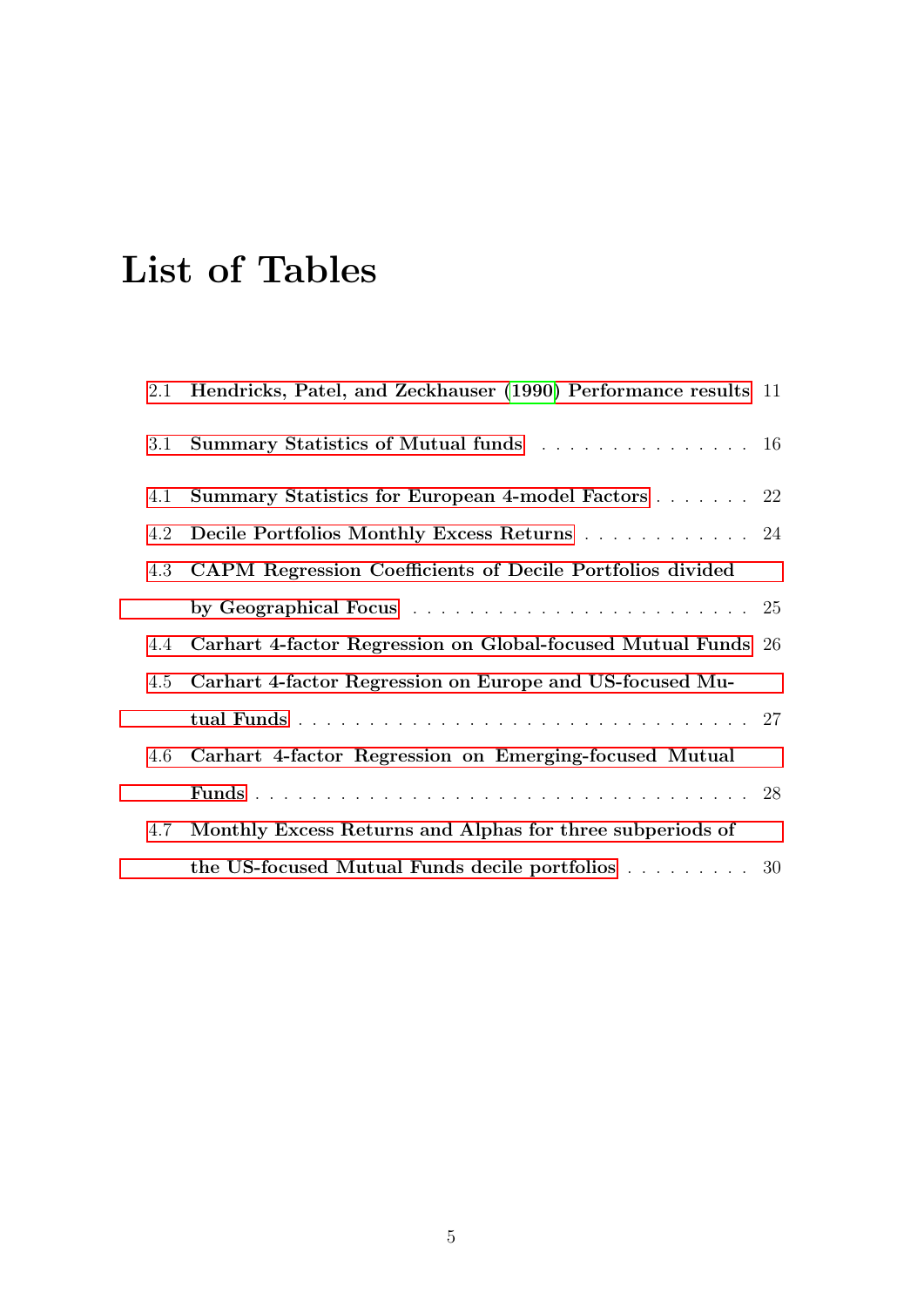# List of Tables

|     | 2.1 Hendricks, Patel, and Zeckhauser (1990) Performance results 11 |  |
|-----|--------------------------------------------------------------------|--|
| 3.1 | Summary Statistics of Mutual funds 16                              |  |
| 4.1 | Summary Statistics for European 4-model Factors 22                 |  |
|     | 4.2 Decile Portfolios Monthly Excess Returns 24                    |  |
|     | 4.3 CAPM Regression Coefficients of Decile Portfolios divided      |  |
|     |                                                                    |  |
|     | 4.4 Carhart 4-factor Regression on Global-focused Mutual Funds 26  |  |
|     | 4.5 Carhart 4-factor Regression on Europe and US-focused Mu-       |  |
|     |                                                                    |  |
|     | 4.6 Carhart 4-factor Regression on Emerging-focused Mutual         |  |
|     |                                                                    |  |
| 4.7 | Monthly Excess Returns and Alphas for three subperiods of          |  |
|     | the US-focused Mutual Funds decile portfolios 30                   |  |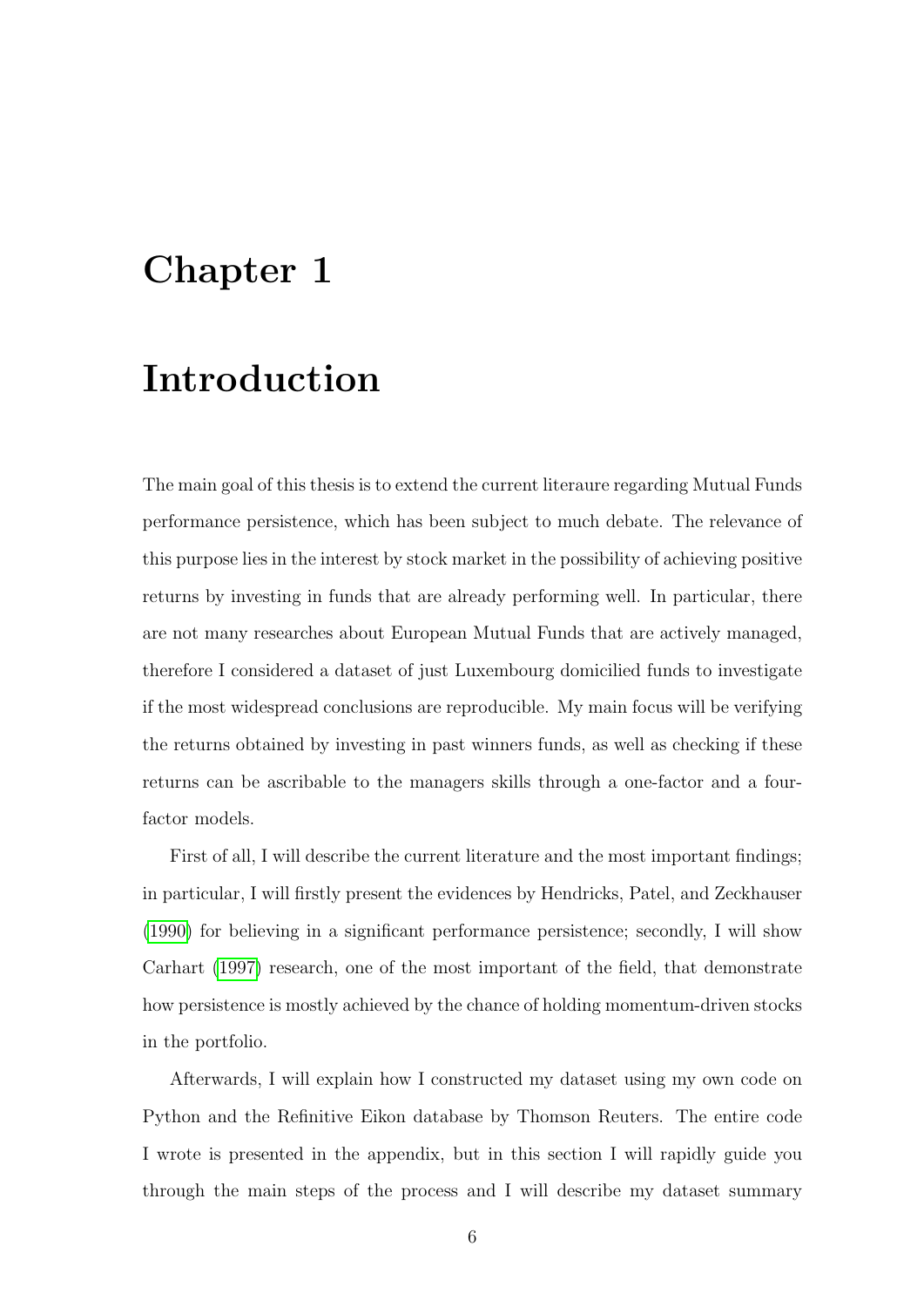### <span id="page-5-0"></span>Chapter 1

# Introduction

The main goal of this thesis is to extend the current literaure regarding Mutual Funds performance persistence, which has been subject to much debate. The relevance of this purpose lies in the interest by stock market in the possibility of achieving positive returns by investing in funds that are already performing well. In particular, there are not many researches about European Mutual Funds that are actively managed, therefore I considered a dataset of just Luxembourg domicilied funds to investigate if the most widespread conclusions are reproducible. My main focus will be verifying the returns obtained by investing in past winners funds, as well as checking if these returns can be ascribable to the managers skills through a one-factor and a fourfactor models.

First of all, I will describe the current literature and the most important findings; in particular, I will firstly present the evidences by Hendricks, Patel, and Zeckhauser [\(1990\)](#page-32-0) for believing in a significant performance persistence; secondly, I will show Carhart [\(1997\)](#page-32-1) research, one of the most important of the field, that demonstrate how persistence is mostly achieved by the chance of holding momentum-driven stocks in the portfolio.

Afterwards, I will explain how I constructed my dataset using my own code on Python and the Refinitive Eikon database by Thomson Reuters. The entire code I wrote is presented in the appendix, but in this section I will rapidly guide you through the main steps of the process and I will describe my dataset summary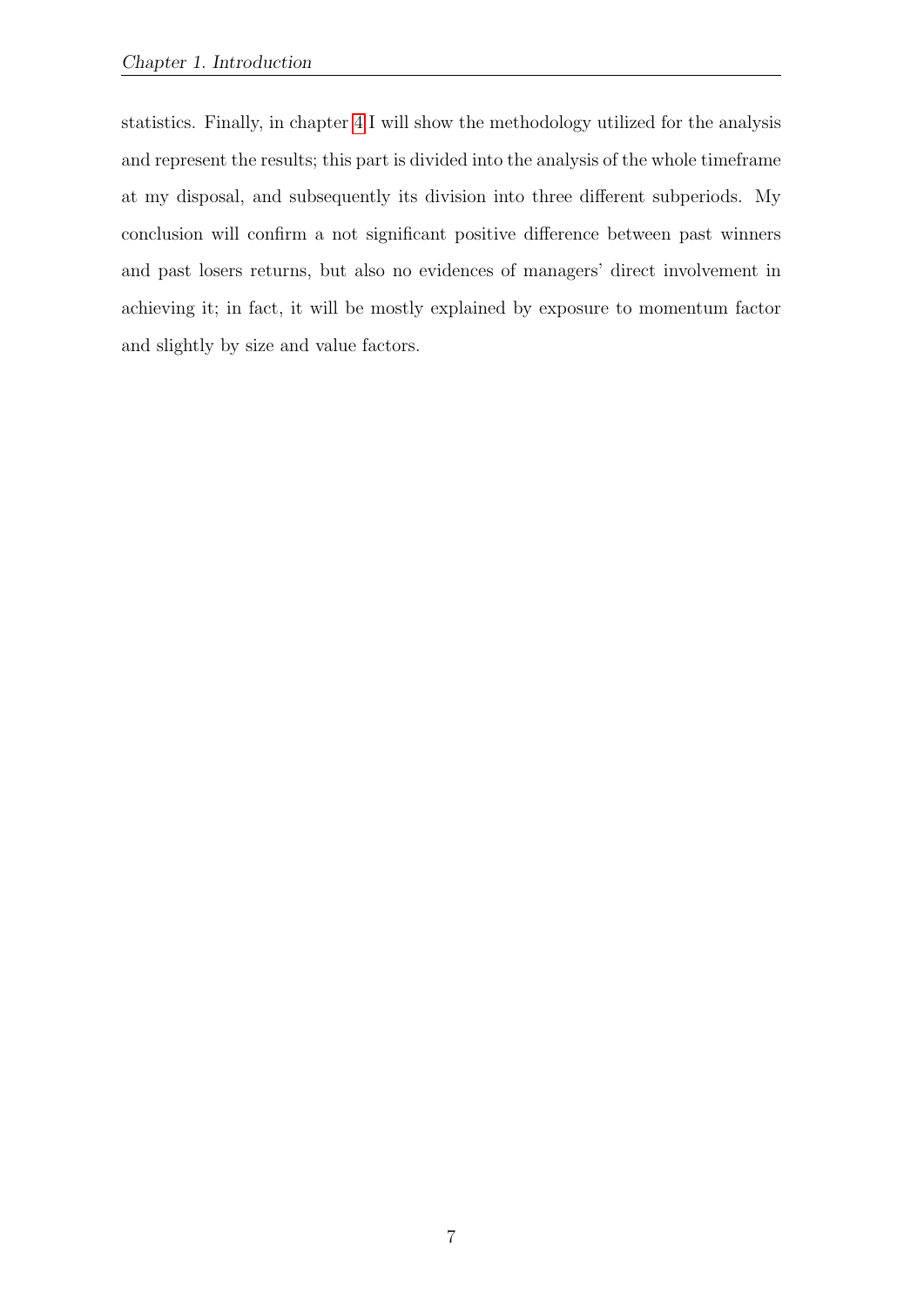statistics. Finally, in chapter [4](#page-20-0) I will show the methodology utilized for the analysis and represent the results; this part is divided into the analysis of the whole timeframe at my disposal, and subsequently its division into three different subperiods. My conclusion will confirm a not significant positive difference between past winners and past losers returns, but also no evidences of managers' direct involvement in achieving it; in fact, it will be mostly explained by exposure to momentum factor and slightly by size and value factors.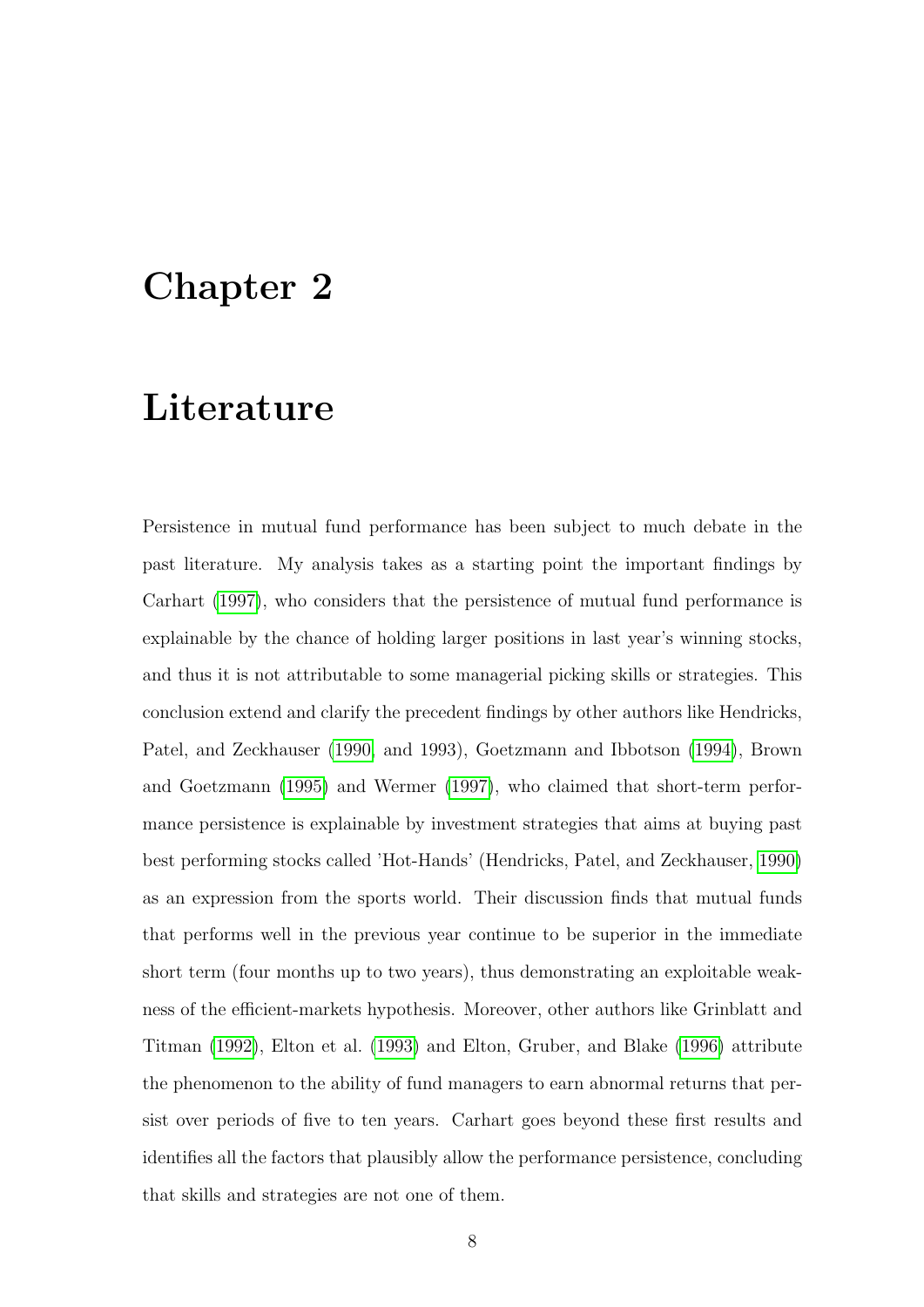### <span id="page-7-0"></span>Chapter 2

### Literature

Persistence in mutual fund performance has been subject to much debate in the past literature. My analysis takes as a starting point the important findings by Carhart [\(1997\)](#page-32-1), who considers that the persistence of mutual fund performance is explainable by the chance of holding larger positions in last year's winning stocks, and thus it is not attributable to some managerial picking skills or strategies. This conclusion extend and clarify the precedent findings by other authors like Hendricks, Patel, and Zeckhauser [\(1990,](#page-32-0) and 1993), Goetzmann and Ibbotson [\(1994\)](#page-32-2), Brown and Goetzmann [\(1995\)](#page-32-3) and Wermer [\(1997\)](#page-33-0), who claimed that short-term performance persistence is explainable by investment strategies that aims at buying past best performing stocks called 'Hot-Hands' (Hendricks, Patel, and Zeckhauser, [1990\)](#page-32-0) as an expression from the sports world. Their discussion finds that mutual funds that performs well in the previous year continue to be superior in the immediate short term (four months up to two years), thus demonstrating an exploitable weakness of the efficient-markets hypothesis. Moreover, other authors like Grinblatt and Titman [\(1992\)](#page-32-4), Elton et al. [\(1993\)](#page-32-5) and Elton, Gruber, and Blake [\(1996\)](#page-32-6) attribute the phenomenon to the ability of fund managers to earn abnormal returns that persist over periods of five to ten years. Carhart goes beyond these first results and identifies all the factors that plausibly allow the performance persistence, concluding that skills and strategies are not one of them.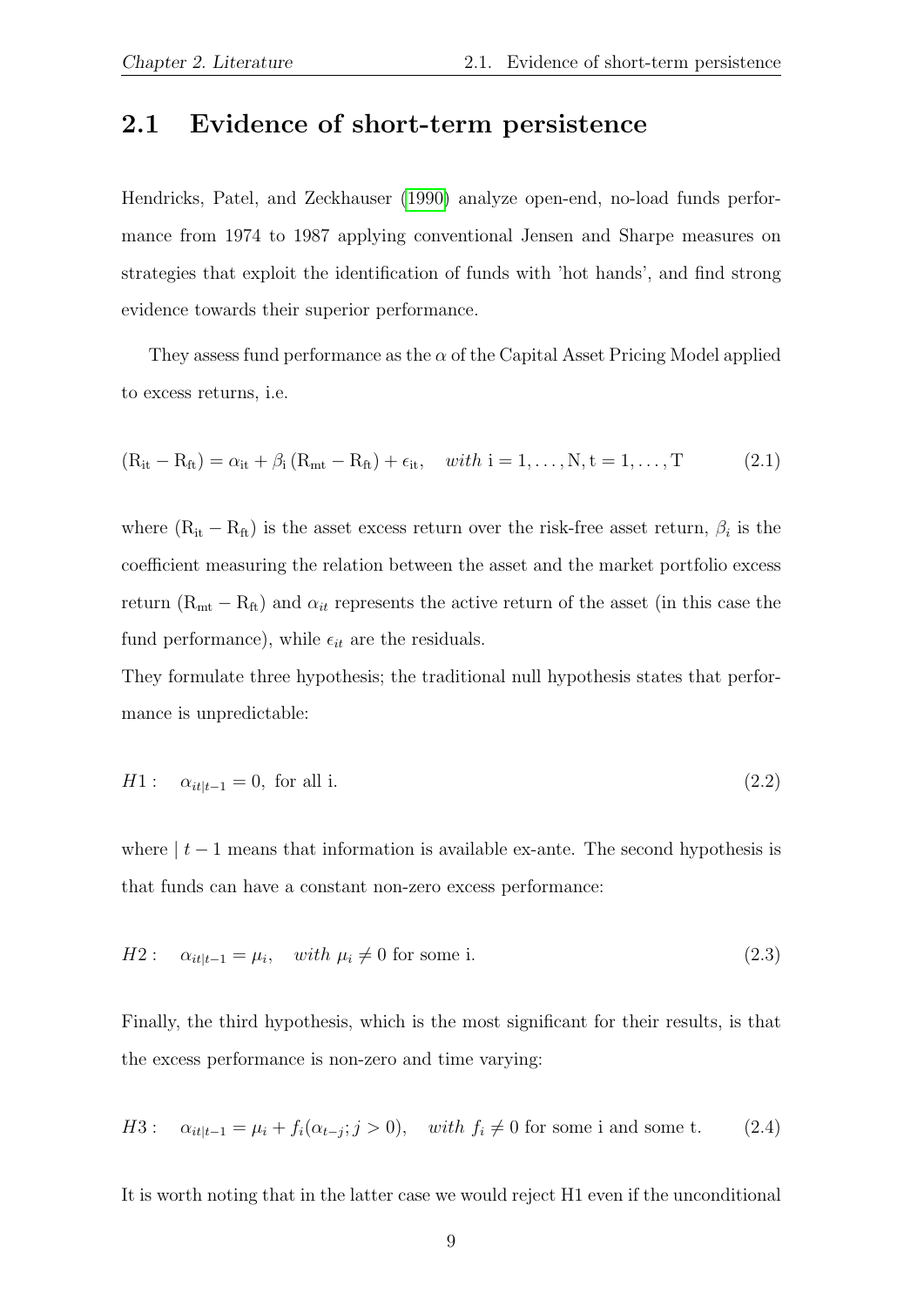#### <span id="page-8-0"></span>2.1 Evidence of short-term persistence

Hendricks, Patel, and Zeckhauser [\(1990\)](#page-32-0) analyze open-end, no-load funds performance from 1974 to 1987 applying conventional Jensen and Sharpe measures on strategies that exploit the identification of funds with 'hot hands', and find strong evidence towards their superior performance.

They assess fund performance as the  $\alpha$  of the Capital Asset Pricing Model applied to excess returns, i.e.

$$
(R_{it} - R_{ft}) = \alpha_{it} + \beta_i (R_{mt} - R_{ft}) + \epsilon_{it}, \quad with \ i = 1, ..., N, t = 1, ..., T
$$
 (2.1)

where  $(R_{it} - R_{ft})$  is the asset excess return over the risk-free asset return,  $\beta_i$  is the coefficient measuring the relation between the asset and the market portfolio excess return ( $R_{mt} - R_{ft}$ ) and  $\alpha_{it}$  represents the active return of the asset (in this case the fund performance), while  $\epsilon_{it}$  are the residuals.

They formulate three hypothesis; the traditional null hypothesis states that performance is unpredictable:

$$
H1: \quad \alpha_{it|t-1} = 0, \text{ for all } i. \tag{2.2}
$$

where  $|t-1|$  means that information is available ex-ante. The second hypothesis is that funds can have a constant non-zero excess performance:

$$
H2: \quad \alpha_{it|t-1} = \mu_i, \quad with \ \mu_i \neq 0 \text{ for some i.} \tag{2.3}
$$

Finally, the third hypothesis, which is the most significant for their results, is that the excess performance is non-zero and time varying:

H3: 
$$
\alpha_{it|t-1} = \mu_i + f_i(\alpha_{t-j}; j > 0)
$$
, with  $f_i \neq 0$  for some i and some t. (2.4)

It is worth noting that in the latter case we would reject H1 even if the unconditional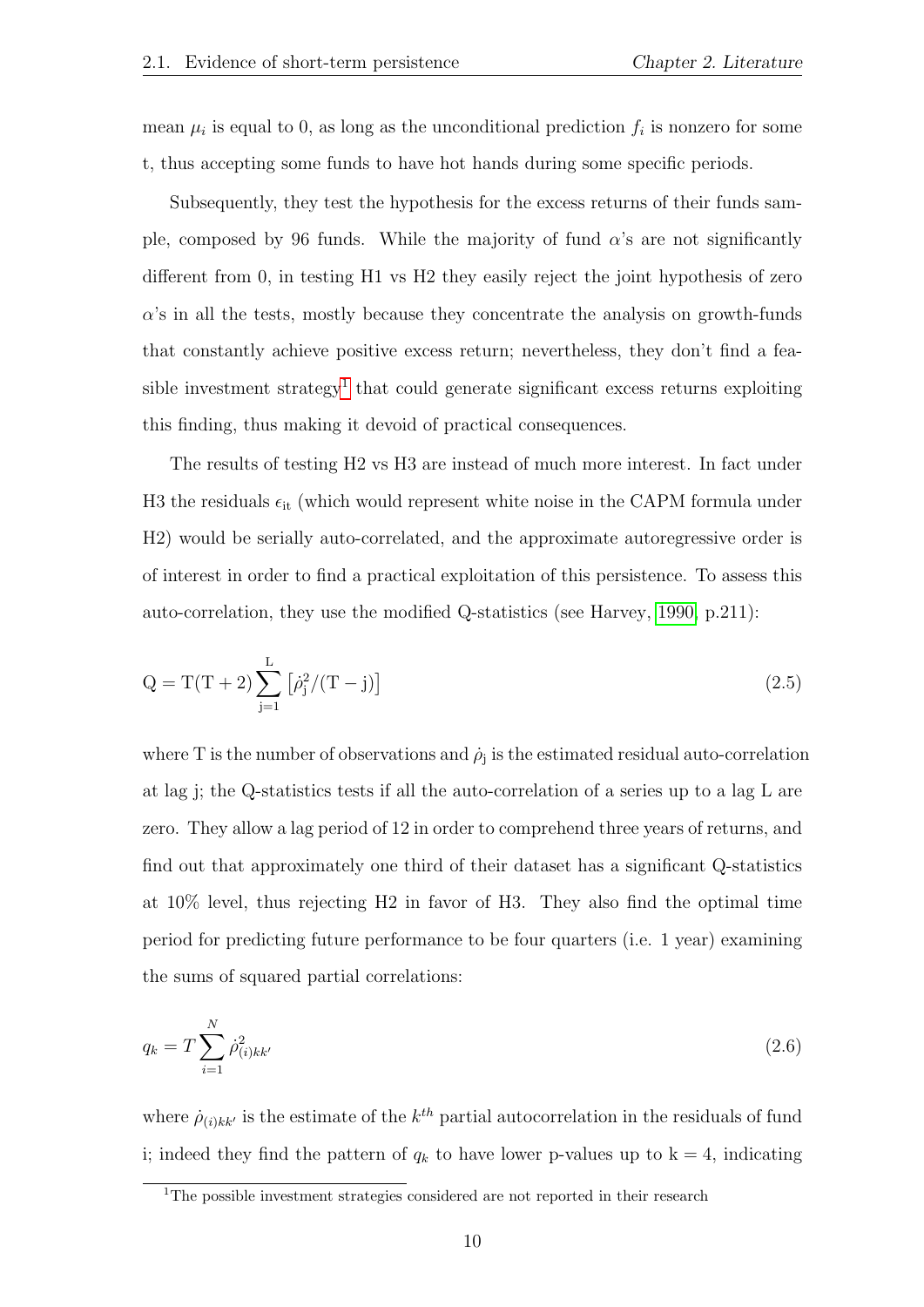mean  $\mu_i$  is equal to 0, as long as the unconditional prediction  $f_i$  is nonzero for some t, thus accepting some funds to have hot hands during some specific periods.

Subsequently, they test the hypothesis for the excess returns of their funds sample, composed by 96 funds. While the majority of fund  $\alpha$ 's are not significantly different from 0, in testing H1 vs H2 they easily reject the joint hypothesis of zero  $\alpha$ 's in all the tests, mostly because they concentrate the analysis on growth-funds that constantly achieve positive excess return; nevertheless, they don't find a fea-sible investment strategy<sup>[1](#page-9-0)</sup> that could generate significant excess returns exploiting this finding, thus making it devoid of practical consequences.

The results of testing H2 vs H3 are instead of much more interest. In fact under H3 the residuals  $\epsilon_{it}$  (which would represent white noise in the CAPM formula under H2) would be serially auto-correlated, and the approximate autoregressive order is of interest in order to find a practical exploitation of this persistence. To assess this auto-correlation, they use the modified Q-statistics (see Harvey, [1990,](#page-32-7) p.211):

$$
Q = T(T + 2) \sum_{j=1}^{L} [\dot{\rho}_j^2 / (T - j)] \tag{2.5}
$$

where T is the number of observations and  $\dot{\rho}_j$  is the estimated residual auto-correlation at lag j; the Q-statistics tests if all the auto-correlation of a series up to a lag L are zero. They allow a lag period of 12 in order to comprehend three years of returns, and find out that approximately one third of their dataset has a significant Q-statistics at 10% level, thus rejecting H2 in favor of H3. They also find the optimal time period for predicting future performance to be four quarters (i.e. 1 year) examining the sums of squared partial correlations:

$$
q_k = T \sum_{i=1}^{N} \dot{\rho}_{(i)kk'}^2 \tag{2.6}
$$

where  $\dot{\rho}_{(i)kk'}$  is the estimate of the  $k^{th}$  partial autocorrelation in the residuals of fund i; indeed they find the pattern of  $q_k$  to have lower p-values up to  $k = 4$ , indicating

<span id="page-9-0"></span><sup>&</sup>lt;sup>1</sup>The possible investment strategies considered are not reported in their research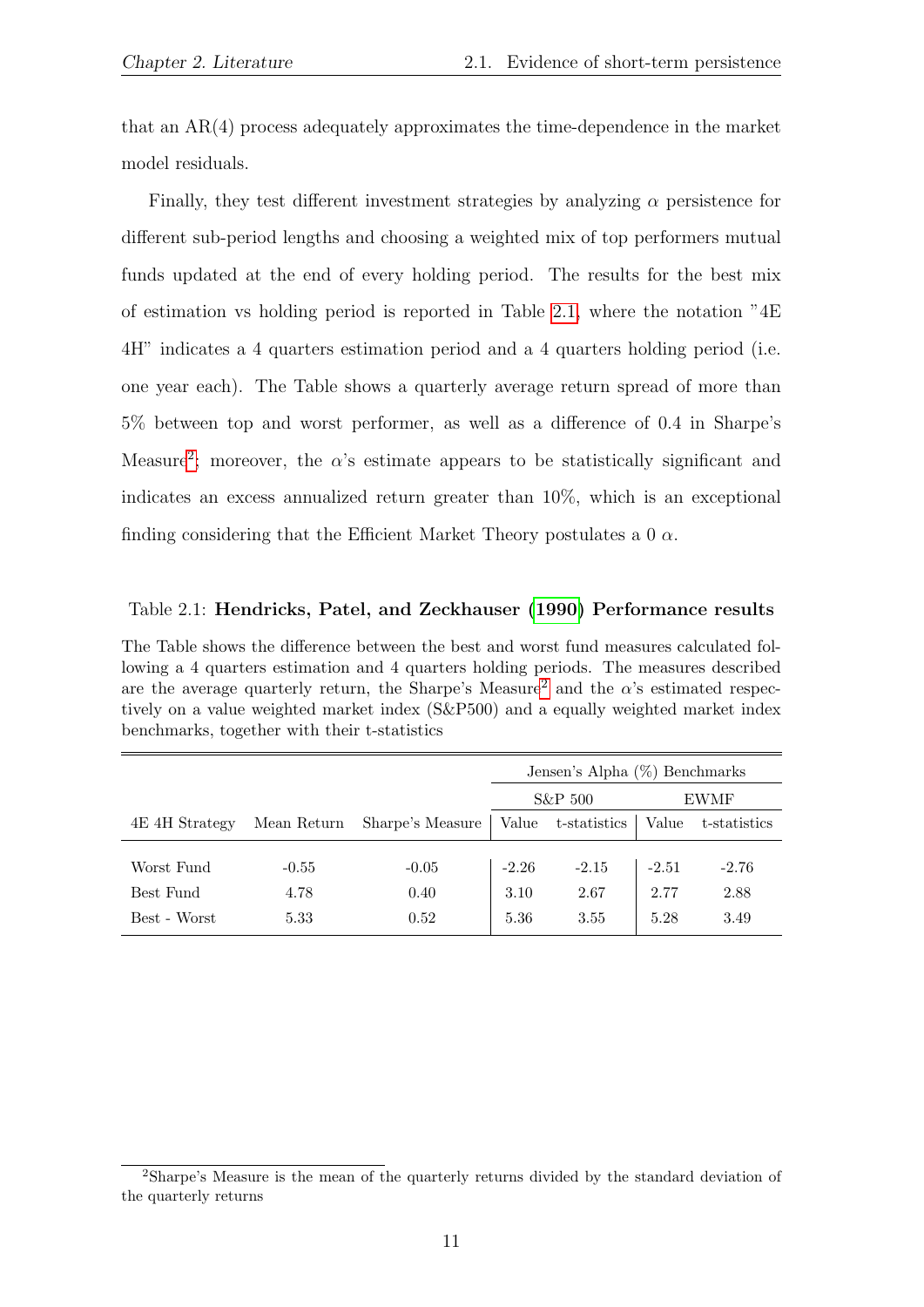that an AR(4) process adequately approximates the time-dependence in the market model residuals.

Finally, they test different investment strategies by analyzing  $\alpha$  persistence for different sub-period lengths and choosing a weighted mix of top performers mutual funds updated at the end of every holding period. The results for the best mix of estimation vs holding period is reported in Table [2.1,](#page-10-0) where the notation  ${}^{9}4E$ 4H" indicates a 4 quarters estimation period and a 4 quarters holding period (i.e. one year each). The Table shows a quarterly average return spread of more than 5% between top and worst performer, as well as a difference of 0.4 in Sharpe's Measure<sup>[2](#page-10-1)</sup>; moreover, the  $\alpha$ 's estimate appears to be statistically significant and indicates an excess annualized return greater than 10%, which is an exceptional finding considering that the Efficient Market Theory postulates a 0  $\alpha$ .

#### <span id="page-10-0"></span>Table 2.1: Hendricks, Patel, and Zeckhauser [\(1990\)](#page-32-0) Performance results

The Table shows the difference between the best and worst fund measures calculated following a 4 quarters estimation and 4 quarters holding periods. The measures described are the average quarterly return, the Sharpe's Measure<sup>[2](#page-0-0)</sup> and the  $\alpha$ 's estimated respectively on a value weighted market index (S&P500) and a equally weighted market index benchmarks, together with their t-statistics

|                |             |                  | Jensen's Alpha (%) Benchmarks |                    |         |              |  |
|----------------|-------------|------------------|-------------------------------|--------------------|---------|--------------|--|
|                |             |                  | $S\&P 500$                    |                    |         | EWMF         |  |
| 4E 4H Strategy | Mean Return | Sharpe's Measure |                               | Value t-statistics | Value   | t-statistics |  |
|                |             |                  |                               |                    |         |              |  |
| Worst Fund     | $-0.55$     | $-0.05$          | $-2.26$                       | $-2.15$            | $-2.51$ | $-2.76$      |  |
| Best Fund      | 4.78        | 0.40             | 3.10                          | 2.67               | 2.77    | 2.88         |  |
| Best - Worst   | 5.33        | 0.52             | 5.36                          | 3.55               | 5.28    | 3.49         |  |

<span id="page-10-1"></span><sup>2</sup>Sharpe's Measure is the mean of the quarterly returns divided by the standard deviation of the quarterly returns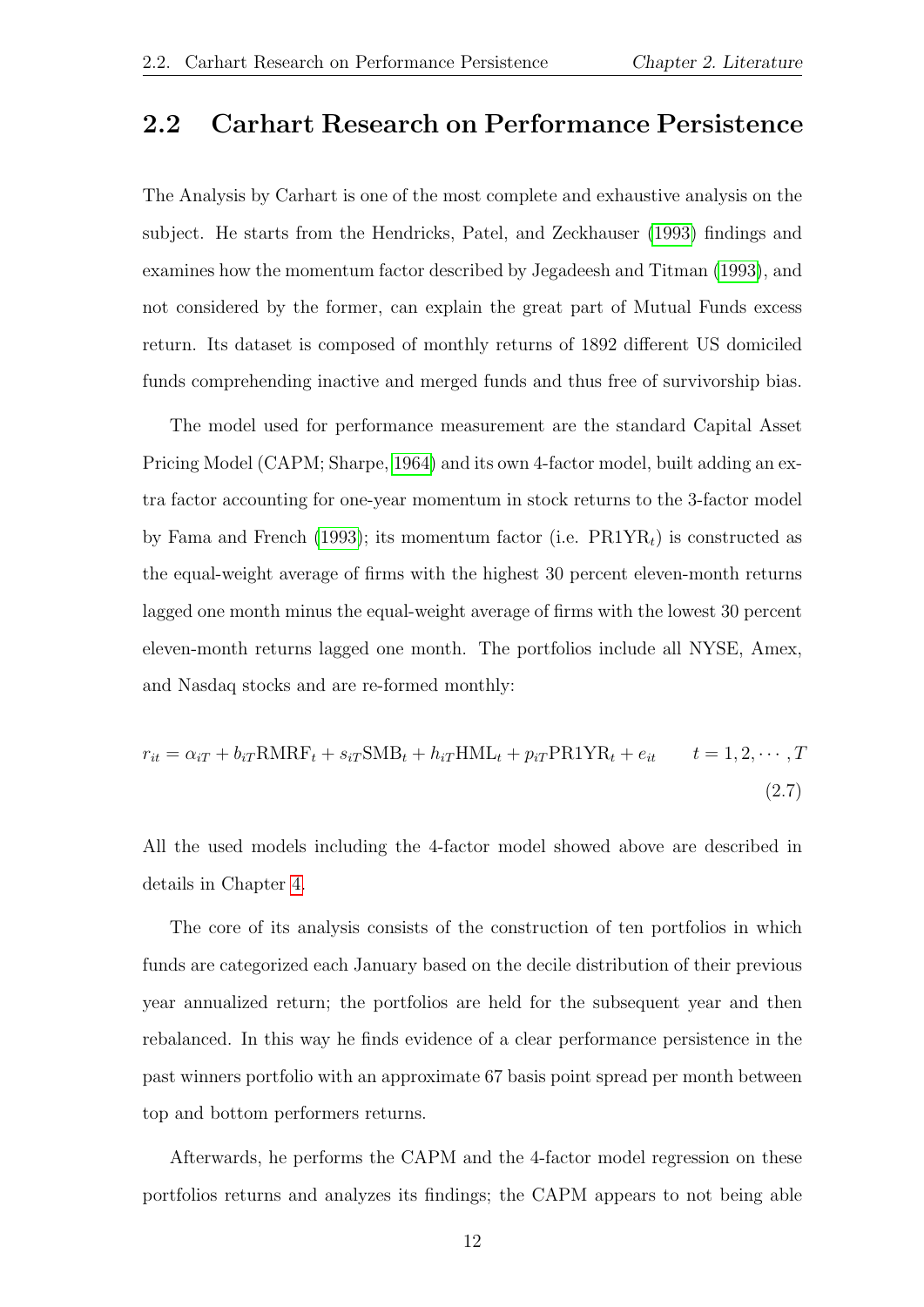#### <span id="page-11-0"></span>2.2 Carhart Research on Performance Persistence

The Analysis by Carhart is one of the most complete and exhaustive analysis on the subject. He starts from the Hendricks, Patel, and Zeckhauser [\(1993\)](#page-32-8) findings and examines how the momentum factor described by Jegadeesh and Titman [\(1993\)](#page-33-1), and not considered by the former, can explain the great part of Mutual Funds excess return. Its dataset is composed of monthly returns of 1892 different US domiciled funds comprehending inactive and merged funds and thus free of survivorship bias.

The model used for performance measurement are the standard Capital Asset Pricing Model (CAPM; Sharpe, [1964\)](#page-33-2) and its own 4-factor model, built adding an extra factor accounting for one-year momentum in stock returns to the 3-factor model by Fama and French [\(1993\)](#page-32-9); its momentum factor (i.e.  $\text{PR1YR}_t$ ) is constructed as the equal-weight average of firms with the highest 30 percent eleven-month returns lagged one month minus the equal-weight average of firms with the lowest 30 percent eleven-month returns lagged one month. The portfolios include all NYSE, Amex, and Nasdaq stocks and are re-formed monthly:

$$
r_{it} = \alpha_{iT} + b_{iT} \text{RMRF}_t + s_{iT} \text{SMB}_t + h_{iT} \text{HML}_t + p_{iT} \text{PR1YR}_t + e_{it} \qquad t = 1, 2, \cdots, T
$$
\n(2.7)

All the used models including the 4-factor model showed above are described in details in Chapter [4.](#page-20-0)

The core of its analysis consists of the construction of ten portfolios in which funds are categorized each January based on the decile distribution of their previous year annualized return; the portfolios are held for the subsequent year and then rebalanced. In this way he finds evidence of a clear performance persistence in the past winners portfolio with an approximate 67 basis point spread per month between top and bottom performers returns.

Afterwards, he performs the CAPM and the 4-factor model regression on these portfolios returns and analyzes its findings; the CAPM appears to not being able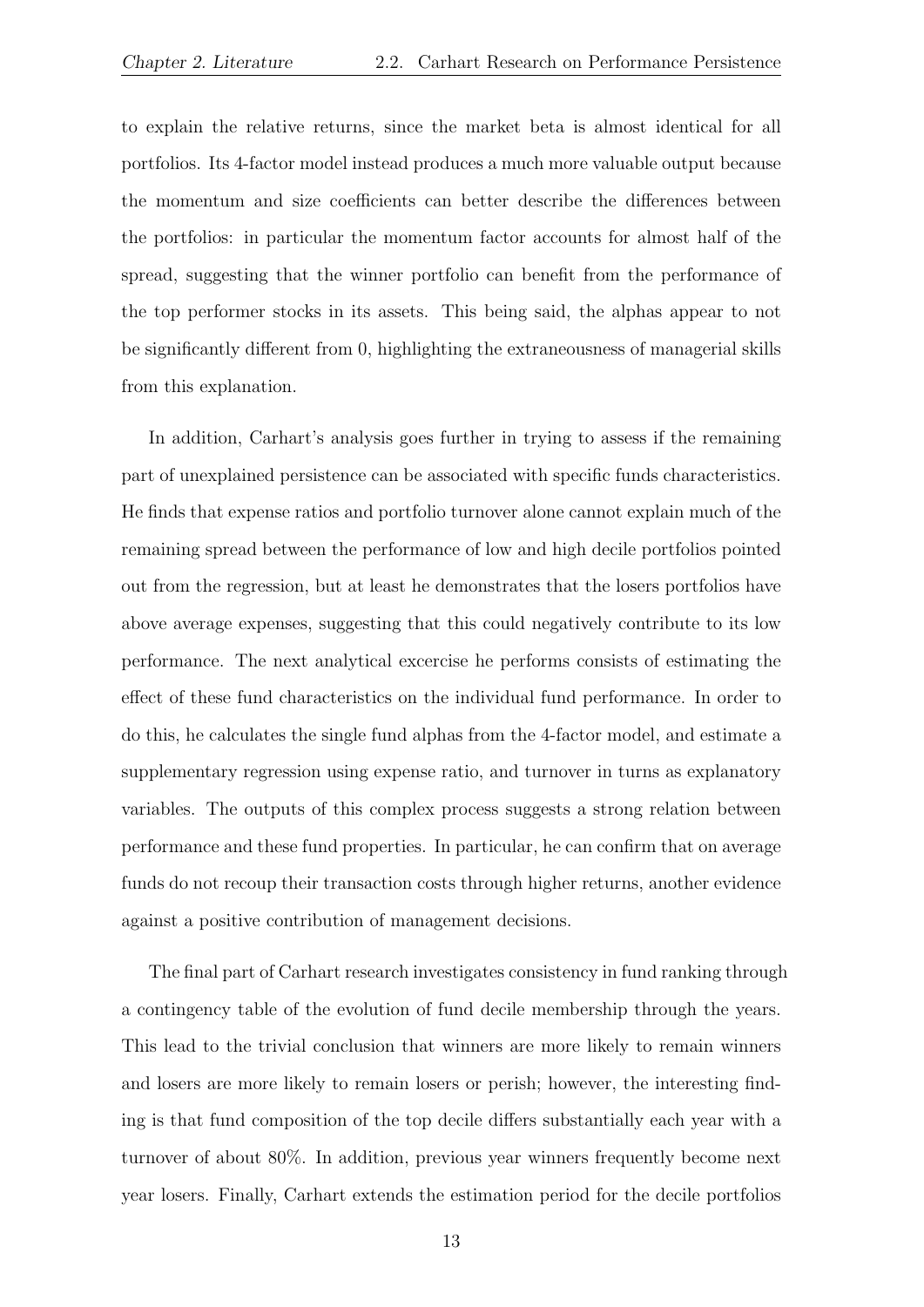to explain the relative returns, since the market beta is almost identical for all portfolios. Its 4-factor model instead produces a much more valuable output because the momentum and size coefficients can better describe the differences between the portfolios: in particular the momentum factor accounts for almost half of the spread, suggesting that the winner portfolio can benefit from the performance of the top performer stocks in its assets. This being said, the alphas appear to not be significantly different from 0, highlighting the extraneousness of managerial skills from this explanation.

In addition, Carhart's analysis goes further in trying to assess if the remaining part of unexplained persistence can be associated with specific funds characteristics. He finds that expense ratios and portfolio turnover alone cannot explain much of the remaining spread between the performance of low and high decile portfolios pointed out from the regression, but at least he demonstrates that the losers portfolios have above average expenses, suggesting that this could negatively contribute to its low performance. The next analytical excercise he performs consists of estimating the effect of these fund characteristics on the individual fund performance. In order to do this, he calculates the single fund alphas from the 4-factor model, and estimate a supplementary regression using expense ratio, and turnover in turns as explanatory variables. The outputs of this complex process suggests a strong relation between performance and these fund properties. In particular, he can confirm that on average funds do not recoup their transaction costs through higher returns, another evidence against a positive contribution of management decisions.

The final part of Carhart research investigates consistency in fund ranking through a contingency table of the evolution of fund decile membership through the years. This lead to the trivial conclusion that winners are more likely to remain winners and losers are more likely to remain losers or perish; however, the interesting finding is that fund composition of the top decile differs substantially each year with a turnover of about 80%. In addition, previous year winners frequently become next year losers. Finally, Carhart extends the estimation period for the decile portfolios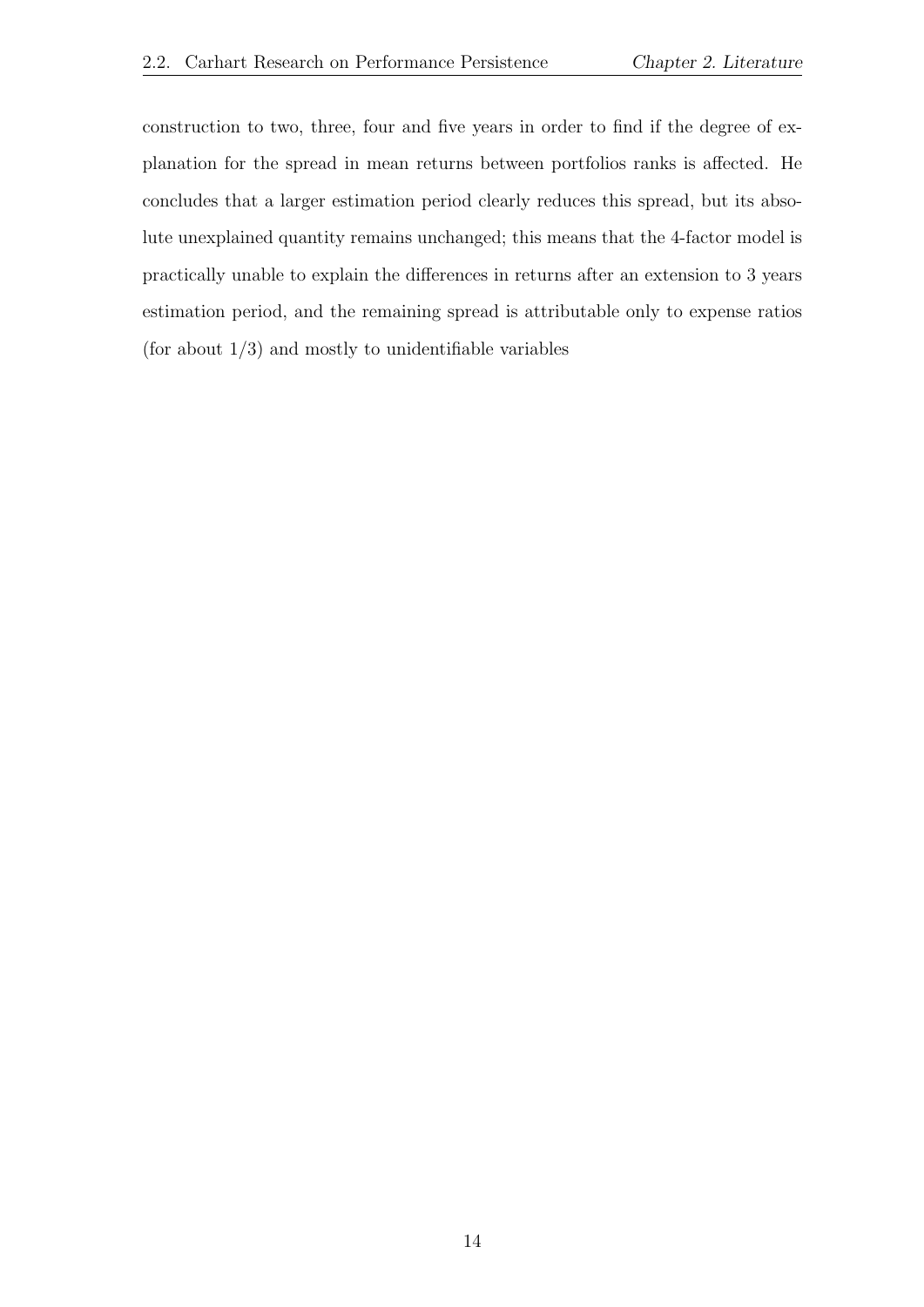construction to two, three, four and five years in order to find if the degree of explanation for the spread in mean returns between portfolios ranks is affected. He concludes that a larger estimation period clearly reduces this spread, but its absolute unexplained quantity remains unchanged; this means that the 4-factor model is practically unable to explain the differences in returns after an extension to 3 years estimation period, and the remaining spread is attributable only to expense ratios (for about  $1/3$ ) and mostly to unidentifiable variables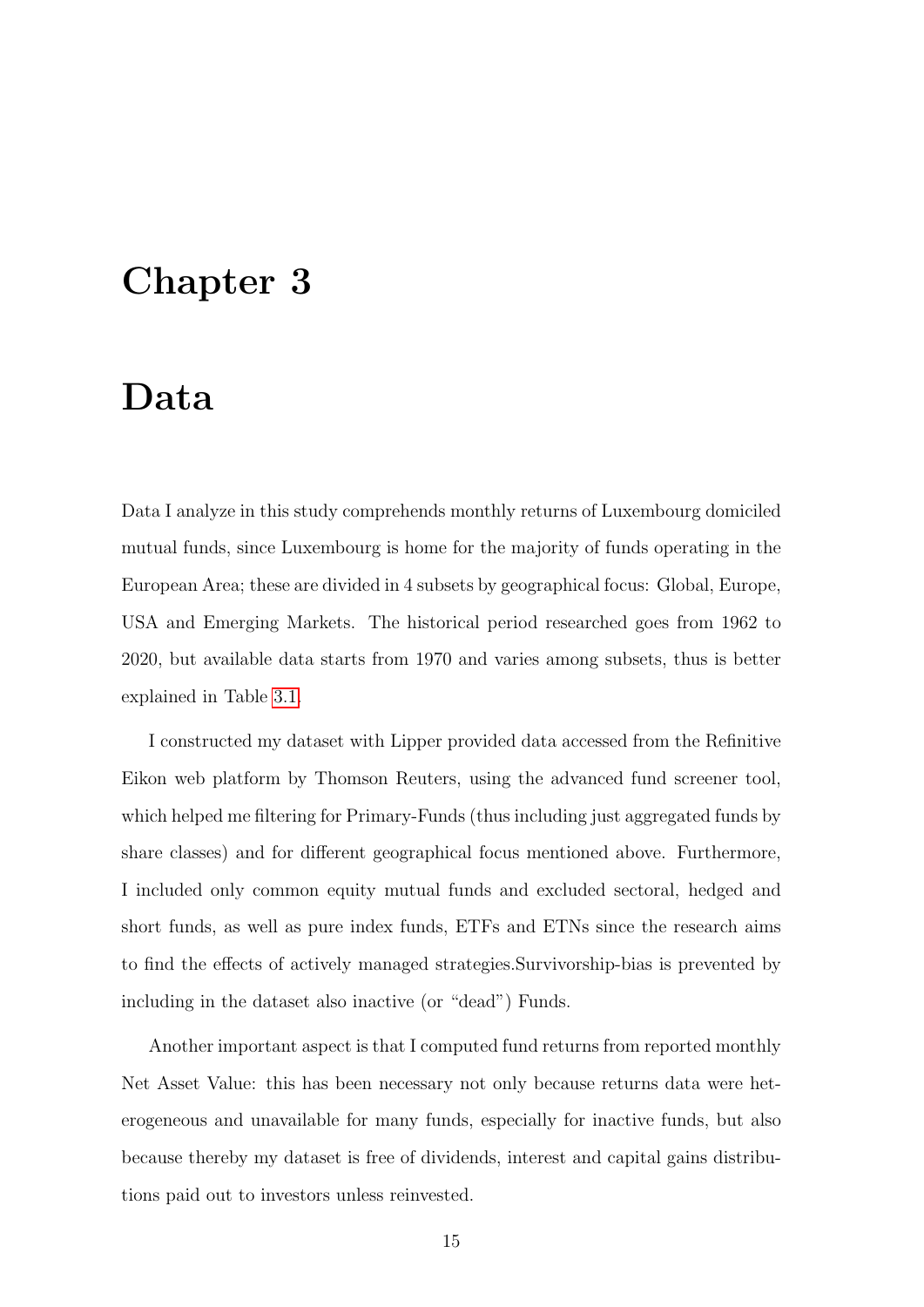### <span id="page-14-0"></span>Chapter 3

### Data

Data I analyze in this study comprehends monthly returns of Luxembourg domiciled mutual funds, since Luxembourg is home for the majority of funds operating in the European Area; these are divided in 4 subsets by geographical focus: Global, Europe, USA and Emerging Markets. The historical period researched goes from 1962 to 2020, but available data starts from 1970 and varies among subsets, thus is better explained in Table [3.1.](#page-15-1)

I constructed my dataset with Lipper provided data accessed from the Refinitive Eikon web platform by Thomson Reuters, using the advanced fund screener tool, which helped me filtering for Primary-Funds (thus including just aggregated funds by share classes) and for different geographical focus mentioned above. Furthermore, I included only common equity mutual funds and excluded sectoral, hedged and short funds, as well as pure index funds, ETFs and ETNs since the research aims to find the effects of actively managed strategies.Survivorship-bias is prevented by including in the dataset also inactive (or "dead") Funds.

Another important aspect is that I computed fund returns from reported monthly Net Asset Value: this has been necessary not only because returns data were heterogeneous and unavailable for many funds, especially for inactive funds, but also because thereby my dataset is free of dividends, interest and capital gains distributions paid out to investors unless reinvested.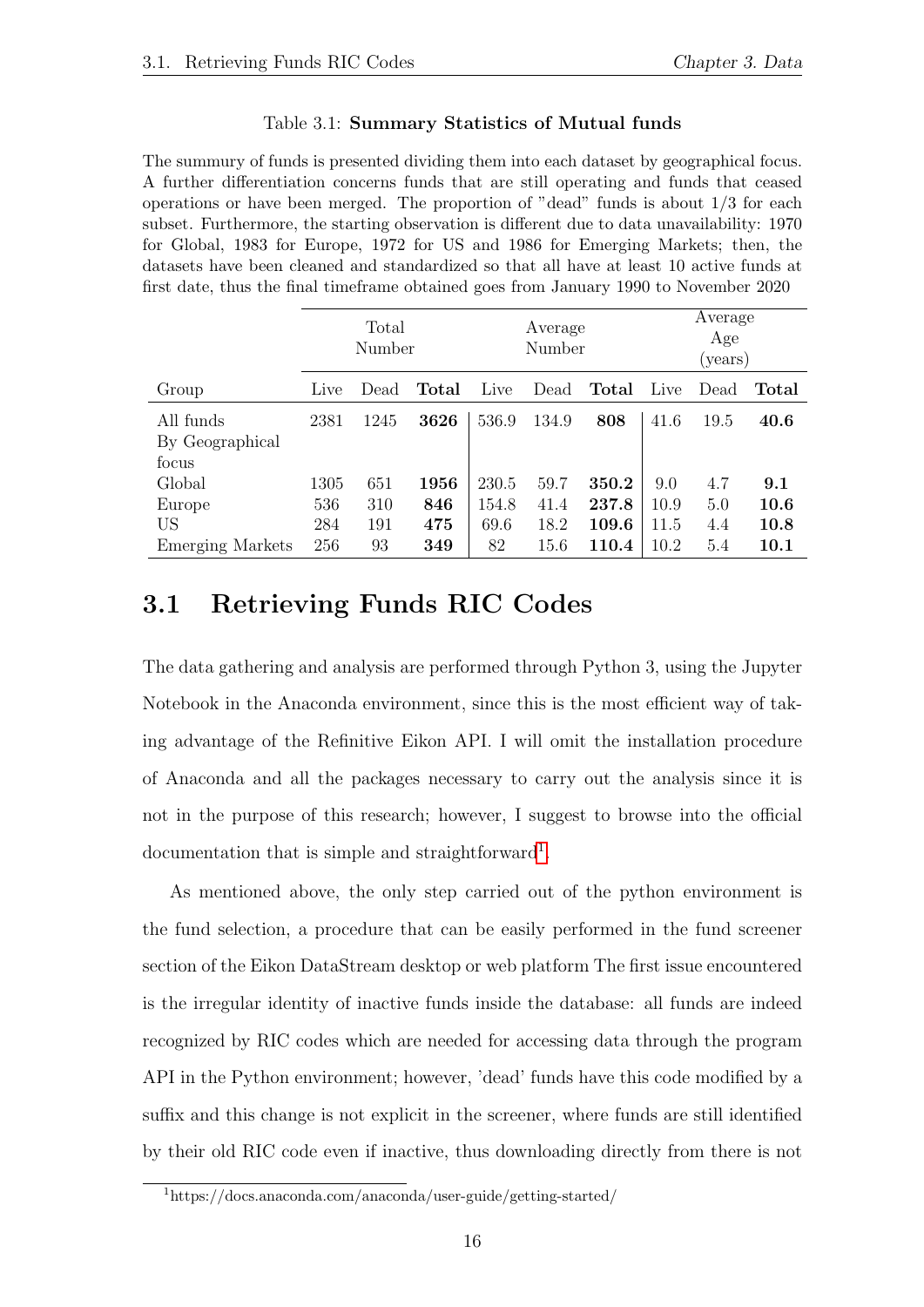#### Table 3.1: Summary Statistics of Mutual funds

<span id="page-15-1"></span>The summury of funds is presented dividing them into each dataset by geographical focus. A further differentiation concerns funds that are still operating and funds that ceased operations or have been merged. The proportion of "dead" funds is about 1/3 for each subset. Furthermore, the starting observation is different due to data unavailability: 1970 for Global, 1983 for Europe, 1972 for US and 1986 for Emerging Markets; then, the datasets have been cleaned and standardized so that all have at least 10 active funds at first date, thus the final timeframe obtained goes from January 1990 to November 2020

|                                       |      | Total<br>Average<br>Number<br>Number |       |       | Average<br>Age<br>(years) |       |      |      |              |
|---------------------------------------|------|--------------------------------------|-------|-------|---------------------------|-------|------|------|--------------|
| Group                                 | Live | Dead                                 | Total | Live  | Dead                      | Total | Live | Dead | <b>Total</b> |
| All funds<br>By Geographical<br>focus | 2381 | 1245                                 | 3626  | 536.9 | 134.9                     | 808   | 41.6 | 19.5 | 40.6         |
| Global                                | 1305 | 651                                  | 1956  | 230.5 | 59.7                      | 350.2 | 9.0  | 4.7  | 9.1          |
| Europe                                | 536  | 310                                  | 846   | 154.8 | 41.4                      | 237.8 | 10.9 | 5.0  | 10.6         |
| <b>US</b>                             | 284  | 191                                  | 475   | 69.6  | 18.2                      | 109.6 | 11.5 | 4.4  | 10.8         |
| <b>Emerging Markets</b>               | 256  | 93                                   | 349   | 82    | 15.6                      | 110.4 | 10.2 | 5.4  | 10.1         |

#### <span id="page-15-0"></span>3.1 Retrieving Funds RIC Codes

The data gathering and analysis are performed through Python 3, using the Jupyter Notebook in the Anaconda environment, since this is the most efficient way of taking advantage of the Refinitive Eikon API. I will omit the installation procedure of Anaconda and all the packages necessary to carry out the analysis since it is not in the purpose of this research; however, I suggest to browse into the official documentation that is simple and straightforward<sup>[1](#page-15-2)</sup>.

As mentioned above, the only step carried out of the python environment is the fund selection, a procedure that can be easily performed in the fund screener section of the Eikon DataStream desktop or web platform The first issue encountered is the irregular identity of inactive funds inside the database: all funds are indeed recognized by RIC codes which are needed for accessing data through the program API in the Python environment; however, 'dead' funds have this code modified by a suffix and this change is not explicit in the screener, where funds are still identified by their old RIC code even if inactive, thus downloading directly from there is not

<span id="page-15-2"></span><sup>1</sup>https://docs.anaconda.com/anaconda/user-guide/getting-started/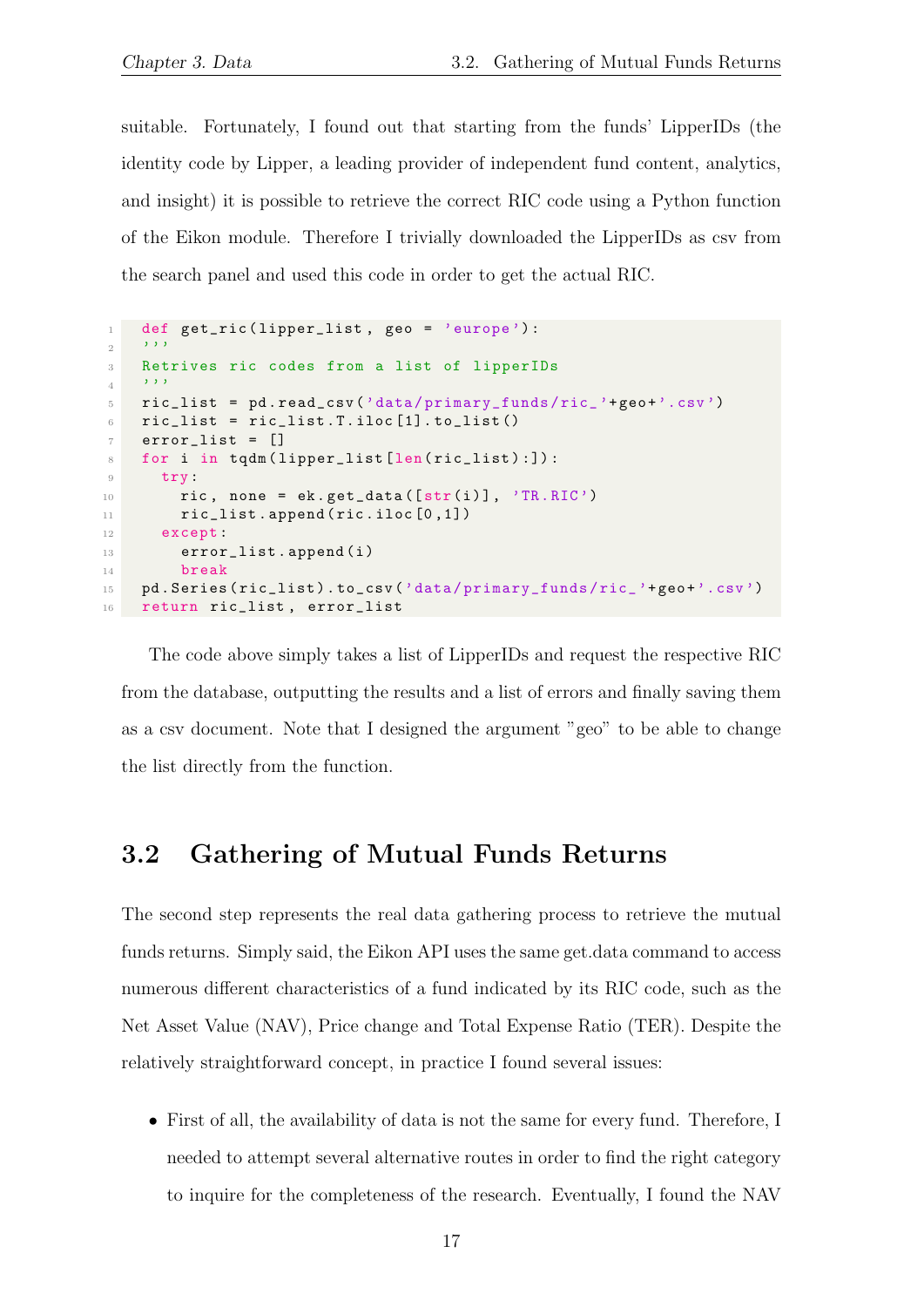suitable. Fortunately, I found out that starting from the funds' LipperIDs (the identity code by Lipper, a leading provider of independent fund content, analytics, and insight) it is possible to retrieve the correct RIC code using a Python function of the Eikon module. Therefore I trivially downloaded the LipperIDs as csv from the search panel and used this code in order to get the actual RIC.

```
1 def get_ric (lipper_list, geo = 'europe'):
2 '''
3 Retrives ric codes from a list of lipperIDs
4 '''
5 ric_list = pd . read_csv ('data / primary_funds / ric_ '+ geo +'. csv ')
6 ric_list = ric_list. T. iloc[1]. to_list()
7 error_list = []8 for i in tqdm (lipper_list [len(ric_list):]):
9 try:
10 ric, none = ek.get_data([str(i)], 'TR.RIC')
11 ric_list.append (ric.iloc[0,1])
12 except:
13 error_list.append(i)
14 break
15 pd . Series ( ric_list ) . to_csv ('data / primary_funds / ric_ '+ geo +'.csv ')
16 return ric_list , error_list
```
The code above simply takes a list of LipperIDs and request the respective RIC from the database, outputting the results and a list of errors and finally saving them as a csv document. Note that I designed the argument "geo" to be able to change the list directly from the function.

### <span id="page-16-0"></span>3.2 Gathering of Mutual Funds Returns

The second step represents the real data gathering process to retrieve the mutual funds returns. Simply said, the Eikon API uses the same get.data command to access numerous different characteristics of a fund indicated by its RIC code, such as the Net Asset Value (NAV), Price change and Total Expense Ratio (TER). Despite the relatively straightforward concept, in practice I found several issues:

• First of all, the availability of data is not the same for every fund. Therefore, I needed to attempt several alternative routes in order to find the right category to inquire for the completeness of the research. Eventually, I found the NAV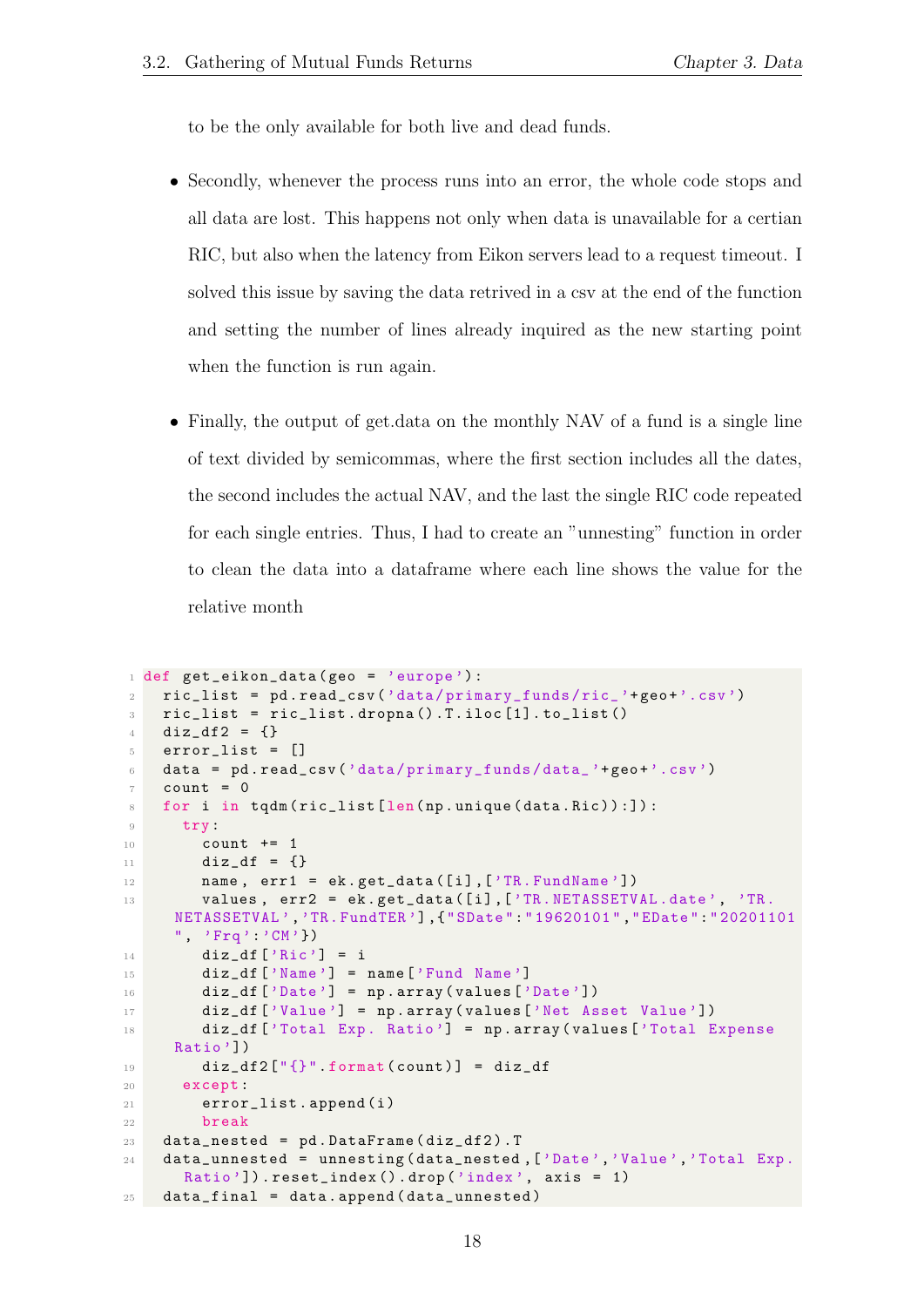to be the only available for both live and dead funds.

- Secondly, whenever the process runs into an error, the whole code stops and all data are lost. This happens not only when data is unavailable for a certian RIC, but also when the latency from Eikon servers lead to a request timeout. I solved this issue by saving the data retrived in a csv at the end of the function and setting the number of lines already inquired as the new starting point when the function is run again.
- Finally, the output of get.data on the monthly NAV of a fund is a single line of text divided by semicommas, where the first section includes all the dates, the second includes the actual NAV, and the last the single RIC code repeated for each single entries. Thus, I had to create an "unnesting" function in order to clean the data into a dataframe where each line shows the value for the relative month

```
1 def get_eikon_data (geo = 'europe'):
2 ric_list = pd . read_csv ('data / primary_funds / ric_ '+ geo +'. csv ')
\overline{\text{3}} ric_list = ric_list.dropna().T.iloc[1].to_list()
4 diz_df2 = \{\}5 error_list = []
6 data = pd . read_csv ('data / primary_funds / data_ '+ geo +'.csv ')
7 count = 0
8 for i in tqdm (ric_list [len(np.unique(data.Ric)):]):
9 try:
10 count += 1
11 \text{diz}_df = \{\}12 name, err1 = ek.get_data([i], ['TR.FundName'])13 values, err2 = ek.get_data([i],['TR.NETASSETVAL.date', 'TR.
     NETASSETVAL ','TR. FundTER '] ,{" SDate ":" 19620101 "," EDate ":" 20201101
     ", 'Frq' 'CM' })
14 diz_df ['Ric'] = i
15 diz_df ['Name'] = name ['Fund Name']
16 \text{diz}_df [ 'Date' ] = np.array ( values [ 'Date' ] )17 diz_df ['Value'] = np.array (values ['Net Asset Value'])
18 diz_df ['Total Exp. Ratio'] = np. array (values ['Total Expense
     Ratio '])
19 \text{diz}_df2 ["{}" format (count)] = \text{diz}_df20 except :
21 error_list.append (i)
22 break
23 data_nested = pd. DataFrame (diz_df2). T
24 data_unnested = unnesting ( data_nested ,[ 'Date ','Value ','Total Exp.
      Ratio']).reset_index().drop('index', axis = 1)
25 data_final = data. append (data_unnested)
```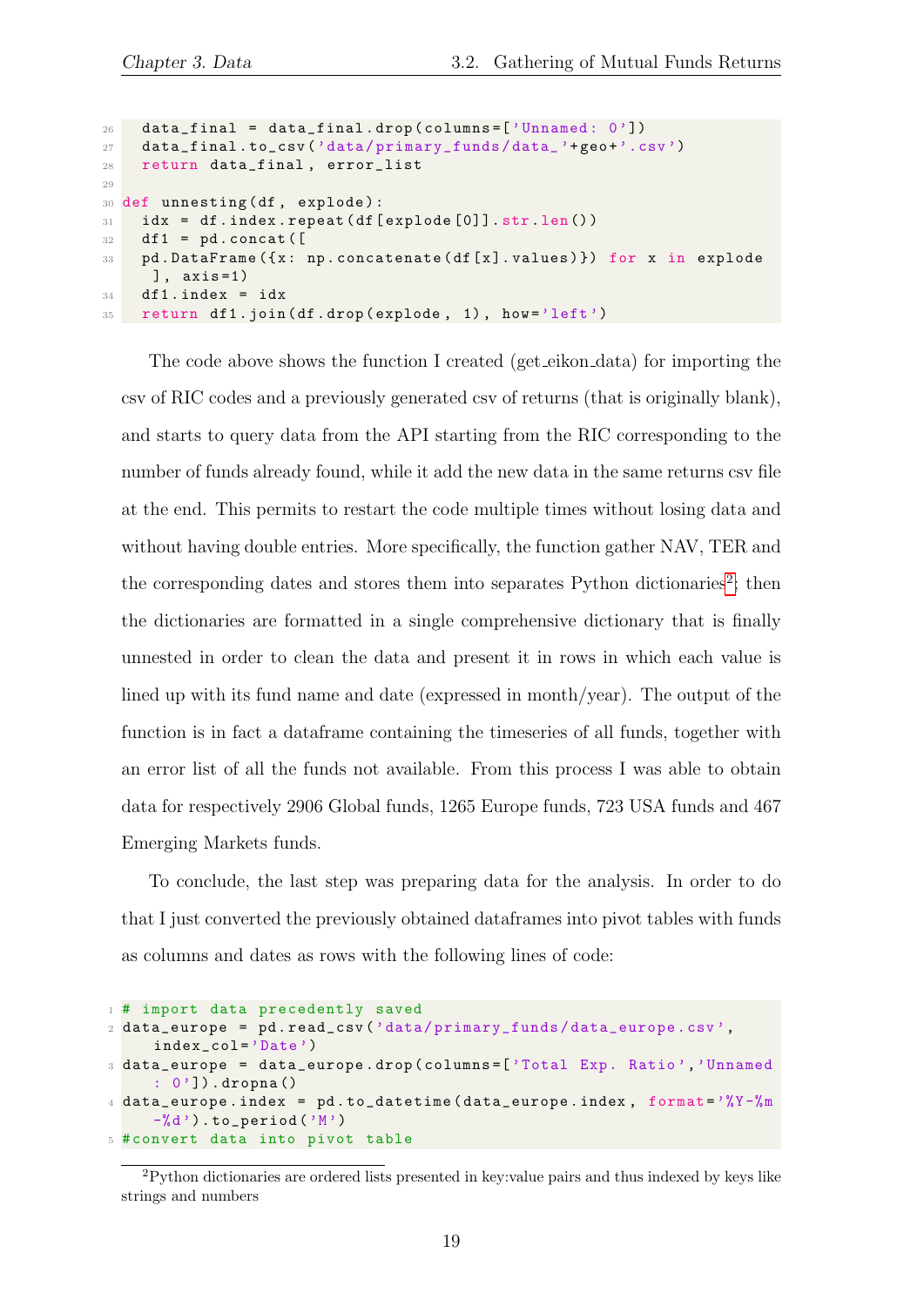```
26 data_final = data_final.drop(columns=['Unnamed: 0'])
27 data_final .to_csv('data/primary_funds/data_'+geo+'.csv')
28 return data_final , error_list
29
30 def unnesting (df, explode):
31 idx = df.index.repeat (df [explode [0]].str.len())
32 df1 = pd. concat ([
33 pd . DataFrame ({ x : np . concatenate ( df [ x ]. values ) }) for x in explode
     ] , axis =1)
34 df1. index = idx
35 return df1.join(df.drop(explode, 1), how='left')
```
The code above shows the function I created (get eikon data) for importing the csv of RIC codes and a previously generated csv of returns (that is originally blank), and starts to query data from the API starting from the RIC corresponding to the number of funds already found, while it add the new data in the same returns csv file at the end. This permits to restart the code multiple times without losing data and without having double entries. More specifically, the function gather NAV, TER and the corresponding dates and stores them into separates Python dictionaries<sup>[2](#page-18-0)</sup>; then the dictionaries are formatted in a single comprehensive dictionary that is finally unnested in order to clean the data and present it in rows in which each value is lined up with its fund name and date (expressed in month/year). The output of the function is in fact a dataframe containing the timeseries of all funds, together with an error list of all the funds not available. From this process I was able to obtain data for respectively 2906 Global funds, 1265 Europe funds, 723 USA funds and 467 Emerging Markets funds.

To conclude, the last step was preparing data for the analysis. In order to do that I just converted the previously obtained dataframes into pivot tables with funds as columns and dates as rows with the following lines of code:

```
1 # import data precedently saved
2 data_europe = pd . read_csv ('data / primary_funds / data_europe . csv ',
     index_col ='Date ')
3 data_europe = data_europe . drop ( columns =[ 'Total Exp. Ratio ','Unnamed
     : 0']) . dropna ()
4 data_europe.index = pd. to_datetime (data_europe.index, format=\frac{9}{6}Y-\frac{9}{6}m
     -\%d').to_period('M')
5 # convert data into pivot table
```
<span id="page-18-0"></span><sup>2</sup>Python dictionaries are ordered lists presented in key:value pairs and thus indexed by keys like strings and numbers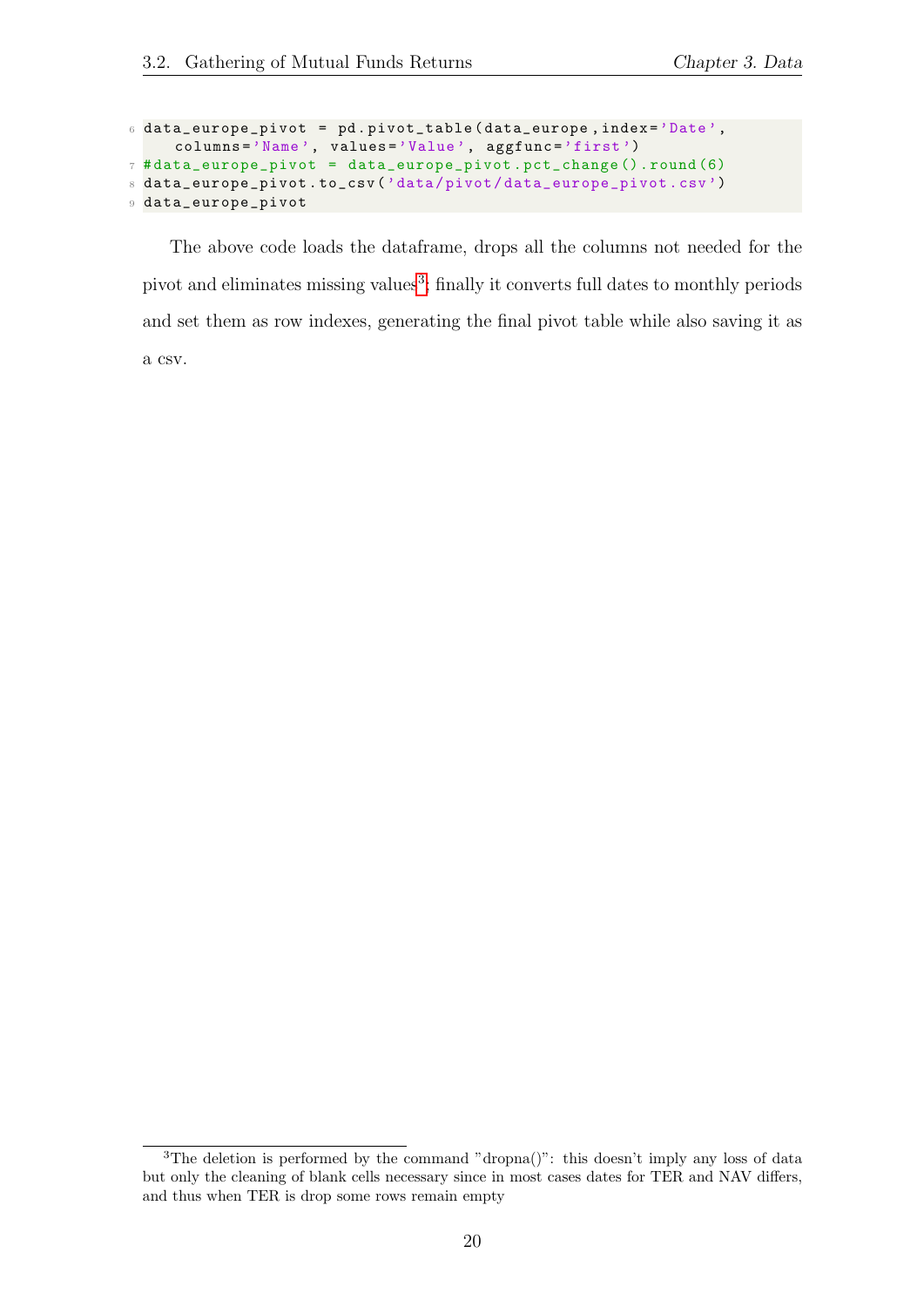```
6 data_europe_pivot = pd . pivot_table ( data_europe , index ='Date ',
     columns ='Name ', values ='Value ', aggfunc ='first ')
7 # data_europe_pivot = data_europe_pivot . pct_change (). round (6)
8 data_europe_pivot . to_csv ('data / pivot / data_europe_pivot . csv ')
9 data_europe_pivot
```
The above code loads the dataframe, drops all the columns not needed for the pivot and eliminates missing values<sup>[3](#page-19-0)</sup>; finally it converts full dates to monthly periods and set them as row indexes, generating the final pivot table while also saving it as a csv.

<span id="page-19-0"></span><sup>&</sup>lt;sup>3</sup>The deletion is performed by the command "dropna()": this doesn't imply any loss of data but only the cleaning of blank cells necessary since in most cases dates for TER and NAV differs, and thus when TER is drop some rows remain empty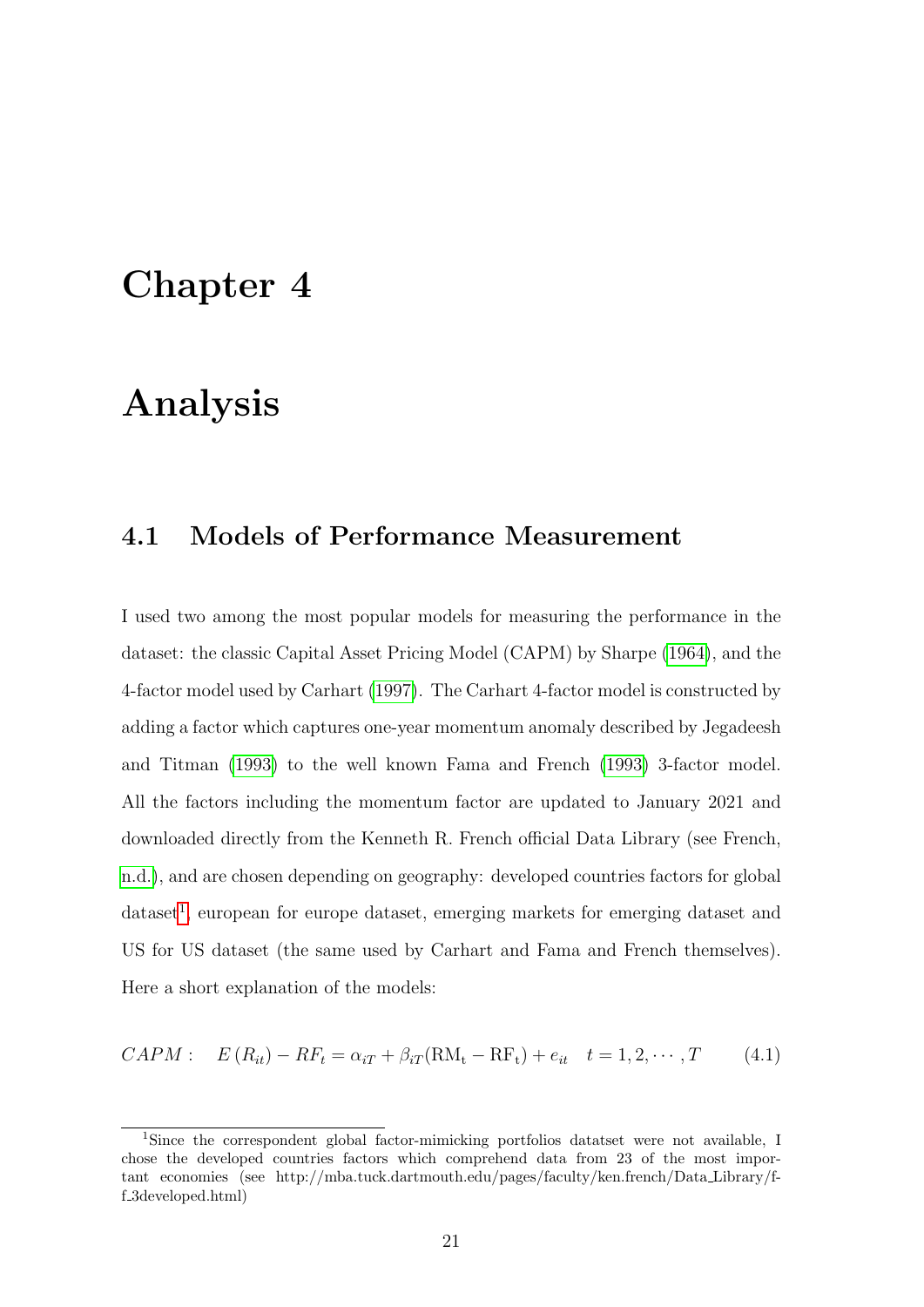### <span id="page-20-0"></span>Chapter 4

### Analysis

#### <span id="page-20-1"></span>4.1 Models of Performance Measurement

I used two among the most popular models for measuring the performance in the dataset: the classic Capital Asset Pricing Model (CAPM) by Sharpe [\(1964\)](#page-33-2), and the 4-factor model used by Carhart [\(1997\)](#page-32-1). The Carhart 4-factor model is constructed by adding a factor which captures one-year momentum anomaly described by Jegadeesh and Titman [\(1993\)](#page-33-1) to the well known Fama and French [\(1993\)](#page-32-9) 3-factor model. All the factors including the momentum factor are updated to January 2021 and downloaded directly from the Kenneth R. French official Data Library (see French, [n.d.\)](#page-32-10), and are chosen depending on geography: developed countries factors for global dataset<sup>[1](#page-20-2)</sup>, european for europe dataset, emerging markets for emerging dataset and US for US dataset (the same used by Carhart and Fama and French themselves). Here a short explanation of the models:

$$
CAPM: \quad E(R_{it}) - RF_t = \alpha_{iT} + \beta_{iT}(RM_t - RF_t) + e_{it} \quad t = 1, 2, \cdots, T \tag{4.1}
$$

<span id="page-20-2"></span><sup>1</sup>Since the correspondent global factor-mimicking portfolios datatset were not available, I chose the developed countries factors which comprehend data from 23 of the most important economies (see http://mba.tuck.dartmouth.edu/pages/faculty/ken.french/Data Library/ff 3developed.html)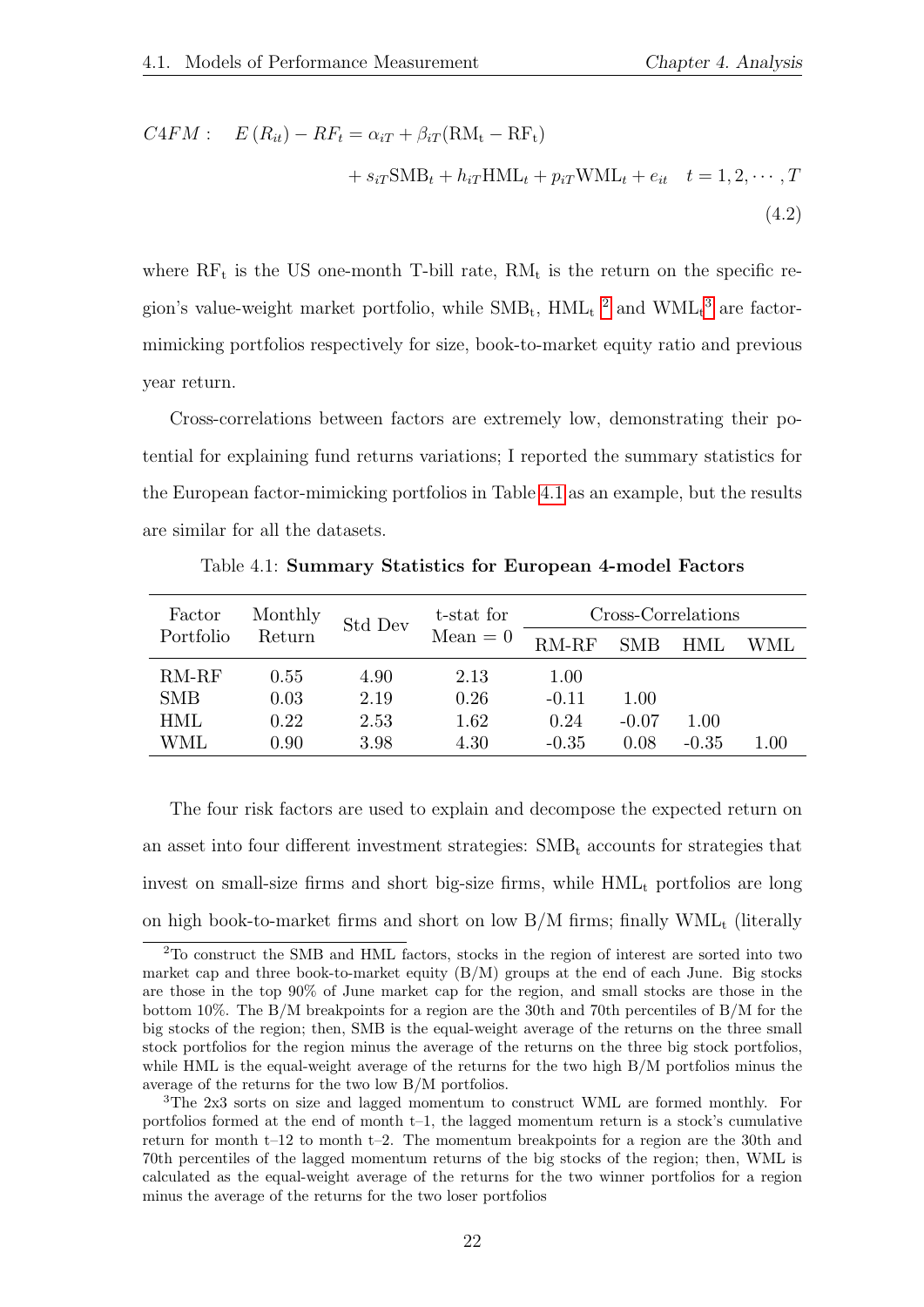$$
C4FM: \quad E(R_{it}) - RF_t = \alpha_{iT} + \beta_{iT}(RM_t - RF_t)
$$

$$
+ s_{iT}SMB_t + h_{iT}HML_t + p_{iT}WML_t + e_{it} \quad t = 1, 2, \cdots, T
$$
\n(4.2)

where  $RF_t$  is the US one-month T-bill rate,  $RM_t$  is the return on the specific region's value-weight market portfolio, while  $\text{SMB}_{t}$ ,  $\text{HML}_{t}$ <sup>[2](#page-21-1)</sup> and  $\text{WML}_{t}$ <sup>[3](#page-21-2)</sup> are factormimicking portfolios respectively for size, book-to-market equity ratio and previous year return.

Cross-correlations between factors are extremely low, demonstrating their potential for explaining fund returns variations; I reported the summary statistics for the European factor-mimicking portfolios in Table [4.1](#page-21-0) as an example, but the results are similar for all the datasets.

<span id="page-21-0"></span>

| Factor     | Monthly | Std Dev | t-stat for | Cross-Correlations |            |         |                        |  |
|------------|---------|---------|------------|--------------------|------------|---------|------------------------|--|
| Portfolio  | Return  |         | $Mean = 0$ | $RM-RF$            | <b>SMB</b> | HML     | WML                    |  |
| $RM-RF$    | 0.55    | 4.90    | 2.13       | 1.00               |            |         |                        |  |
| <b>SMB</b> | 0.03    | 2.19    | 0.26       | $-0.11$            | 1.00       |         |                        |  |
| <b>HML</b> | 0.22    | 2.53    | 1.62       | 0.24               | $-0.07$    | 1.00    |                        |  |
| WML        | 0.90    | 3.98    | 4.30       | $-0.35$            | 0.08       | $-0.35$ | $\mathord{\text{.}}00$ |  |

Table 4.1: Summary Statistics for European 4-model Factors

The four risk factors are used to explain and decompose the expected return on an asset into four different investment strategies:  $SMB_t$  accounts for strategies that invest on small-size firms and short big-size firms, while  $HML<sub>t</sub>$  portfolios are long on high book-to-market firms and short on low  $B/M$  firms; finally  $WML_t$  (literally

<span id="page-21-1"></span><sup>2</sup>To construct the SMB and HML factors, stocks in the region of interest are sorted into two market cap and three book-to-market equity  $(B/M)$  groups at the end of each June. Big stocks are those in the top 90% of June market cap for the region, and small stocks are those in the bottom 10%. The B/M breakpoints for a region are the 30th and 70th percentiles of B/M for the big stocks of the region; then, SMB is the equal-weight average of the returns on the three small stock portfolios for the region minus the average of the returns on the three big stock portfolios, while HML is the equal-weight average of the returns for the two high B/M portfolios minus the average of the returns for the two low B/M portfolios.

<span id="page-21-2"></span><sup>3</sup>The 2x3 sorts on size and lagged momentum to construct WML are formed monthly. For portfolios formed at the end of month t–1, the lagged momentum return is a stock's cumulative return for month t–12 to month t–2. The momentum breakpoints for a region are the 30th and 70th percentiles of the lagged momentum returns of the big stocks of the region; then, WML is calculated as the equal-weight average of the returns for the two winner portfolios for a region minus the average of the returns for the two loser portfolios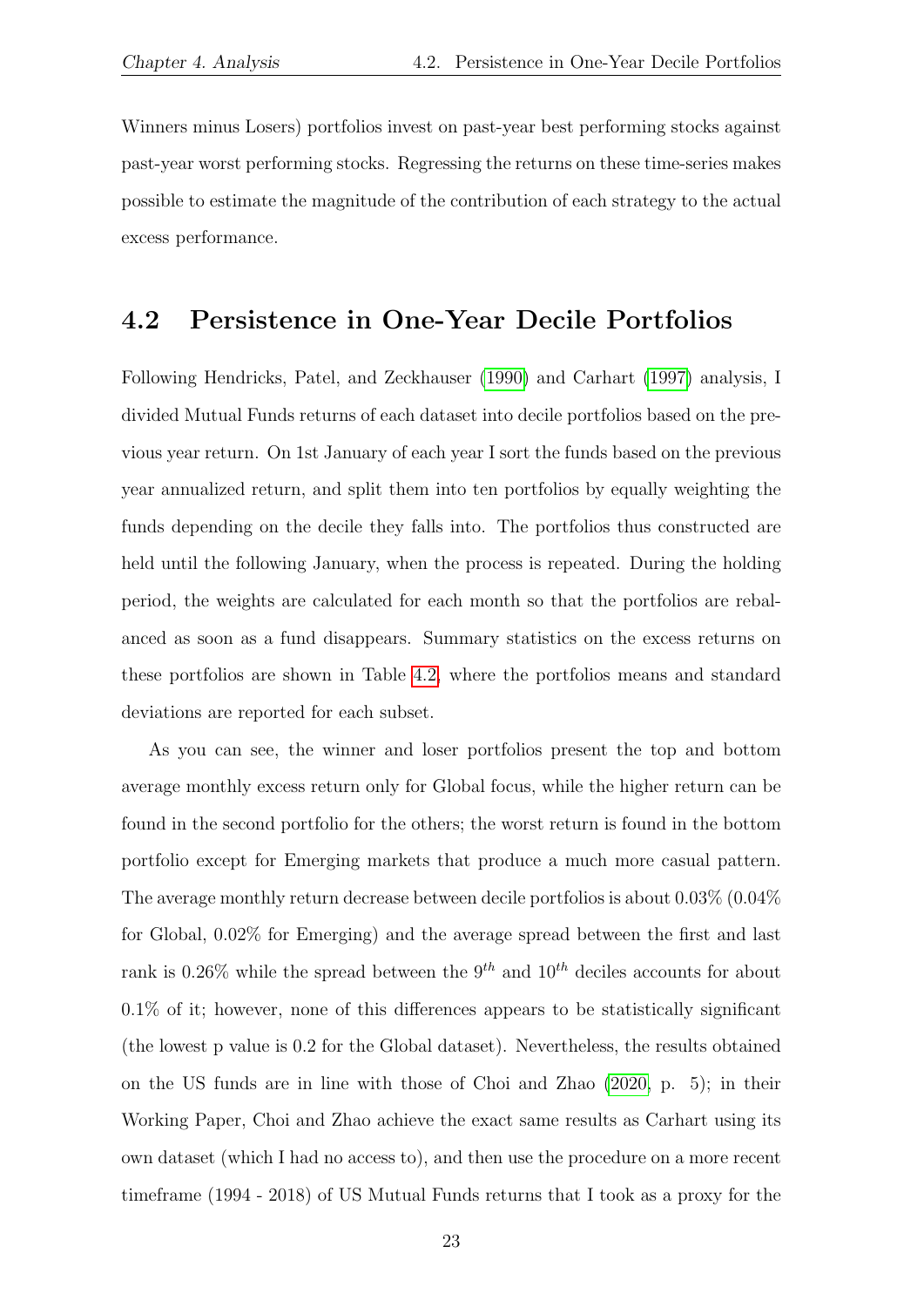Winners minus Losers) portfolios invest on past-year best performing stocks against past-year worst performing stocks. Regressing the returns on these time-series makes possible to estimate the magnitude of the contribution of each strategy to the actual excess performance.

### <span id="page-22-0"></span>4.2 Persistence in One-Year Decile Portfolios

Following Hendricks, Patel, and Zeckhauser [\(1990\)](#page-32-0) and Carhart [\(1997\)](#page-32-1) analysis, I divided Mutual Funds returns of each dataset into decile portfolios based on the previous year return. On 1st January of each year I sort the funds based on the previous year annualized return, and split them into ten portfolios by equally weighting the funds depending on the decile they falls into. The portfolios thus constructed are held until the following January, when the process is repeated. During the holding period, the weights are calculated for each month so that the portfolios are rebalanced as soon as a fund disappears. Summary statistics on the excess returns on these portfolios are shown in Table [4.2,](#page-23-0) where the portfolios means and standard deviations are reported for each subset.

As you can see, the winner and loser portfolios present the top and bottom average monthly excess return only for Global focus, while the higher return can be found in the second portfolio for the others; the worst return is found in the bottom portfolio except for Emerging markets that produce a much more casual pattern. The average monthly return decrease between decile portfolios is about 0.03% (0.04% for Global, 0.02% for Emerging) and the average spread between the first and last rank is 0.26% while the spread between the 9<sup>th</sup> and 10<sup>th</sup> deciles accounts for about 0.1% of it; however, none of this differences appears to be statistically significant (the lowest p value is 0.2 for the Global dataset). Nevertheless, the results obtained on the US funds are in line with those of Choi and Zhao [\(2020,](#page-32-11) p. 5); in their Working Paper, Choi and Zhao achieve the exact same results as Carhart using its own dataset (which I had no access to), and then use the procedure on a more recent timeframe (1994 - 2018) of US Mutual Funds returns that I took as a proxy for the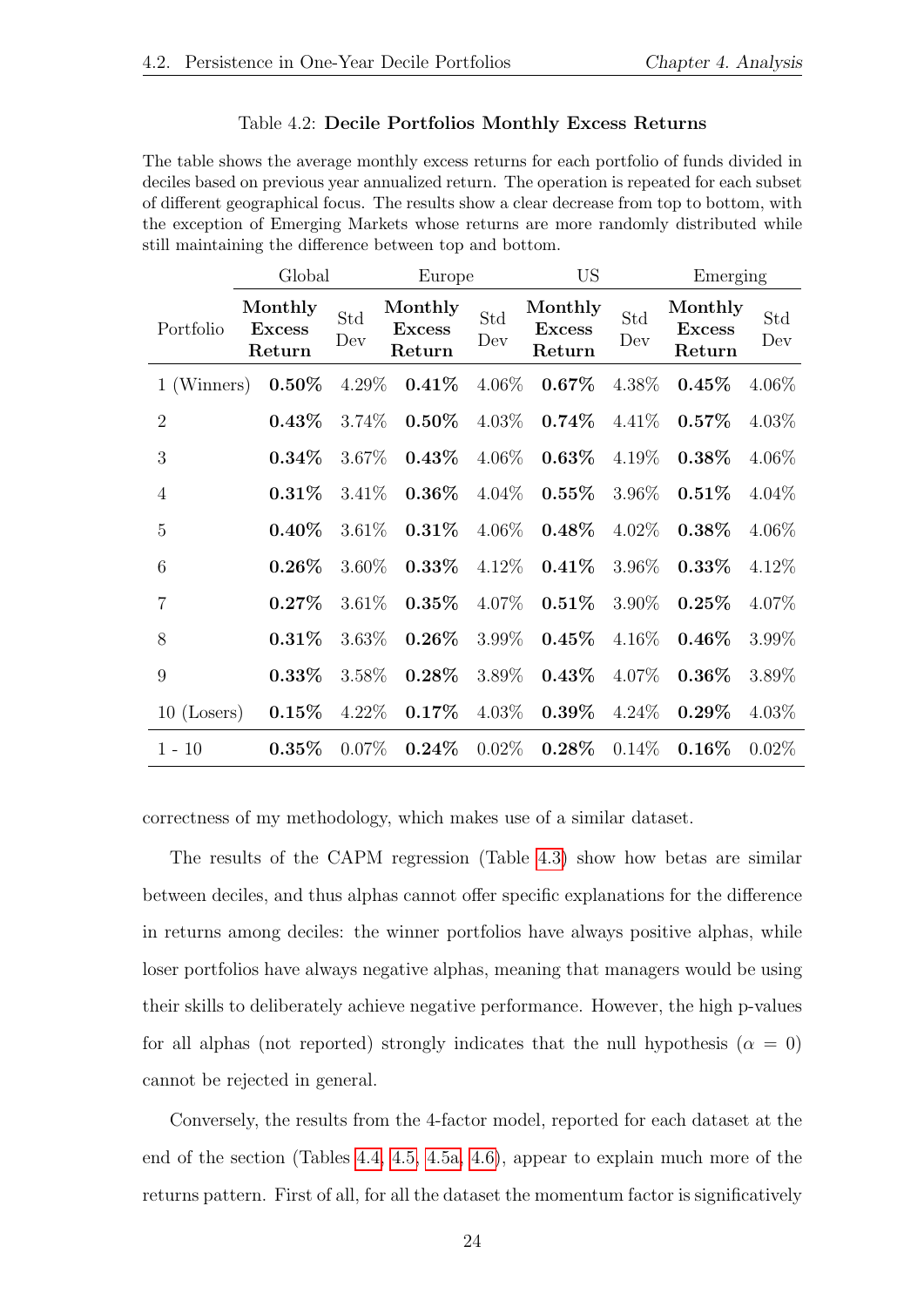#### Table 4.2: Decile Portfolios Monthly Excess Returns

<span id="page-23-0"></span>The table shows the average monthly excess returns for each portfolio of funds divided in deciles based on previous year annualized return. The operation is repeated for each subset of different geographical focus. The results show a clear decrease from top to bottom, with the exception of Emerging Markets whose returns are more randomly distributed while still maintaining the difference between top and bottom.

|                | Global                             | Europe     |                                    |            | US                                 |            | Emerging                           |            |
|----------------|------------------------------------|------------|------------------------------------|------------|------------------------------------|------------|------------------------------------|------------|
| Portfolio      | Monthly<br><b>Excess</b><br>Return | Std<br>Dev | Monthly<br><b>Excess</b><br>Return | Std<br>Dev | Monthly<br><b>Excess</b><br>Return | Std<br>Dev | Monthly<br><b>Excess</b><br>Return | Std<br>Dev |
| 1 (Winners)    | $0.50\%$                           | $4.29\%$   | $0.41\%$                           | 4.06%      | $0.67\%$                           | 4.38%      | $0.45\%$                           | $4.06\%$   |
| $\overline{2}$ | $0.43\%$                           | 3.74%      | $0.50\%$                           | $4.03\%$   | $0.74\%$                           | 4.41\%     | $0.57\%$                           | 4.03%      |
| 3              | $0.34\%$                           | 3.67%      | $0.43\%$                           | 4.06%      | $0.63\%$                           | 4.19%      | $0.38\%$                           | $4.06\%$   |
| $\overline{4}$ | $0.31\%$                           | $3.41\%$   | $0.36\%$                           | $4.04\%$   | $0.55\%$                           | 3.96%      | $0.51\%$                           | $4.04\%$   |
| $\overline{5}$ | $0.40\%$                           | $3.61\%$   | $0.31\%$                           | 4.06\%     | $0.48\%$                           | $4.02\%$   | $0.38\%$                           | 4.06%      |
| 6              | $0.26\%$                           | $3.60\%$   | $0.33\%$                           | 4.12%      | $0.41\%$                           | 3.96%      | $0.33\%$                           | 4.12%      |
| $\overline{7}$ | $0.27\%$                           | 3.61%      | $0.35\%$                           | 4.07%      | $0.51\%$                           | 3.90%      | $0.25\%$                           | 4.07%      |
| 8              | $0.31\%$                           | 3.63%      | $0.26\%$                           | 3.99%      | $0.45\%$                           | $4.16\%$   | $0.46\%$                           | 3.99%      |
| 9              | $0.33\%$                           | 3.58%      | $0.28\%$                           | 3.89%      | $0.43\%$                           | 4.07%      | $0.36\%$                           | 3.89%      |
| $10$ (Losers)  | $0.15\%$                           | $4.22\%$   | $0.17\%$                           | $4.03\%$   | $0.39\%$                           | $4.24\%$   | $0.29\%$                           | $4.03\%$   |
| $1 - 10$       | $0.35\%$                           | $0.07\%$   | $0.24\%$                           | $0.02\%$   | $0.28\%$                           | $0.14\%$   | $0.16\%$                           | $0.02\%$   |

correctness of my methodology, which makes use of a similar dataset.

The results of the CAPM regression (Table [4.3\)](#page-24-0) show how betas are similar between deciles, and thus alphas cannot offer specific explanations for the difference in returns among deciles: the winner portfolios have always positive alphas, while loser portfolios have always negative alphas, meaning that managers would be using their skills to deliberately achieve negative performance. However, the high p-values for all alphas (not reported) strongly indicates that the null hypothesis ( $\alpha = 0$ ) cannot be rejected in general.

Conversely, the results from the 4-factor model, reported for each dataset at the end of the section (Tables [4.4,](#page-25-0) [4.5, 4.5a,](#page-26-0) [4.6\)](#page-27-1), appear to explain much more of the returns pattern. First of all, for all the dataset the momentum factor is significatively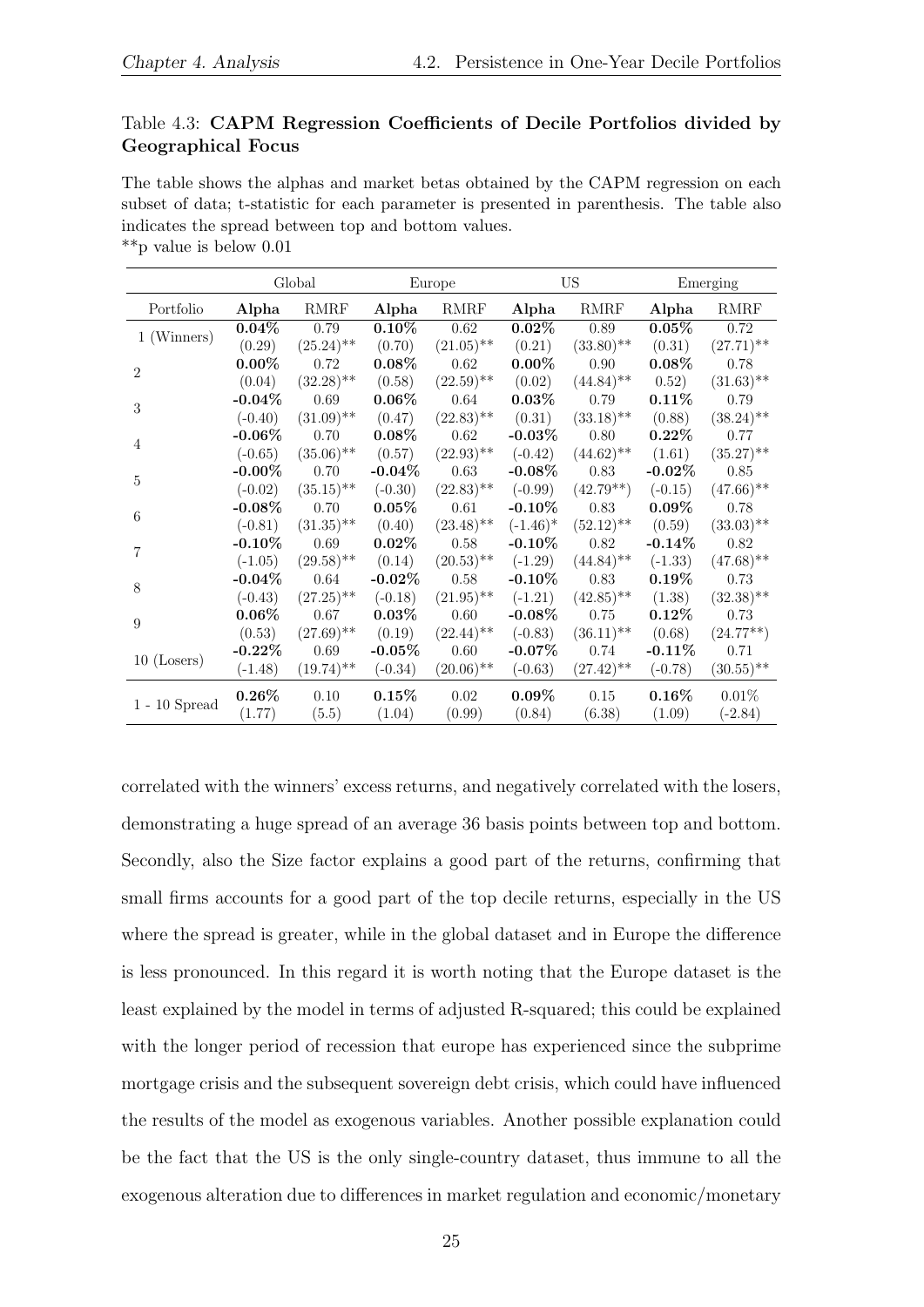#### <span id="page-24-0"></span>Table 4.3: CAPM Regression Coefficients of Decile Portfolios divided by Geographical Focus

The table shows the alphas and market betas obtained by the CAPM regression on each subset of data; t-statistic for each parameter is presented in parenthesis. The table also indicates the spread between top and bottom values. \*\*p value is below 0.01

| Portfolio<br><b>RMRF</b><br><b>RMRF</b><br><b>RMRF</b><br><b>RMRF</b><br>Alpha<br>Alpha<br>Alpha<br>Alpha<br>0.62<br>0.79<br>$0.10\%$<br>$0.02\%$<br>0.89<br>$0.05\%$<br>0.72<br>$0.04\%$<br>1 (Winners)<br>$(25.24)$ **<br>$(21.05)$ **<br>$(33.80)$ **<br>$(27.71)$ **<br>(0.29)<br>(0.70)<br>(0.21)<br>(0.31)<br>$0.08\%$<br>$0.00\%$<br>$0.08\%$<br>$0.00\%$<br>0.72<br>0.62<br>0.90<br>0.78<br>$\overline{2}$<br>$(32.28)$ **<br>$(22.59)$ **<br>$(44.84)$ **<br>$(31.63)$ **<br>(0.04)<br>(0.58)<br>(0.02)<br>0.52)<br>$0.06\%$<br>$0.03\%$<br>$0.11\%$<br>$-0.04\%$<br>0.69<br>0.64<br>0.79<br>0.79<br>3<br>$(31.09)$ **<br>$(22.83)$ **<br>$(33.18)$ **<br>$(38.24)$ **<br>(0.31)<br>(0.88)<br>$(-0.40)$<br>(0.47)<br>-0.06 $\%$<br>$0.08\%$<br>$-0.03\%$<br>$0.22\%$<br>0.70<br>0.62<br>0.80<br>0.77<br>4<br>$(35.06)$ **<br>$(22.93)$ **<br>$(35.27)$ **<br>(0.57)<br>$(-0.42)$<br>$(44.62)$ **<br>(1.61)<br>$(-0.65)$<br>-0.00 $\%$<br>$-0.04\%$<br>0.63<br>$-0.08\%$<br>$-0.02\%$<br>0.70<br>0.83<br>0.85<br>$\overline{5}$<br>$(35.15)$ **<br>$(22.83)$ **<br>$(47.66)$ **<br>$(-0.30)$<br>$(42.79**)$<br>$(-0.02)$<br>$(-0.99)$<br>$(-0.15)$<br>$-0.08\%$<br>0.70<br>$0.05\%$<br>0.61<br>-0.10 $\%$<br>0.83<br>$0.09\%$<br>0.78<br>6<br>$(31.35)$ **<br>$(23.48)$ **<br>$(52.12)$ **<br>$(33.03)$ **<br>(0.40)<br>$(-1.46)^*$<br>(0.59)<br>$(-0.81)$<br>$-0.10\%$<br>0.69<br>0.58<br>$-0.10\%$<br>0.82<br>$-0.14\%$<br>$0.02\%$<br>0.82<br>7<br>$(29.58)$ **<br>$(47.68)$ **<br>(0.14)<br>$(20.53)$ **<br>$(-1.29)$<br>$(44.84)$ <sup>**</sup><br>$(-1.05)$<br>$(-1.33)$<br>$-0.04\%$<br>$-0.10\%$<br>$0.19\%$<br>0.64<br>- $0.02\%$<br>0.58<br>0.83<br>0.73<br>8<br>$(27.25)$ **<br>$(21.95)$ **<br>$(32.38)$ **<br>$(-0.18)$<br>$(-1.21)$<br>$(42.85)$ **<br>(1.38)<br>$(-0.43)$<br>$0.06\%$<br>$0.03\%$<br>$-0.08\%$<br>$0.12\%$<br>0.67<br>0.60<br>0.75<br>0.73<br>9<br>$(27.69)$ **<br>$(22.44)$ **<br>(0.53)<br>(0.19)<br>$(-0.83)$<br>$(36.11)$ <sup>**</sup><br>(0.68)<br>$(24.77**)$<br>$-0.22\%$<br>$-0.05\%$<br>$-0.07\%$<br>0.69<br>0.60<br>$-0.11\%$<br>0.71<br>0.74<br>$10$ (Losers)<br>$(19.74)$ **<br>$(20.06)$ **<br>$(30.55)$ **<br>$(-1.48)$<br>$(-0.34)$<br>$(-0.63)$<br>$(27.42)$ **<br>$(-0.78)$<br>$0.26\%$<br>$0.15\%$<br>$0.09\%$<br>$0.16\%$<br>0.02<br>0.01%<br>0.10<br>0.15<br>$1$ - $10$ $\rm{Spread}$<br>(1.77) |  | Global |        | Europe |        | <b>US</b> |        | Emerging  |
|-------------------------------------------------------------------------------------------------------------------------------------------------------------------------------------------------------------------------------------------------------------------------------------------------------------------------------------------------------------------------------------------------------------------------------------------------------------------------------------------------------------------------------------------------------------------------------------------------------------------------------------------------------------------------------------------------------------------------------------------------------------------------------------------------------------------------------------------------------------------------------------------------------------------------------------------------------------------------------------------------------------------------------------------------------------------------------------------------------------------------------------------------------------------------------------------------------------------------------------------------------------------------------------------------------------------------------------------------------------------------------------------------------------------------------------------------------------------------------------------------------------------------------------------------------------------------------------------------------------------------------------------------------------------------------------------------------------------------------------------------------------------------------------------------------------------------------------------------------------------------------------------------------------------------------------------------------------------------------------------------------------------------------------------------------------------------------------------------------------------------------------------------------------------------------------------------------------------------------------------------------------------------------------------------------------------------------------------------------------|--|--------|--------|--------|--------|-----------|--------|-----------|
|                                                                                                                                                                                                                                                                                                                                                                                                                                                                                                                                                                                                                                                                                                                                                                                                                                                                                                                                                                                                                                                                                                                                                                                                                                                                                                                                                                                                                                                                                                                                                                                                                                                                                                                                                                                                                                                                                                                                                                                                                                                                                                                                                                                                                                                                                                                                                             |  |        |        |        |        |           |        |           |
|                                                                                                                                                                                                                                                                                                                                                                                                                                                                                                                                                                                                                                                                                                                                                                                                                                                                                                                                                                                                                                                                                                                                                                                                                                                                                                                                                                                                                                                                                                                                                                                                                                                                                                                                                                                                                                                                                                                                                                                                                                                                                                                                                                                                                                                                                                                                                             |  |        |        |        |        |           |        |           |
|                                                                                                                                                                                                                                                                                                                                                                                                                                                                                                                                                                                                                                                                                                                                                                                                                                                                                                                                                                                                                                                                                                                                                                                                                                                                                                                                                                                                                                                                                                                                                                                                                                                                                                                                                                                                                                                                                                                                                                                                                                                                                                                                                                                                                                                                                                                                                             |  |        |        |        |        |           |        |           |
|                                                                                                                                                                                                                                                                                                                                                                                                                                                                                                                                                                                                                                                                                                                                                                                                                                                                                                                                                                                                                                                                                                                                                                                                                                                                                                                                                                                                                                                                                                                                                                                                                                                                                                                                                                                                                                                                                                                                                                                                                                                                                                                                                                                                                                                                                                                                                             |  |        |        |        |        |           |        |           |
|                                                                                                                                                                                                                                                                                                                                                                                                                                                                                                                                                                                                                                                                                                                                                                                                                                                                                                                                                                                                                                                                                                                                                                                                                                                                                                                                                                                                                                                                                                                                                                                                                                                                                                                                                                                                                                                                                                                                                                                                                                                                                                                                                                                                                                                                                                                                                             |  |        |        |        |        |           |        |           |
|                                                                                                                                                                                                                                                                                                                                                                                                                                                                                                                                                                                                                                                                                                                                                                                                                                                                                                                                                                                                                                                                                                                                                                                                                                                                                                                                                                                                                                                                                                                                                                                                                                                                                                                                                                                                                                                                                                                                                                                                                                                                                                                                                                                                                                                                                                                                                             |  |        |        |        |        |           |        |           |
|                                                                                                                                                                                                                                                                                                                                                                                                                                                                                                                                                                                                                                                                                                                                                                                                                                                                                                                                                                                                                                                                                                                                                                                                                                                                                                                                                                                                                                                                                                                                                                                                                                                                                                                                                                                                                                                                                                                                                                                                                                                                                                                                                                                                                                                                                                                                                             |  |        |        |        |        |           |        |           |
|                                                                                                                                                                                                                                                                                                                                                                                                                                                                                                                                                                                                                                                                                                                                                                                                                                                                                                                                                                                                                                                                                                                                                                                                                                                                                                                                                                                                                                                                                                                                                                                                                                                                                                                                                                                                                                                                                                                                                                                                                                                                                                                                                                                                                                                                                                                                                             |  |        |        |        |        |           |        |           |
|                                                                                                                                                                                                                                                                                                                                                                                                                                                                                                                                                                                                                                                                                                                                                                                                                                                                                                                                                                                                                                                                                                                                                                                                                                                                                                                                                                                                                                                                                                                                                                                                                                                                                                                                                                                                                                                                                                                                                                                                                                                                                                                                                                                                                                                                                                                                                             |  |        |        |        |        |           |        |           |
|                                                                                                                                                                                                                                                                                                                                                                                                                                                                                                                                                                                                                                                                                                                                                                                                                                                                                                                                                                                                                                                                                                                                                                                                                                                                                                                                                                                                                                                                                                                                                                                                                                                                                                                                                                                                                                                                                                                                                                                                                                                                                                                                                                                                                                                                                                                                                             |  |        |        |        |        |           |        |           |
|                                                                                                                                                                                                                                                                                                                                                                                                                                                                                                                                                                                                                                                                                                                                                                                                                                                                                                                                                                                                                                                                                                                                                                                                                                                                                                                                                                                                                                                                                                                                                                                                                                                                                                                                                                                                                                                                                                                                                                                                                                                                                                                                                                                                                                                                                                                                                             |  |        |        |        |        |           |        |           |
|                                                                                                                                                                                                                                                                                                                                                                                                                                                                                                                                                                                                                                                                                                                                                                                                                                                                                                                                                                                                                                                                                                                                                                                                                                                                                                                                                                                                                                                                                                                                                                                                                                                                                                                                                                                                                                                                                                                                                                                                                                                                                                                                                                                                                                                                                                                                                             |  |        |        |        |        |           |        |           |
|                                                                                                                                                                                                                                                                                                                                                                                                                                                                                                                                                                                                                                                                                                                                                                                                                                                                                                                                                                                                                                                                                                                                                                                                                                                                                                                                                                                                                                                                                                                                                                                                                                                                                                                                                                                                                                                                                                                                                                                                                                                                                                                                                                                                                                                                                                                                                             |  |        |        |        |        |           |        |           |
|                                                                                                                                                                                                                                                                                                                                                                                                                                                                                                                                                                                                                                                                                                                                                                                                                                                                                                                                                                                                                                                                                                                                                                                                                                                                                                                                                                                                                                                                                                                                                                                                                                                                                                                                                                                                                                                                                                                                                                                                                                                                                                                                                                                                                                                                                                                                                             |  |        |        |        |        |           |        |           |
|                                                                                                                                                                                                                                                                                                                                                                                                                                                                                                                                                                                                                                                                                                                                                                                                                                                                                                                                                                                                                                                                                                                                                                                                                                                                                                                                                                                                                                                                                                                                                                                                                                                                                                                                                                                                                                                                                                                                                                                                                                                                                                                                                                                                                                                                                                                                                             |  |        |        |        |        |           |        |           |
|                                                                                                                                                                                                                                                                                                                                                                                                                                                                                                                                                                                                                                                                                                                                                                                                                                                                                                                                                                                                                                                                                                                                                                                                                                                                                                                                                                                                                                                                                                                                                                                                                                                                                                                                                                                                                                                                                                                                                                                                                                                                                                                                                                                                                                                                                                                                                             |  |        |        |        |        |           |        |           |
|                                                                                                                                                                                                                                                                                                                                                                                                                                                                                                                                                                                                                                                                                                                                                                                                                                                                                                                                                                                                                                                                                                                                                                                                                                                                                                                                                                                                                                                                                                                                                                                                                                                                                                                                                                                                                                                                                                                                                                                                                                                                                                                                                                                                                                                                                                                                                             |  |        |        |        |        |           |        |           |
|                                                                                                                                                                                                                                                                                                                                                                                                                                                                                                                                                                                                                                                                                                                                                                                                                                                                                                                                                                                                                                                                                                                                                                                                                                                                                                                                                                                                                                                                                                                                                                                                                                                                                                                                                                                                                                                                                                                                                                                                                                                                                                                                                                                                                                                                                                                                                             |  |        |        |        |        |           |        |           |
|                                                                                                                                                                                                                                                                                                                                                                                                                                                                                                                                                                                                                                                                                                                                                                                                                                                                                                                                                                                                                                                                                                                                                                                                                                                                                                                                                                                                                                                                                                                                                                                                                                                                                                                                                                                                                                                                                                                                                                                                                                                                                                                                                                                                                                                                                                                                                             |  |        |        |        |        |           |        |           |
|                                                                                                                                                                                                                                                                                                                                                                                                                                                                                                                                                                                                                                                                                                                                                                                                                                                                                                                                                                                                                                                                                                                                                                                                                                                                                                                                                                                                                                                                                                                                                                                                                                                                                                                                                                                                                                                                                                                                                                                                                                                                                                                                                                                                                                                                                                                                                             |  |        |        |        |        |           |        |           |
|                                                                                                                                                                                                                                                                                                                                                                                                                                                                                                                                                                                                                                                                                                                                                                                                                                                                                                                                                                                                                                                                                                                                                                                                                                                                                                                                                                                                                                                                                                                                                                                                                                                                                                                                                                                                                                                                                                                                                                                                                                                                                                                                                                                                                                                                                                                                                             |  |        |        |        |        |           |        |           |
|                                                                                                                                                                                                                                                                                                                                                                                                                                                                                                                                                                                                                                                                                                                                                                                                                                                                                                                                                                                                                                                                                                                                                                                                                                                                                                                                                                                                                                                                                                                                                                                                                                                                                                                                                                                                                                                                                                                                                                                                                                                                                                                                                                                                                                                                                                                                                             |  |        |        |        |        |           |        |           |
|                                                                                                                                                                                                                                                                                                                                                                                                                                                                                                                                                                                                                                                                                                                                                                                                                                                                                                                                                                                                                                                                                                                                                                                                                                                                                                                                                                                                                                                                                                                                                                                                                                                                                                                                                                                                                                                                                                                                                                                                                                                                                                                                                                                                                                                                                                                                                             |  | (5.5)  | (1.04) | (0.99) | (0.84) | (6.38)    | (1.09) | $(-2.84)$ |

correlated with the winners' excess returns, and negatively correlated with the losers, demonstrating a huge spread of an average 36 basis points between top and bottom. Secondly, also the Size factor explains a good part of the returns, confirming that small firms accounts for a good part of the top decile returns, especially in the US where the spread is greater, while in the global dataset and in Europe the difference is less pronounced. In this regard it is worth noting that the Europe dataset is the least explained by the model in terms of adjusted R-squared; this could be explained with the longer period of recession that europe has experienced since the subprime mortgage crisis and the subsequent sovereign debt crisis, which could have influenced the results of the model as exogenous variables. Another possible explanation could be the fact that the US is the only single-country dataset, thus immune to all the exogenous alteration due to differences in market regulation and economic/monetary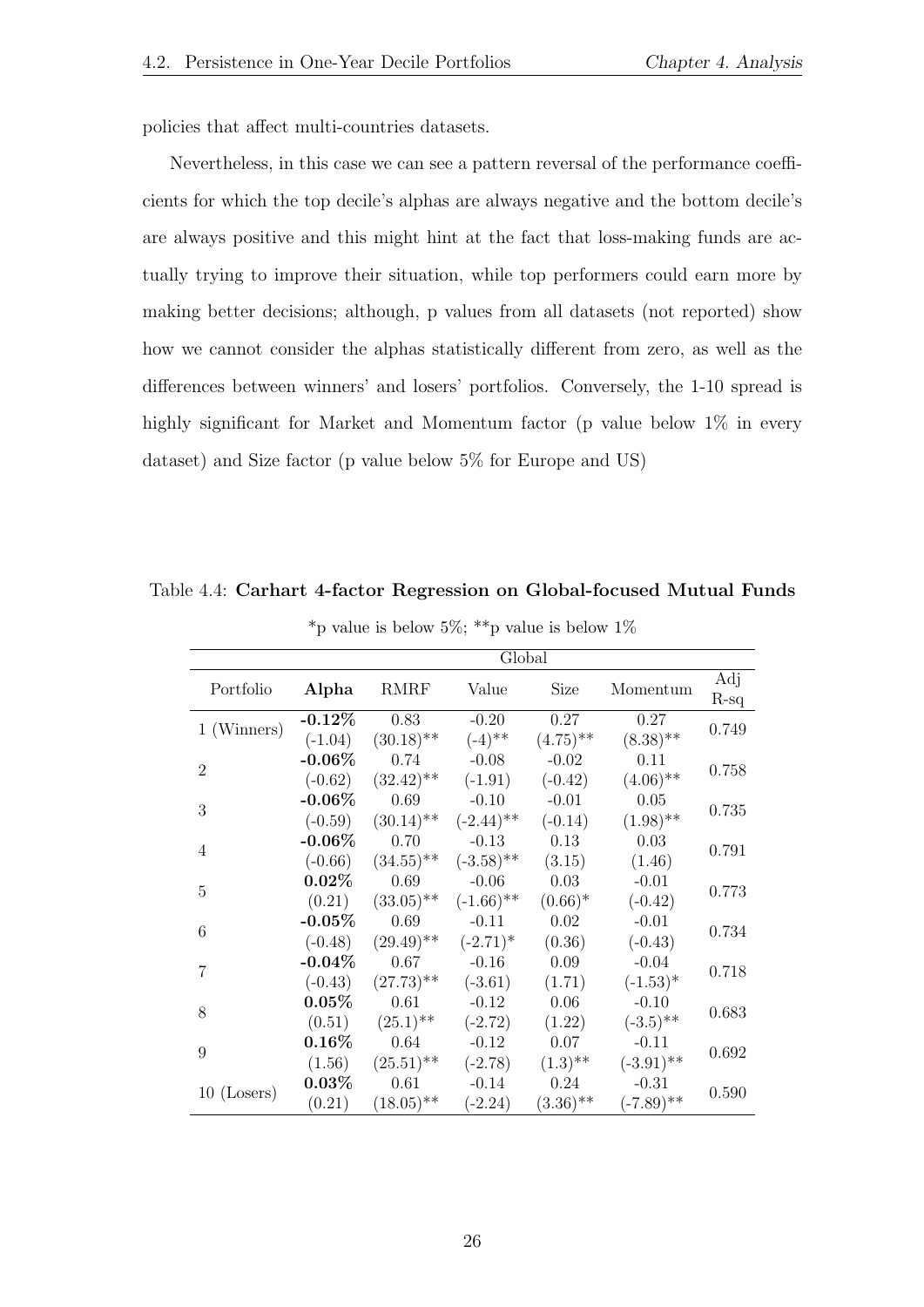policies that affect multi-countries datasets.

Nevertheless, in this case we can see a pattern reversal of the performance coefficients for which the top decile's alphas are always negative and the bottom decile's are always positive and this might hint at the fact that loss-making funds are actually trying to improve their situation, while top performers could earn more by making better decisions; although, p values from all datasets (not reported) show how we cannot consider the alphas statistically different from zero, as well as the differences between winners' and losers' portfolios. Conversely, the 1-10 spread is highly significant for Market and Momentum factor (p value below  $1\%$  in every dataset) and Size factor (p value below 5% for Europe and US)

<span id="page-25-0"></span>Table 4.4: Carhart 4-factor Regression on Global-focused Mutual Funds

|                |            |                                                           | Global                                          |             |              |               |
|----------------|------------|-----------------------------------------------------------|-------------------------------------------------|-------------|--------------|---------------|
| Portfolio      | Alpha      | <b>RMRF</b>                                               | Value                                           | Size        | Momentum     | Adj<br>$R-sq$ |
| 1 (Winners)    | $-0.12\%$  | 0.83                                                      | $-0.20$                                         | 0.27        | 0.27         | 0.749         |
|                | $(-1.04)$  | $(30.18)$ <sup>**</sup>                                   | $(-4)$ **                                       | $(4.75)$ ** | $(8.38)$ **  |               |
| $\mathfrak{D}$ | $-0.06\%$  | 0.74                                                      | $-0.08$                                         | $-0.02$     | 0.11         | 0.758         |
|                | $(-0.62)$  | $(32.42)$ **                                              | $(-1.91)$                                       | $(-0.42)$   | $(4.06)$ **  |               |
| 3              | $-0.06\%$  | 0.69                                                      | $-0.10$                                         | $-0.01$     | 0.05         | 0.735         |
|                | $(-0.59)$  | $(30.14)$ <sup>**</sup> $(-2.44)$ <sup>**</sup>           |                                                 | $(-0.14)$   | $(1.98)$ **  |               |
| $\overline{4}$ | $-0.06\%$  | 0.70                                                      | $-0.13$                                         | 0.13        | 0.03         | 0.791         |
|                |            | $(-0.66)$ $(34.55)$ <sup>**</sup> $(-3.58)$ <sup>**</sup> |                                                 | (3.15)      | (1.46)       |               |
| $\overline{5}$ | $0.02\%$   | 0.69                                                      | $-0.06$                                         | 0.03        | $-0.01$      |               |
|                | (0.21)     |                                                           | $(33.05)$ <sup>**</sup> $(-1.66)$ <sup>**</sup> | $(0.66)^*$  | $(-0.42)$    | 0.773         |
| 6              | $-0.05%$   | 0.69                                                      | $-0.11$                                         | 0.02        | $-0.01$      | 0.734         |
|                | $(-0.48)$  | $(29.49)$ <sup>**</sup> $(-2.71)$ <sup>*</sup>            |                                                 | (0.36)      | $(-0.43)$    |               |
|                | -0.04 $\%$ | 0.67                                                      | $-0.16$                                         | 0.09        | $-0.04$      |               |
| 7              | $(-0.43)$  | $(27.73)$ <sup>**</sup>                                   | $(-3.61)$                                       | (1.71)      | $(-1.53)^*$  | 0.718         |
|                | $0.05\%$   | 0.61                                                      | $-0.12$                                         | 0.06        | $-0.10$      |               |
| 8              | (0.51)     | $(25.1)$ <sup>**</sup>                                    | $(-2.72)$                                       | (1.22)      | $(-3.5)$ **  | 0.683         |
|                | $0.16\%$   | 0.64                                                      | $-0.12$                                         | 0.07        | $-0.11$      |               |
| 9              | (1.56)     | $(25.51)$ <sup>**</sup>                                   | $(-2.78)$                                       | $(1.3)$ **  | $(-3.91)$ ** | 0.692         |
|                | $0.03\%$   | 0.61                                                      | $-0.14$                                         | 0.24        | $-0.31$      |               |
| $10$ (Losers)  | (0.21)     | $(18.05)$ <sup>**</sup>                                   | $(-2.24)$                                       | $(3.36)$ ** | $(-7.89)$ ** | 0.590         |

\*p value is below  $5\%$ ; \*\*p value is below  $1\%$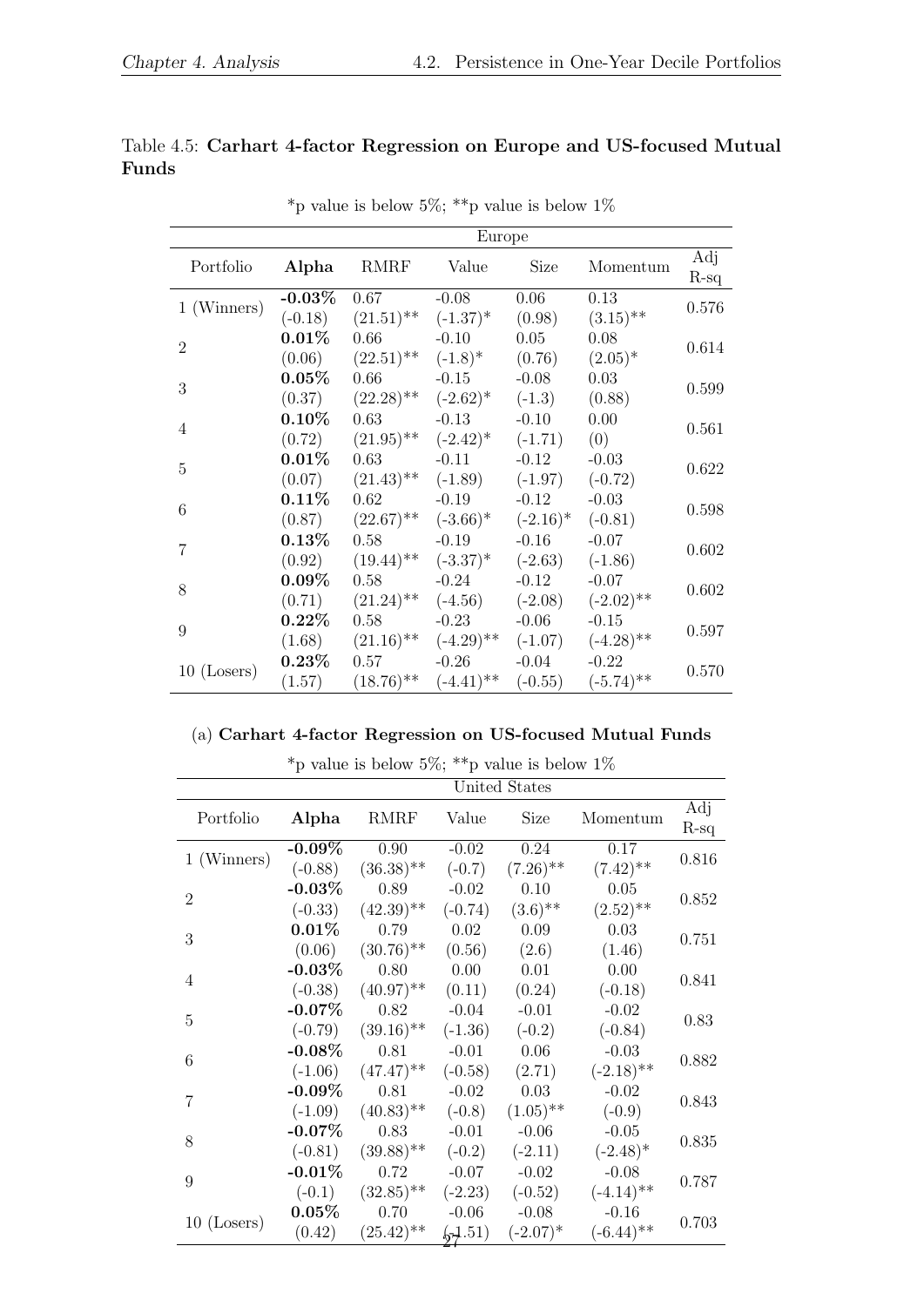<span id="page-26-0"></span>

|       |  |  |  | Table 4.5: Carhart 4-factor Regression on Europe and US-focused Mutual |  |
|-------|--|--|--|------------------------------------------------------------------------|--|
| Funds |  |  |  |                                                                        |  |

|                |               | Europe                                                                                     |                |          |                                   |               |  |  |  |
|----------------|---------------|--------------------------------------------------------------------------------------------|----------------|----------|-----------------------------------|---------------|--|--|--|
| Portfolio      | Alpha         | RMRF Value                                                                                 |                | Size     | Momentum                          | Adj<br>$R-sq$ |  |  |  |
| 1 (Winners)    | -0.03 $\%$    | 0.67                                                                                       | $-0.08$        | 0.06     | 0.13                              | 0.576         |  |  |  |
|                |               | $(-0.18)$ $(21.51)$ <sup>**</sup> $(-1.37)$ <sup>*</sup>                                   |                | (0.98)   | $(3.15)$ **                       |               |  |  |  |
| $\overline{2}$ | $0.01\%$      | 0.66                                                                                       | $-0.10$        | 0.05     | 0.08                              | 0.614         |  |  |  |
|                |               | $(0.06)$ $(22.51)$ <sup>**</sup> $(-1.8)$ <sup>*</sup>                                     |                | (0.76)   | $(2.05)^*$                        |               |  |  |  |
| 3              | $0.05\%$      | 0.66                                                                                       | $-0.15$        | $-0.08$  | 0.03                              | 0.599         |  |  |  |
|                |               | $(0.37)$ $(22.28)$ <sup>**</sup> $(-2.62)$ <sup>*</sup>                                    |                | $(-1.3)$ | (0.88)                            |               |  |  |  |
| 4              | $0.10\%$ 0.63 |                                                                                            | $-0.13$        | $-0.10$  | $0.00\,$                          | 0.561         |  |  |  |
|                |               | $(0.72)$ $(21.95)$ <sup>**</sup> $(-2.42)$ <sup>*</sup> $(-1.71)$                          |                |          | (0)                               |               |  |  |  |
| $\mathbf 5$    | $0.01\%$      |                                                                                            | $0.63$ $-0.11$ | $-0.12$  | $-0.03$                           | 0.622         |  |  |  |
|                |               | $(0.07)$ $(21.43)$ <sup>**</sup> $(-1.89)$ $(-1.97)$ $(-0.72)$                             |                |          |                                   |               |  |  |  |
| 6              | $0.11\%$      |                                                                                            | $0.62$ $-0.19$ | $-0.12$  | $-0.03$                           | 0.598         |  |  |  |
|                |               | $(0.87)$ $(22.67)$ <sup>**</sup> $(-3.66)$ <sup>*</sup> $(-2.16)$ <sup>*</sup> $(-0.81)$   |                |          |                                   |               |  |  |  |
| $\overline{7}$ | $0.13\%$      | 0.58                                                                                       | $-0.19$        | $-0.16$  | $-0.07$                           | 0.602         |  |  |  |
|                |               | $(0.92)$ $(19.44)$ <sup>**</sup> $(-3.37)$ <sup>*</sup> $(-2.63)$ $(-1.86)$                |                |          |                                   |               |  |  |  |
| 8              | $0.09\%$      | 0.58                                                                                       | $-0.24$        | $-0.12$  | $-0.07$                           | 0.602         |  |  |  |
|                |               | $(0.71)$ $(21.24)$ <sup>**</sup> $(-4.56)$                                                 |                |          | $(-2.08)$ $(-2.02)$ <sup>**</sup> |               |  |  |  |
| 9              | $0.22\%$      |                                                                                            | $0.58$ $-0.23$ | $-0.06$  | $-0.15$                           | 0.597         |  |  |  |
|                |               | $(1.68)$ $(21.16)$ <sup>**</sup> $(-4.29)$ <sup>**</sup> $(-1.07)$ $(-4.28)$ <sup>**</sup> |                |          |                                   |               |  |  |  |
|                |               | $0.23\%$ 0.57 $-0.26$                                                                      |                | $-0.04$  | $-0.22$                           | 0.570         |  |  |  |
| $10$ (Losers)  | (1.57)        | $(18.76)$ <sup>**</sup> $(-4.41)$ <sup>**</sup> $(-0.55)$                                  |                |          | $(-5.74)$ **                      |               |  |  |  |

 $^*\!p$  value is below  $5\%;$   $^{**}\!p$  value is below  $1\%$ 

#### (a) Carhart 4-factor Regression on US-focused Mutual Funds

|                |            | United States           |                  |                    |              |               |  |  |  |  |  |
|----------------|------------|-------------------------|------------------|--------------------|--------------|---------------|--|--|--|--|--|
| Portfolio      | Alpha      | <b>RMRF</b>             | Value            | <b>Size</b>        | Momentum     | Adj<br>$R-sq$ |  |  |  |  |  |
| 1 (Winners)    | $-0.09\%$  | 0.90                    | $-0.02$          | 0.24               | 0.17         | 0.816         |  |  |  |  |  |
|                | $(-0.88)$  | $(36.38)$ **            | $(-0.7)$         | $(7.26)$ **        | $(7.42)$ **  |               |  |  |  |  |  |
| $\overline{2}$ | $-0.03\%$  | 0.89                    | $-0.02$          | 0.10               | 0.05         | 0.852         |  |  |  |  |  |
|                | $(-0.33)$  | $(42.39)$ **            | $(-0.74)$        | $(3.6)$ **         | $(2.52)$ **  |               |  |  |  |  |  |
| 3              | $0.01\%$   | 0.79                    | 0.02             | 0.09               | 0.03         | 0.751         |  |  |  |  |  |
|                | (0.06)     | $(30.76)$ <sup>**</sup> | (0.56)           | (2.6)              | (1.46)       |               |  |  |  |  |  |
|                | - $0.03\%$ | 0.80                    | 0.00             | 0.01               | 0.00         |               |  |  |  |  |  |
| 4              | $(-0.38)$  | $(40.97)$ **            | (0.11)           | (0.24)             | $(-0.18)$    | 0.841         |  |  |  |  |  |
|                | $-0.07\%$  | 0.82                    | $-0.04$          | $-0.01$            | $-0.02$      |               |  |  |  |  |  |
| 5              | $(-0.79)$  | $(39.16)$ <sup>**</sup> | $(-1.36)$        | $(-0.2)$           | $(-0.84)$    | 0.83          |  |  |  |  |  |
|                | $-0.08\%$  | 0.81                    | $-0.01$          | 0.06               | $-0.03$      |               |  |  |  |  |  |
| 6              | $(-1.06)$  | $(47.47)$ <sup>**</sup> | $(-0.58)$        | (2.71)             | $(-2.18)$ ** | 0.882         |  |  |  |  |  |
|                | $-0.09\%$  | 0.81                    | $-0.02$          | 0.03               | $-0.02$      |               |  |  |  |  |  |
| 7              | $(-1.09)$  | $(40.83)$ <sup>**</sup> | $(-0.8)$         | $(1.05)$ **        | $(-0.9)$     | 0.843         |  |  |  |  |  |
|                | $-0.07\%$  | 0.83                    | $-0.01$          | $-0.06$            | $-0.05$      |               |  |  |  |  |  |
| 8              | $(-0.81)$  | $(39.88)$ **            |                  | $(-0.2)$ $(-2.11)$ | $(-2.48)$ *  | 0.835         |  |  |  |  |  |
|                | $-0.01\%$  | 0.72                    | $-0.07$          | $-0.02$            | $-0.08$      |               |  |  |  |  |  |
| 9              | $(-0.1)$   | $(32.85)$ <sup>**</sup> | $(-2.23)$        | $(-0.52)$          | $(-4.14)$ ** | 0.787         |  |  |  |  |  |
|                | $0.05\%$   | 0.70                    | $-0.06$          | $-0.08$            | $-0.16$      |               |  |  |  |  |  |
| $10$ (Losers)  | (0.42)     | $(25.42)$ **            | $\frac{1.51}{2}$ | $(-2.07)^*$        | $(-6.44)$ ** | 0.703         |  |  |  |  |  |

\*p value is below 5%; \*\*p value is below 1%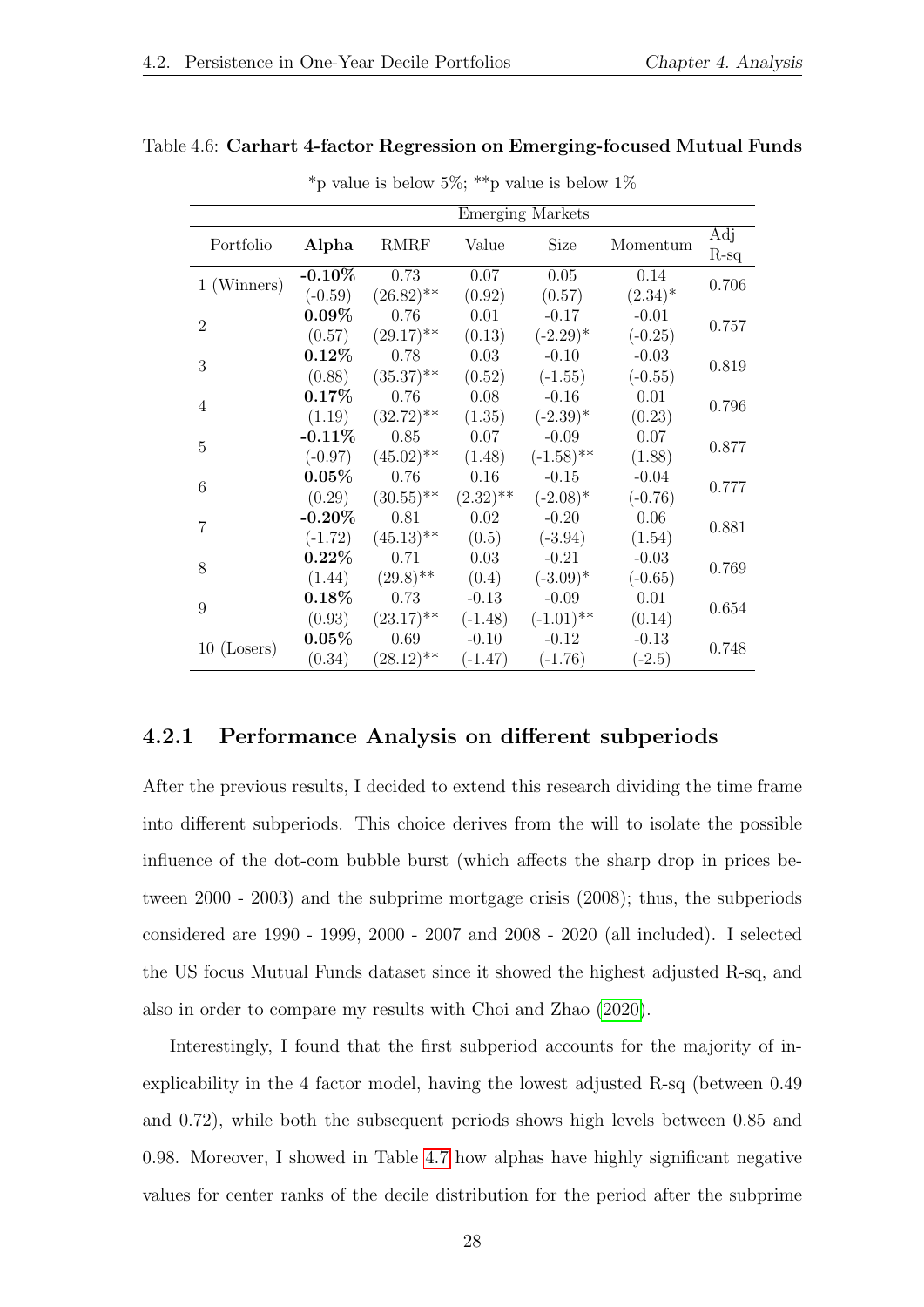#### <span id="page-27-1"></span>Table 4.6: Carhart 4-factor Regression on Emerging-focused Mutual Funds

|                |           |                                  |                        | <b>Emerging Markets</b> |            |               |
|----------------|-----------|----------------------------------|------------------------|-------------------------|------------|---------------|
| Portfolio      | Alpha     | <b>RMRF</b>                      | Value                  | Size                    | Momentum   | Adj<br>$R-sq$ |
| 1 (Winners)    | $-0.10\%$ | 0.73                             | 0.07                   | 0.05                    | 0.14       | 0.706         |
|                | $(-0.59)$ | $(26.82)$ **                     | (0.92)                 | (0.57)                  | $(2.34)^*$ |               |
| $\overline{2}$ | $0.09\%$  | 0.76                             | 0.01                   | $-0.17$                 | $-0.01$    | 0.757         |
|                | (0.57)    | $(29.17)$ **                     | (0.13)                 | $(-2.29)^*$             | $(-0.25)$  |               |
| 3              | $0.12\%$  | 0.78                             | 0.03                   | $-0.10$                 | $-0.03$    |               |
|                | (0.88)    | $(35.37)$ **                     | (0.52)                 | $(-1.55)$               | $(-0.55)$  | 0.819         |
| 4              | $0.17\%$  | 0.76                             | 0.08                   | $-0.16$                 | 0.01       | 0.796         |
|                | (1.19)    | $(32.72)$ <sup>**</sup> $(1.35)$ |                        | $(-2.39)^*$             | (0.23)     |               |
| $\mathbf 5$    | $-0.11\%$ | 0.85                             | 0.07                   | $-0.09$                 | $0.07\,$   | 0.877         |
|                | $(-0.97)$ | $(45.02)$ **                     | (1.48)                 | $(-1.58)$ **            | (1.88)     |               |
| 6              | $0.05\%$  | 0.76                             | 0.16                   | $-0.15$                 | $-0.04$    | 0.777         |
|                | (0.29)    | $(30.55)$ <sup>**</sup>          | $(2.32)$ <sup>**</sup> | $(-2.08)^*$             | $(-0.76)$  |               |
| 7              | $-0.20\%$ | 0.81                             | 0.02                   | $-0.20$                 | 0.06       | 0.881         |
|                | $(-1.72)$ | $(45.13)$ **                     | (0.5)                  | $(-3.94)$               | (1.54)     |               |
| 8              | $0.22\%$  | 0.71                             | 0.03                   | $-0.21$                 | $-0.03$    | 0.769         |
|                | (1.44)    | $(29.8)$ <sup>**</sup>           | (0.4)                  | $(-3.09)^*$             | $(-0.65)$  |               |
| 9              | $0.18\%$  | 0.73                             | $-0.13$                | $-0.09$                 | 0.01       | 0.654         |
|                | (0.93)    | $(23.17)$ <sup>**</sup>          | $(-1.48)$              | $(-1.01)$ **            | (0.14)     |               |
| $10$ (Losers)  | $0.05\%$  | 0.69                             | $-0.10$                | $-0.12$                 | $-0.13$    | 0.748         |
|                | (0.34)    | $(28.12)$ **                     | $(-1.47)$              | $(-1.76)$               | $(-2.5)$   |               |

\*p value is below 5%; \*\*p value is below 1%

#### <span id="page-27-0"></span>4.2.1 Performance Analysis on different subperiods

After the previous results, I decided to extend this research dividing the time frame into different subperiods. This choice derives from the will to isolate the possible influence of the dot-com bubble burst (which affects the sharp drop in prices between 2000 - 2003) and the subprime mortgage crisis (2008); thus, the subperiods considered are 1990 - 1999, 2000 - 2007 and 2008 - 2020 (all included). I selected the US focus Mutual Funds dataset since it showed the highest adjusted R-sq, and also in order to compare my results with Choi and Zhao [\(2020\)](#page-32-11).

Interestingly, I found that the first subperiod accounts for the majority of inexplicability in the 4 factor model, having the lowest adjusted R-sq (between 0.49 and 0.72), while both the subsequent periods shows high levels between 0.85 and 0.98. Moreover, I showed in Table [4.7](#page-29-0) how alphas have highly significant negative values for center ranks of the decile distribution for the period after the subprime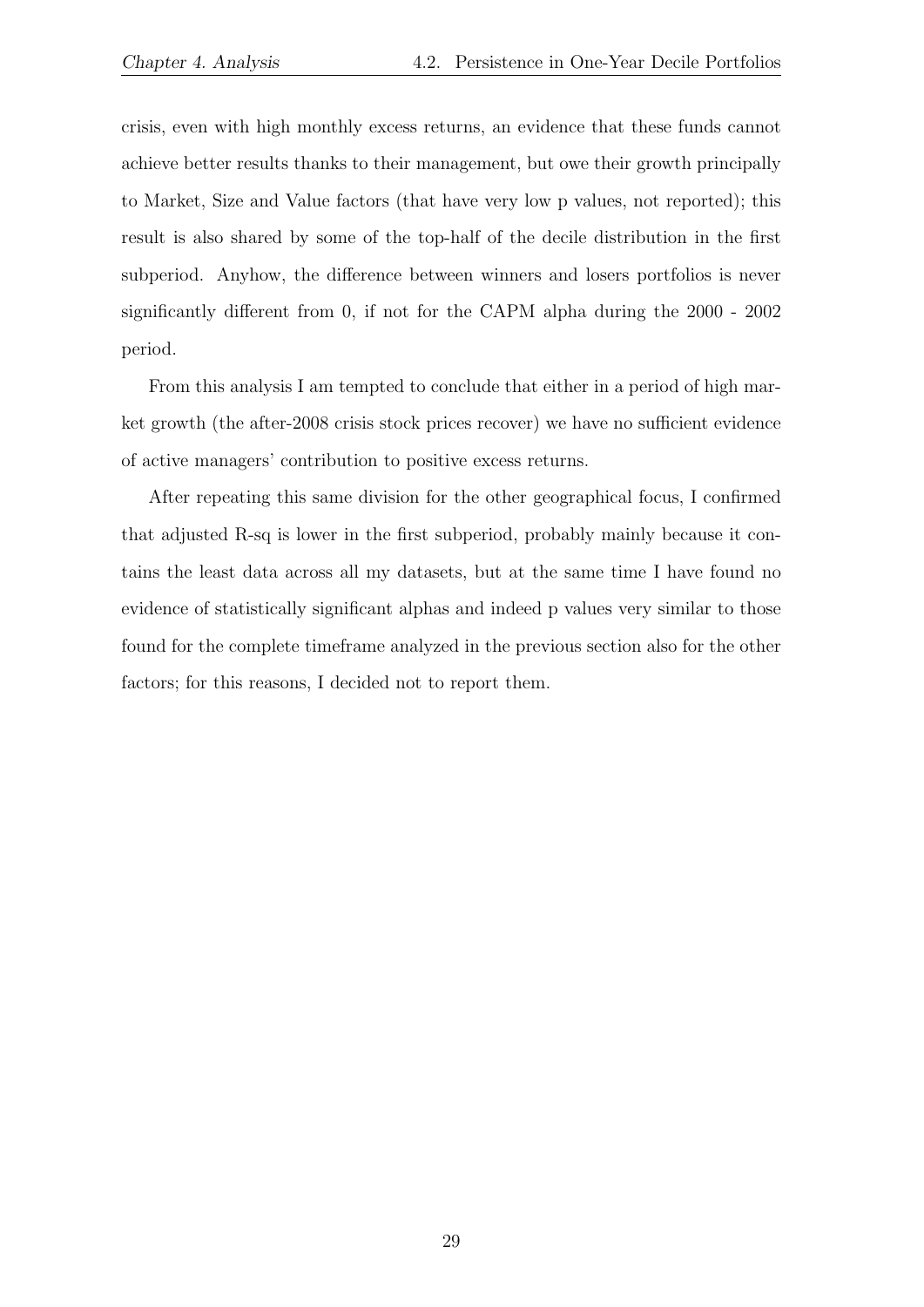crisis, even with high monthly excess returns, an evidence that these funds cannot achieve better results thanks to their management, but owe their growth principally to Market, Size and Value factors (that have very low p values, not reported); this result is also shared by some of the top-half of the decile distribution in the first subperiod. Anyhow, the difference between winners and losers portfolios is never significantly different from 0, if not for the CAPM alpha during the 2000 - 2002 period.

From this analysis I am tempted to conclude that either in a period of high market growth (the after-2008 crisis stock prices recover) we have no sufficient evidence of active managers' contribution to positive excess returns.

After repeating this same division for the other geographical focus, I confirmed that adjusted R-sq is lower in the first subperiod, probably mainly because it contains the least data across all my datasets, but at the same time I have found no evidence of statistically significant alphas and indeed p values very similar to those found for the complete timeframe analyzed in the previous section also for the other factors; for this reasons, I decided not to report them.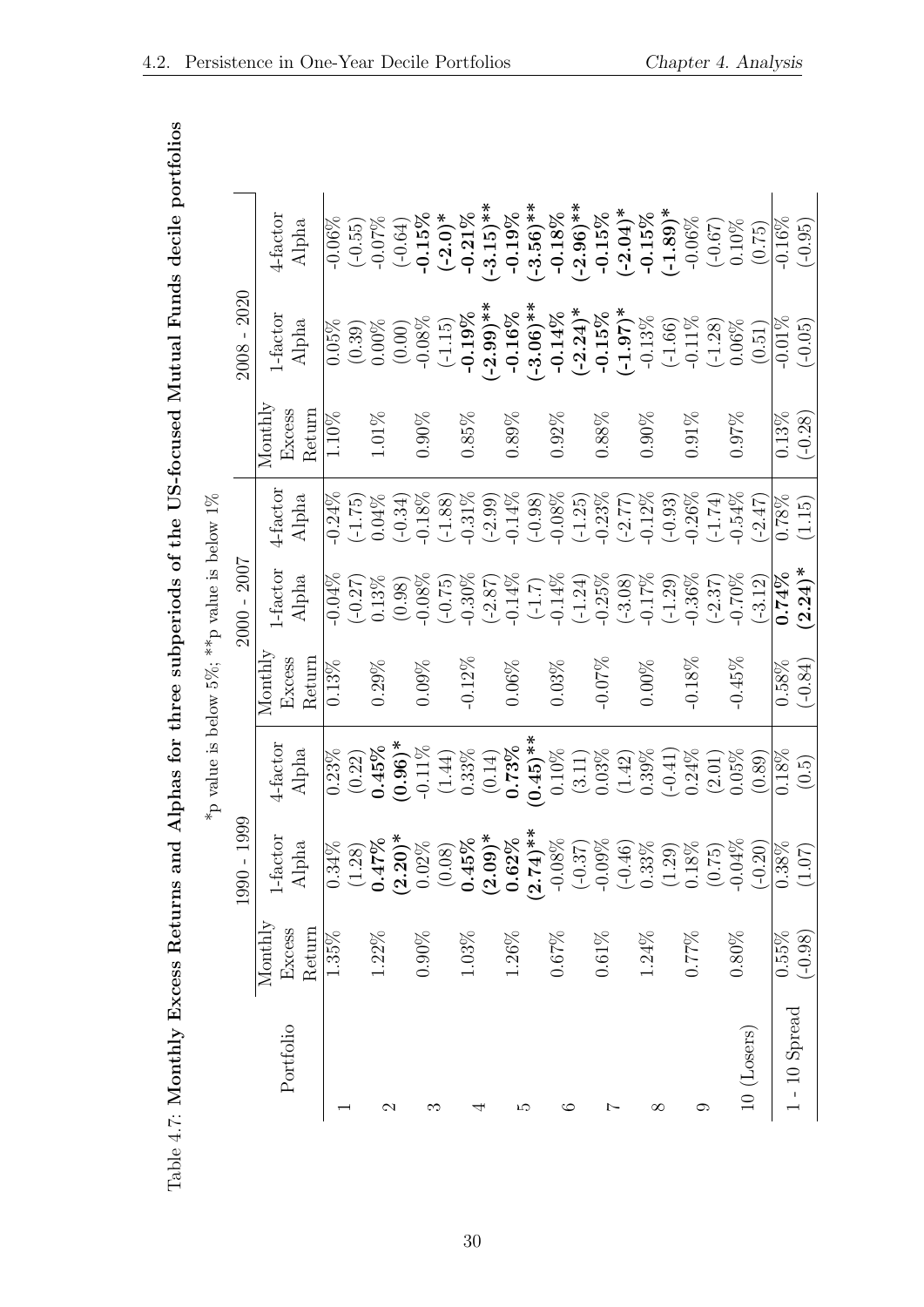| lphas for three subperiods of the US-focused Mutual Funds decile portiolios |
|-----------------------------------------------------------------------------|
| I                                                                           |
| <br> <br>                                                                   |
| $\ddot{\phantom{0}}$                                                        |
| $\ddot{\phantom{0}}$                                                        |
| くりり                                                                         |
|                                                                             |
|                                                                             |
| l                                                                           |
|                                                                             |
|                                                                             |
|                                                                             |
|                                                                             |
| l<br>١                                                                      |
| ļ                                                                           |
| I                                                                           |
| ı<br>İ                                                                      |
|                                                                             |
| l                                                                           |

|                 |                  |             | *p value is below 5%; **p value is below 1% |                  |                    |                        |                  |                           |                       |
|-----------------|------------------|-------------|---------------------------------------------|------------------|--------------------|------------------------|------------------|---------------------------|-----------------------|
|                 |                  | 1990 - 1999 |                                             |                  | $2000 - 2007$      |                        |                  | $2008 - 2020$             |                       |
| Portfolio       | $M$ ont $h$ ly   | 1-factor    | 4-factor                                    | $M$ onthly       | $1-factor$         | 4-factor               | ${\tt Counthly}$ | 1-factor                  | 4-factor              |
|                 | Return<br>Excess | Alpha       | Alpha                                       | Return<br>Excess | Alpha              | Alpha                  | Excess<br>Return | Alpha                     | Alpha                 |
|                 | $1.35\%$         | $0.34\%$    | $0.23\%$                                    | $0.13\%$         | $-0.04%$           | $-0.24%$               | 1.10%            | 0.05%                     | $-0.06\%$             |
|                 |                  | (1.28)      | (0.22)                                      |                  |                    |                        |                  |                           | $(-0.55)$             |
|                 | $1.22\%$         | $0.47\%$    | $0.45\%$                                    | $0.29\%$         | $(-0.27)$<br>0.13% | $( -1.75)$<br>0.04%    | $1.01\%$         | $(0.39)$<br>$0.00\%$      | $-0.07\%$             |
| $\mathcal Q$    |                  | $(2.20)*$   | $(0.96)^*$                                  |                  | (0.98)             | $(-0.34)$              |                  | (0.00)                    | $(-0.64)$             |
|                 | $0.90\%$         | $0.02\%$    | $-0.11\%$                                   | 0.09%            | $-0.08%$           | $-0.18\%$              | 0.90%            | $-0.08%$                  | $-0.15\%$             |
| ಌ               |                  | (0.08)      | (1.44)                                      |                  | $(-0.75)$          | $(-1.88)$              |                  | $(-1.15)$                 | $(-2.0)$ *            |
|                 | $1.03\%$         | $0.45\%$    | $0.33\%$                                    | $-0.12%$         | $-0.30%$           | $-0.31\%$              | 0.85%            | $-0.19\%$                 | $-0.21\%$             |
| ↤               |                  | $(2.09)*$   | (0.14)                                      |                  | $(-2.87)$          | $(-2.99)$              |                  | $-2.99$ <sup>**</sup>     | $-3.15$ <sup>**</sup> |
|                 | $1.26\%$         | $0.62\%$    | $0.73\%$                                    | $0.06\%$         | $-0.14\%$          | $-0.14%$               | $0.89\%$         |                           | $-0.19\%$             |
| LO              |                  | $(2.74)$ ** | $(0.45)$ **                                 |                  | (1.7)              | $(-0.98)$              |                  | $-0.16\%$<br>$(-3.06)$ ** | $-3.56$ <sup>**</sup> |
| ం               | $0.67\%$         | $-0.08%$    | $0.10\%$                                    | $0.03\%$         | $-0.14\%$          | $-0.08\%$              | $0.92\%$         | $-0.14\%$                 | $-0.18%$              |
|                 |                  | $(-0.37)$   |                                             |                  | $(-1.24)$          |                        |                  | $(-2.24)$ *               | $-2.96$ <sup>**</sup> |
| $\overline{ }$  | $0.61\%$         | $-0.09%$    | $(3.11)$<br>$0.03\%$                        | $-0.07\%$        | $-0.25%$           | $(-1.25)$<br>$-0.23\%$ | $0.88\%$         | $-0.15\%$                 | $-0.15\%$             |
|                 |                  | $(-0.46)$   | (1.42)                                      |                  | $(-3.08)$          | $(-2.77)$              |                  | $(-1.97)$ *               |                       |
|                 | $1.24\%$         | $0.33\%$    | $0.39\%$                                    | $0.00\%$         | $-0.17%$           | $-0.12\%$              | 0.90%            | $-0.13\%$                 | $(-2.04)^*$<br>-0.15% |
| $\infty$        |                  | (1.29)      | $(-0.41)$                                   |                  | $(-1.29)$          | $(-0.93)$              |                  |                           | $(-1.89)^*$           |
|                 | 0.77%            | $0.18\%$    | 0.24%                                       | $-0.18%$         | $-0.36\%$          | $-0.26\%$              | $0.91\%$         | $(-1.66)$<br>-0.11%       | $-0.06%$              |
| ౧               |                  | (0.75)      | (2.01)                                      |                  | $(-2.37)$          | $(-1.74)$              |                  | $(-1.28)$<br>0.06%        | $(-0.67)$             |
|                 | $0.80\%$         | $-0.04\%$   | 0.5%                                        | $-0.45%$         | $-0.70\%$          | $-0.54%$               | $0.97\%$         |                           | $0.10\%$              |
| 10 (Losers)     |                  | $(-0.20)$   | (0.89)                                      |                  | $(-3.12)$          | $(-2.47)$              |                  | (0.51)                    | (0.75)                |
|                 | 0.55%            | $0.38\%$    | $0.18\%$                                    | $0.58\%$         | $0.74\%$           | $0.78\%$               | $0.13\%$         | $-0.01\%$                 | $-0.16\%$             |
| $1 - 10$ Spread | (98)             | (1.07)      | (0.5)                                       | $(-0.84)$        | $(2.24)$ *         | (1.15)                 | $(-0.28)$        | $(-0.05)$                 | $(-0.95)$             |

<span id="page-29-0"></span>4.2. Persistence in One-Year Decile Portfolios Chapter 4. Analysis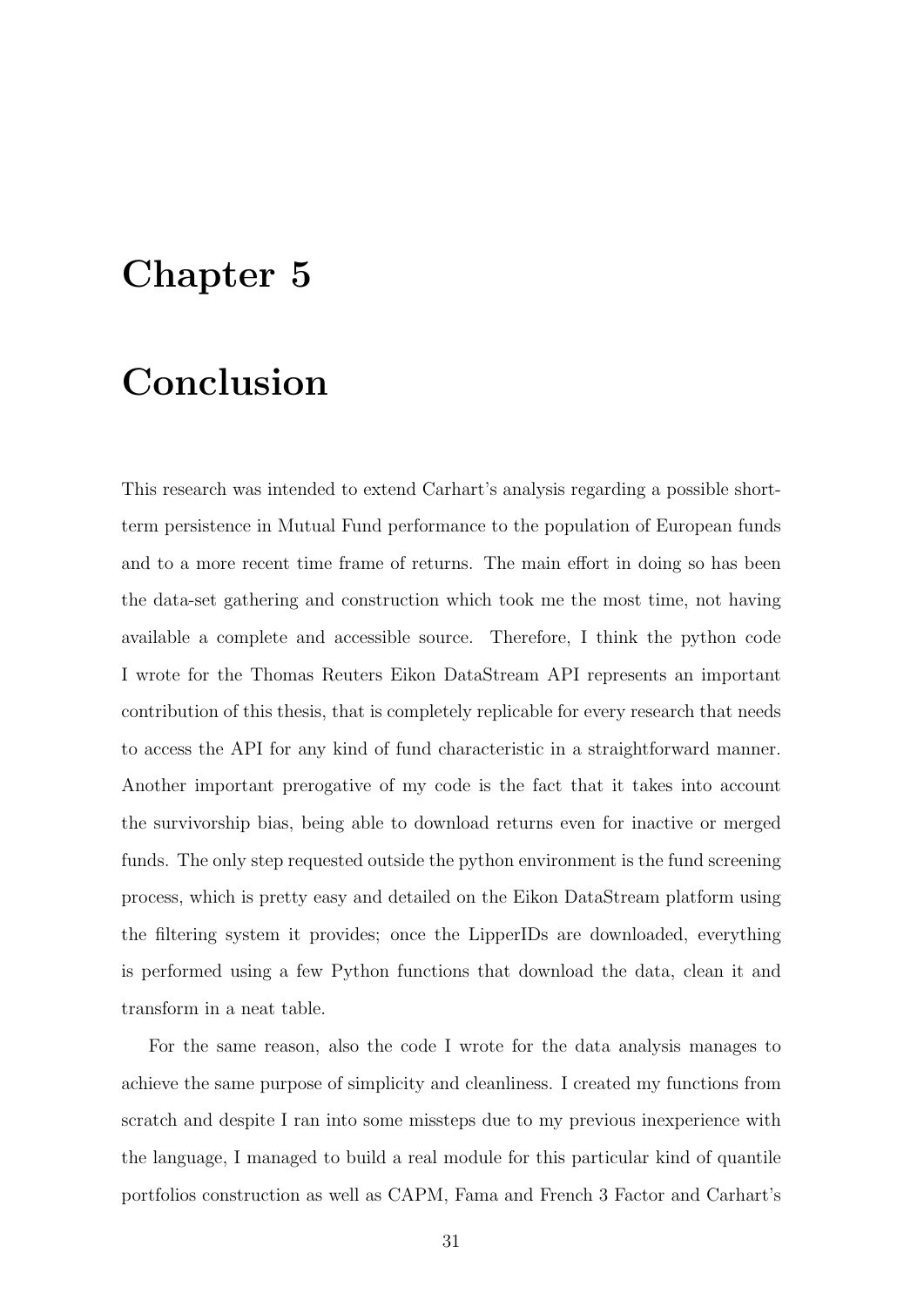### <span id="page-30-0"></span>Chapter 5

### Conclusion

This research was intended to extend Carhart's analysis regarding a possible shortterm persistence in Mutual Fund performance to the population of European funds and to a more recent time frame of returns. The main effort in doing so has been the data-set gathering and construction which took me the most time, not having available a complete and accessible source. Therefore, I think the python code I wrote for the Thomas Reuters Eikon DataStream API represents an important contribution of this thesis, that is completely replicable for every research that needs to access the API for any kind of fund characteristic in a straightforward manner. Another important prerogative of my code is the fact that it takes into account the survivorship bias, being able to download returns even for inactive or merged funds. The only step requested outside the python environment is the fund screening process, which is pretty easy and detailed on the Eikon DataStream platform using the filtering system it provides; once the LipperIDs are downloaded, everything is performed using a few Python functions that download the data, clean it and transform in a neat table.

For the same reason, also the code I wrote for the data analysis manages to achieve the same purpose of simplicity and cleanliness. I created my functions from scratch and despite I ran into some missteps due to my previous inexperience with the language, I managed to build a real module for this particular kind of quantile portfolios construction as well as CAPM, Fama and French 3 Factor and Carhart's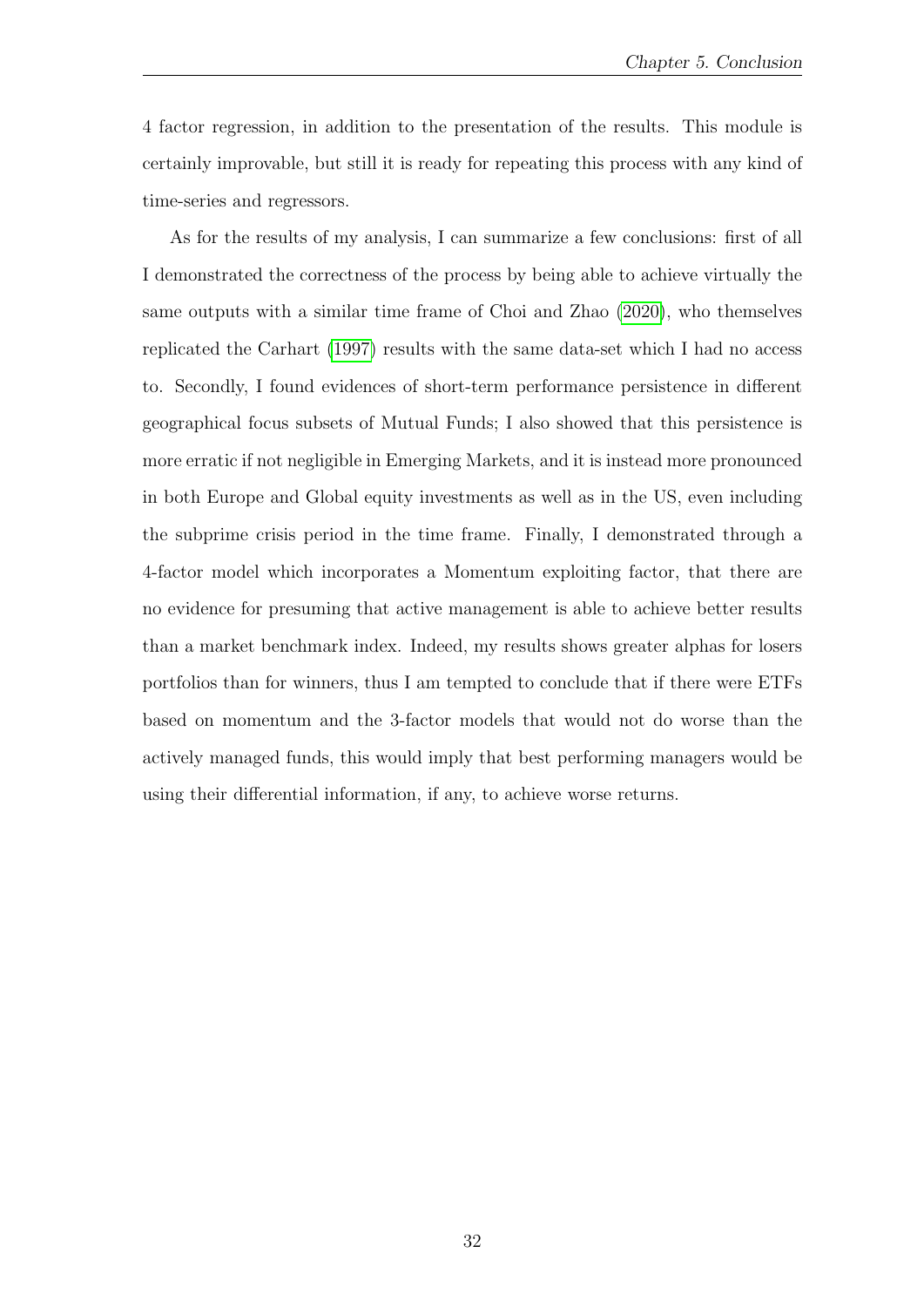4 factor regression, in addition to the presentation of the results. This module is certainly improvable, but still it is ready for repeating this process with any kind of time-series and regressors.

As for the results of my analysis, I can summarize a few conclusions: first of all I demonstrated the correctness of the process by being able to achieve virtually the same outputs with a similar time frame of Choi and Zhao [\(2020\)](#page-32-11), who themselves replicated the Carhart [\(1997\)](#page-32-1) results with the same data-set which I had no access to. Secondly, I found evidences of short-term performance persistence in different geographical focus subsets of Mutual Funds; I also showed that this persistence is more erratic if not negligible in Emerging Markets, and it is instead more pronounced in both Europe and Global equity investments as well as in the US, even including the subprime crisis period in the time frame. Finally, I demonstrated through a 4-factor model which incorporates a Momentum exploiting factor, that there are no evidence for presuming that active management is able to achieve better results than a market benchmark index. Indeed, my results shows greater alphas for losers portfolios than for winners, thus I am tempted to conclude that if there were ETFs based on momentum and the 3-factor models that would not do worse than the actively managed funds, this would imply that best performing managers would be using their differential information, if any, to achieve worse returns.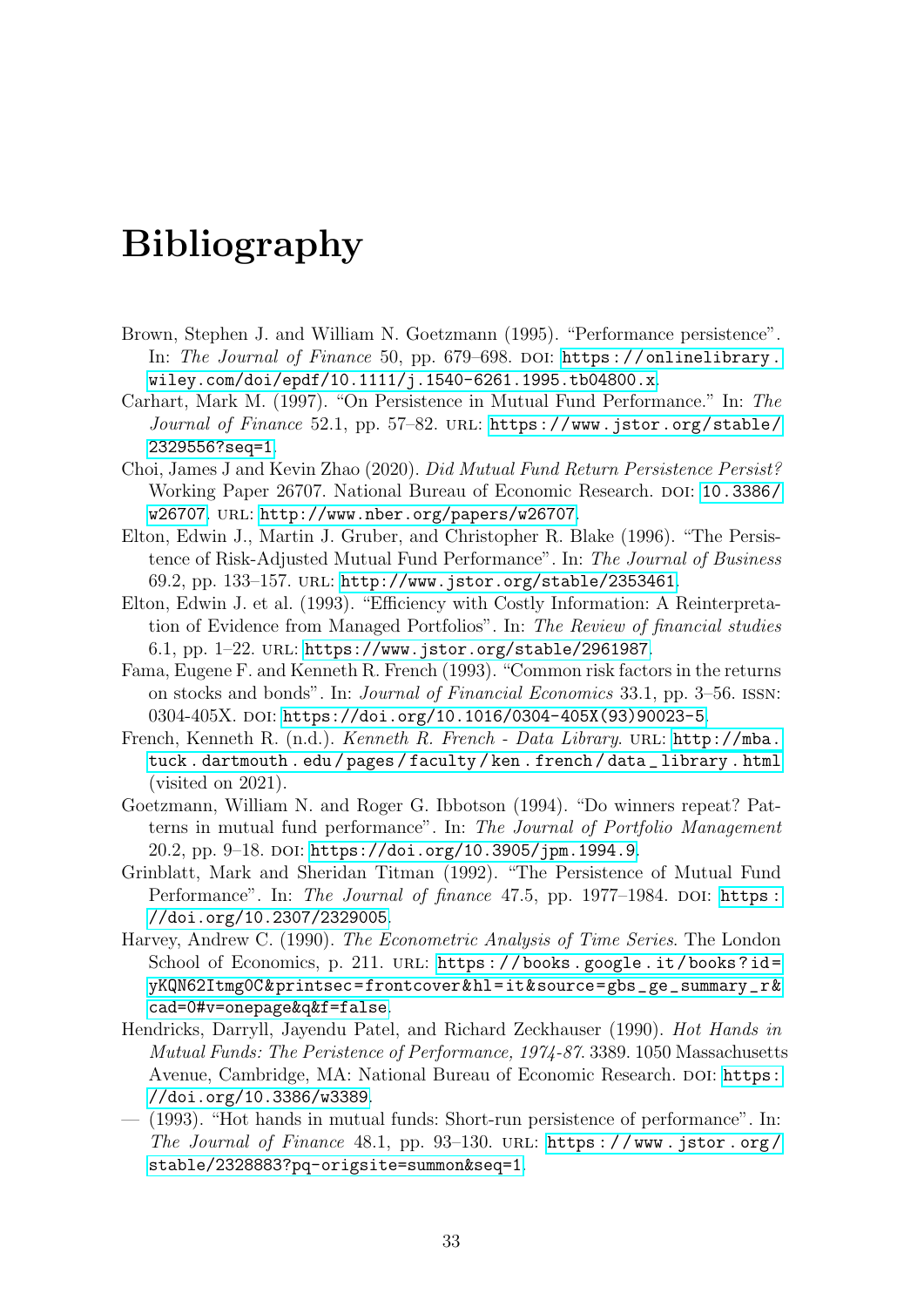## Bibliography

- <span id="page-32-3"></span>Brown, Stephen J. and William N. Goetzmann (1995). "Performance persistence". In: The Journal of Finance 50, pp. 679-698. DOI: [https://onlinelibrary.](https://doi.org/https://onlinelibrary.wiley.com/doi/epdf/10.1111/j.1540-6261.1995.tb04800.x) [wiley.com/doi/epdf/10.1111/j.1540-6261.1995.tb04800.x](https://doi.org/https://onlinelibrary.wiley.com/doi/epdf/10.1111/j.1540-6261.1995.tb04800.x).
- <span id="page-32-1"></span>Carhart, Mark M. (1997). "On Persistence in Mutual Fund Performance." In: The Journal of Finance 52.1, pp. 57–82. URL: [https://www.jstor.org/stable/](https://www.jstor.org/stable/2329556?seq=1) [2329556?seq=1](https://www.jstor.org/stable/2329556?seq=1).
- <span id="page-32-11"></span>Choi, James J and Kevin Zhao (2020). Did Mutual Fund Return Persistence Persist? Working Paper 26707. National Bureau of Economic Research. poi: [10.3386/](https://doi.org/10.3386/w26707) [w26707](https://doi.org/10.3386/w26707). url: <http://www.nber.org/papers/w26707>.
- <span id="page-32-6"></span>Elton, Edwin J., Martin J. Gruber, and Christopher R. Blake (1996). "The Persistence of Risk-Adjusted Mutual Fund Performance". In: The Journal of Business 69.2, pp. 133–157. url: <http://www.jstor.org/stable/2353461>.
- <span id="page-32-5"></span>Elton, Edwin J. et al. (1993). "Efficiency with Costly Information: A Reinterpretation of Evidence from Managed Portfolios". In: The Review of financial studies 6.1, pp. 1–22. url: <https://www.jstor.org/stable/2961987>.
- <span id="page-32-9"></span>Fama, Eugene F. and Kenneth R. French (1993). "Common risk factors in the returns on stocks and bonds". In: Journal of Financial Economics 33.1, pp. 3–56. issn: 0304-405X. DOI: [https://doi.org/10.1016/0304-405X\(93\)90023-5](https://doi.org/https://doi.org/10.1016/0304-405X(93)90023-5).
- <span id="page-32-10"></span>French, Kenneth R. (n.d.). Kenneth R. French - Data Library. URL: [http://mba.](http://mba.tuck.dartmouth.edu/pages/faculty/ken.french/data_library.html) [tuck . dartmouth . edu / pages / faculty / ken . french / data \\_ library . html](http://mba.tuck.dartmouth.edu/pages/faculty/ken.french/data_library.html) (visited on 2021).
- <span id="page-32-2"></span>Goetzmann, William N. and Roger G. Ibbotson (1994). "Do winners repeat? Patterns in mutual fund performance". In: The Journal of Portfolio Management 20.2, pp. 9–18. doi: [https://doi.org/10.3905/jpm.1994.9](https://doi.org/https://doi.org/10.3905/jpm.1994.9).
- <span id="page-32-4"></span>Grinblatt, Mark and Sheridan Titman (1992). "The Persistence of Mutual Fund Performance". In: The Journal of finance 47.5, pp. 1977-1984. DOI: https: [//doi.org/10.2307/2329005](https://doi.org/https://doi.org/10.2307/2329005).
- <span id="page-32-7"></span>Harvey, Andrew C. (1990). The Econometric Analysis of Time Series. The London School of Economics, p. 211. URL: https://books.google.it/books?id= [yKQN62Itmg0C&printsec=frontcover&hl=it&source=gbs\\_ge\\_summary\\_r&](https://books.google.it/books?id=yKQN62Itmg0C&printsec=frontcover&hl=it&source=gbs_ge_summary_r&cad=0#v=onepage&q&f=false) [cad=0#v=onepage&q&f=false](https://books.google.it/books?id=yKQN62Itmg0C&printsec=frontcover&hl=it&source=gbs_ge_summary_r&cad=0#v=onepage&q&f=false).
- <span id="page-32-0"></span>Hendricks, Darryll, Jayendu Patel, and Richard Zeckhauser (1990). Hot Hands in Mutual Funds: The Peristence of Performance, 1974-87. 3389. 1050 Massachusetts Avenue, Cambridge, MA: National Bureau of Economic Research. DOI: [https:](https://doi.org/https://doi.org/10.3386/w3389) [//doi.org/10.3386/w3389](https://doi.org/https://doi.org/10.3386/w3389).
- <span id="page-32-8"></span>— (1993). "Hot hands in mutual funds: Short-run persistence of performance". In: The Journal of Finance  $48.1$ , pp.  $93-130$ . URL: https://www.jstor.org/ [stable/2328883?pq-origsite=summon&seq=1](https://www.jstor.org/stable/2328883?pq-origsite=summon&seq=1).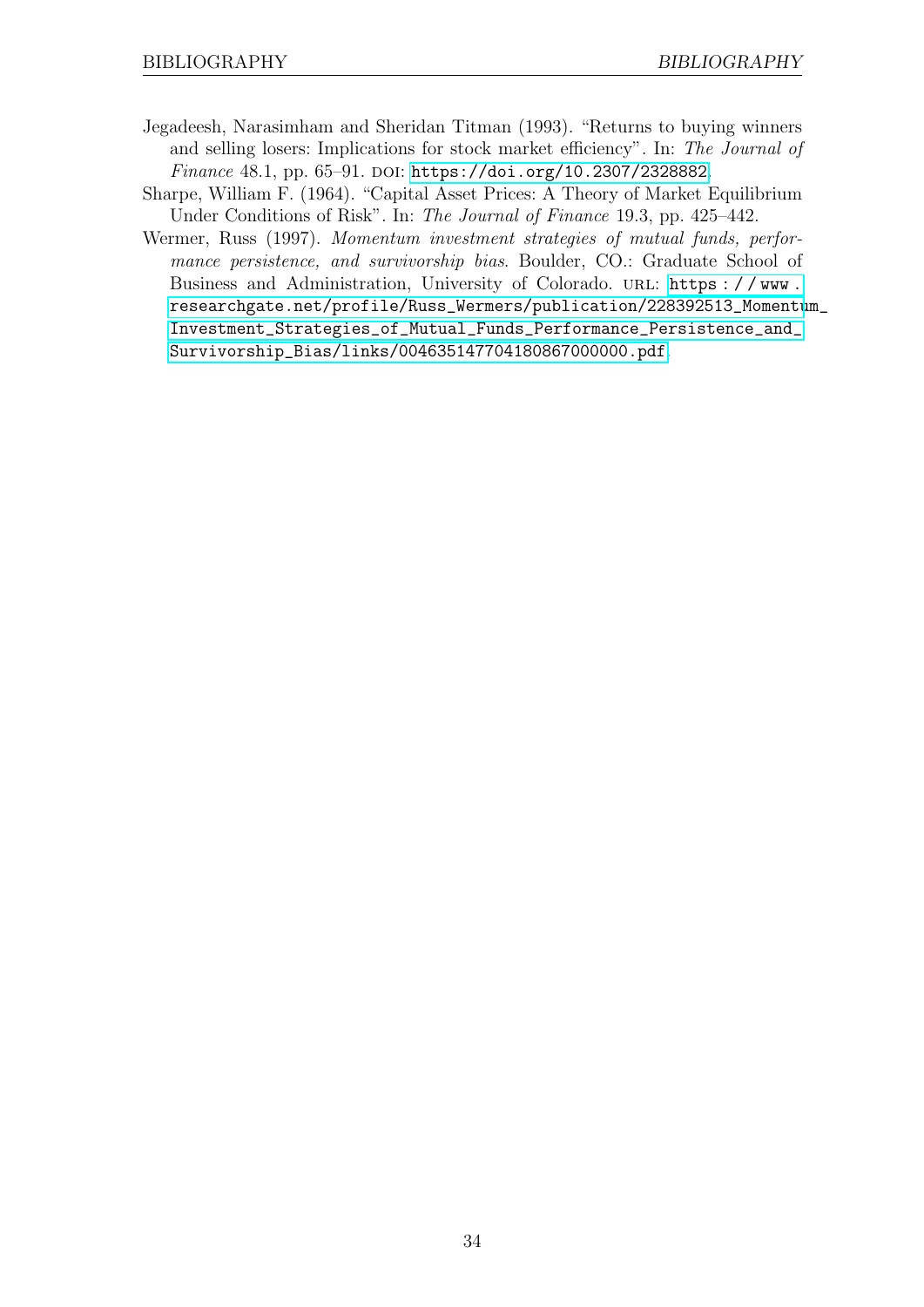- <span id="page-33-1"></span>Jegadeesh, Narasimham and Sheridan Titman (1993). "Returns to buying winners and selling losers: Implications for stock market efficiency". In: The Journal of Finance 48.1, pp. 65-91. DOI: [https://doi.org/10.2307/2328882](https://doi.org/https://doi.org/10.2307/2328882).
- <span id="page-33-2"></span>Sharpe, William F. (1964). "Capital Asset Prices: A Theory of Market Equilibrium Under Conditions of Risk". In: The Journal of Finance 19.3, pp. 425–442.
- <span id="page-33-0"></span>Wermer, Russ (1997). Momentum investment strategies of mutual funds, performance persistence, and survivorship bias. Boulder, CO.: Graduate School of Business and Administration, University of Colorado. URL: https://www. [researchgate.net/profile/Russ\\_Wermers/publication/228392513\\_Momentu](https://www.researchgate.net/profile/Russ_Wermers/publication/228392513_Momentum_Investment_Strategies_of_Mutual_Funds_Performance_Persistence_and_Survivorship_Bias/links/004635147704180867000000.pdf)m\_ [Investment\\_Strategies\\_of\\_Mutual\\_Funds\\_Performance\\_Persistence\\_and\\_](https://www.researchgate.net/profile/Russ_Wermers/publication/228392513_Momentum_Investment_Strategies_of_Mutual_Funds_Performance_Persistence_and_Survivorship_Bias/links/004635147704180867000000.pdf) [Survivorship\\_Bias/links/004635147704180867000000.pdf](https://www.researchgate.net/profile/Russ_Wermers/publication/228392513_Momentum_Investment_Strategies_of_Mutual_Funds_Performance_Persistence_and_Survivorship_Bias/links/004635147704180867000000.pdf).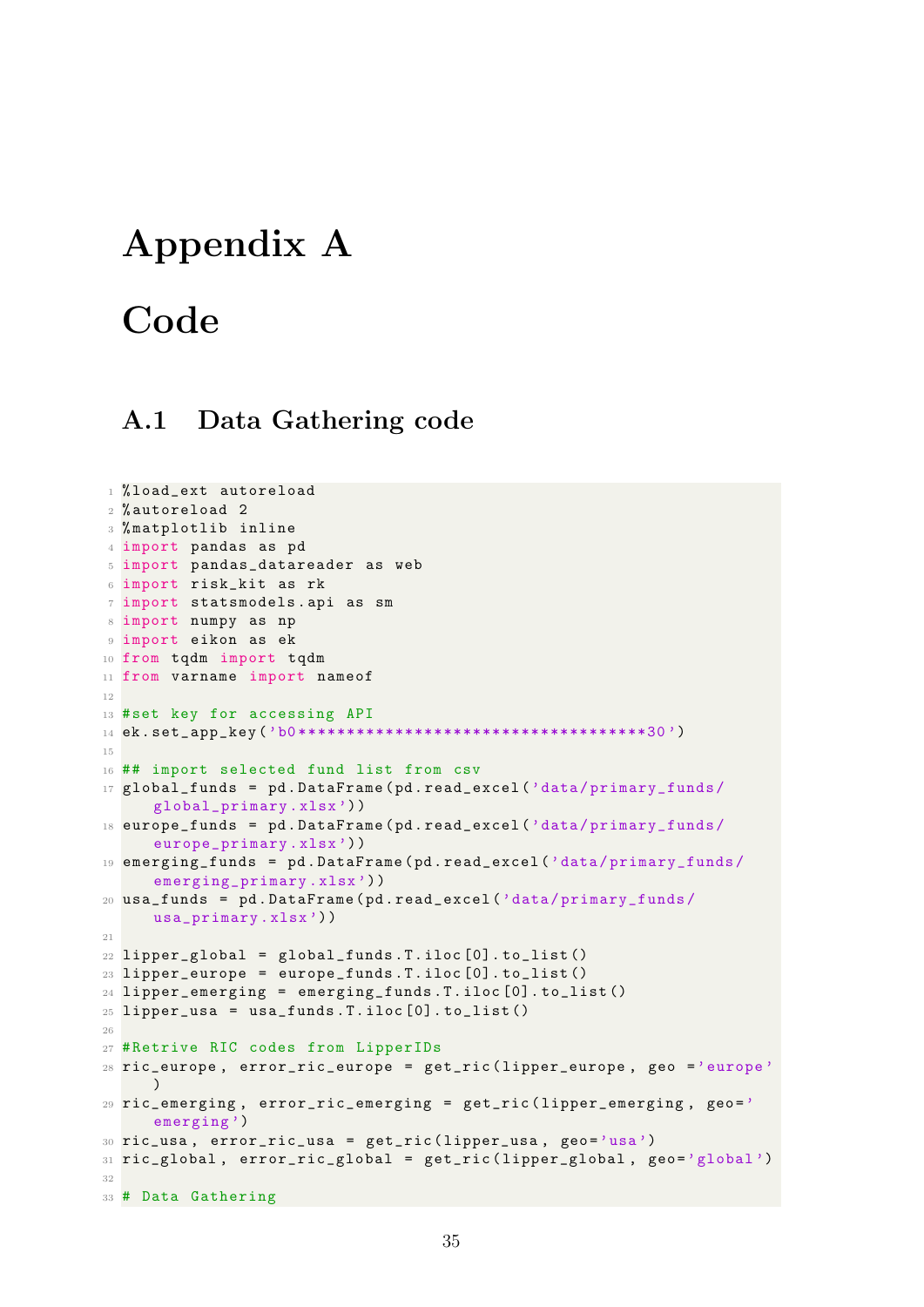### <span id="page-34-0"></span>Appendix A

# **Code**

### <span id="page-34-1"></span>A.1 Data Gathering code

```
1 % load_ext autoreload
2 % autoreload 2
3 % matplotlib inline
4 import pandas as pd
5 import pandas_datareader as web
6 import risk_kit as rk
7 import statsmodels . api as sm
8 import numpy as np
9 import eikon as ek
10 from tqdm import tqdm
11 from varname import nameof
12
13 #set key for accessing API
14 ek . set_app_key ('b0 ************************************30 ')
15
16 ## import selected fund list from csv
17 global_funds = pd.DataFrame (pd.read_excel ('data/primary_funds/
     global_primary . xlsx ') )
18 europe_funds = pd . DataFrame ( pd . read_excel ('data / primary_funds /
     europe_primary . xlsx ') )
19 emerging_funds = pd . DataFrame ( pd . read_excel ('data / primary_funds /
     emerging_primary.xlsx'))
20 usa_funds = pd . DataFrame ( pd . read_excel ('data / primary_funds /
     usa_primary . xlsx ') )
21
22 lipper_global = global_funds. T.iloc[0]. to_list()
23 lipper_europe = europe_funds. T.iloc[0]. to_list()
24 lipper_emerging = emerging_funds . T . iloc [0]. to_list ()
25 lipper_usa = usa_funds. T.iloc[0]. to_list()
26
27 # Retrive RIC codes from LipperIDs
28 ric_europe , error_ric_europe = get_ric ( lipper_europe , geo ='europe '
     \lambda29 ric_emerging, error_ric_emerging = get_ric (lipper_emerging, geo='
     emerging')
30 ric_usa , error_ric_usa = get_ric ( lipper_usa , geo ='usa ')
31 ric_global, error_ric_global = get_ric (lipper_global, geo='global')
32
33 # Data Gathering
```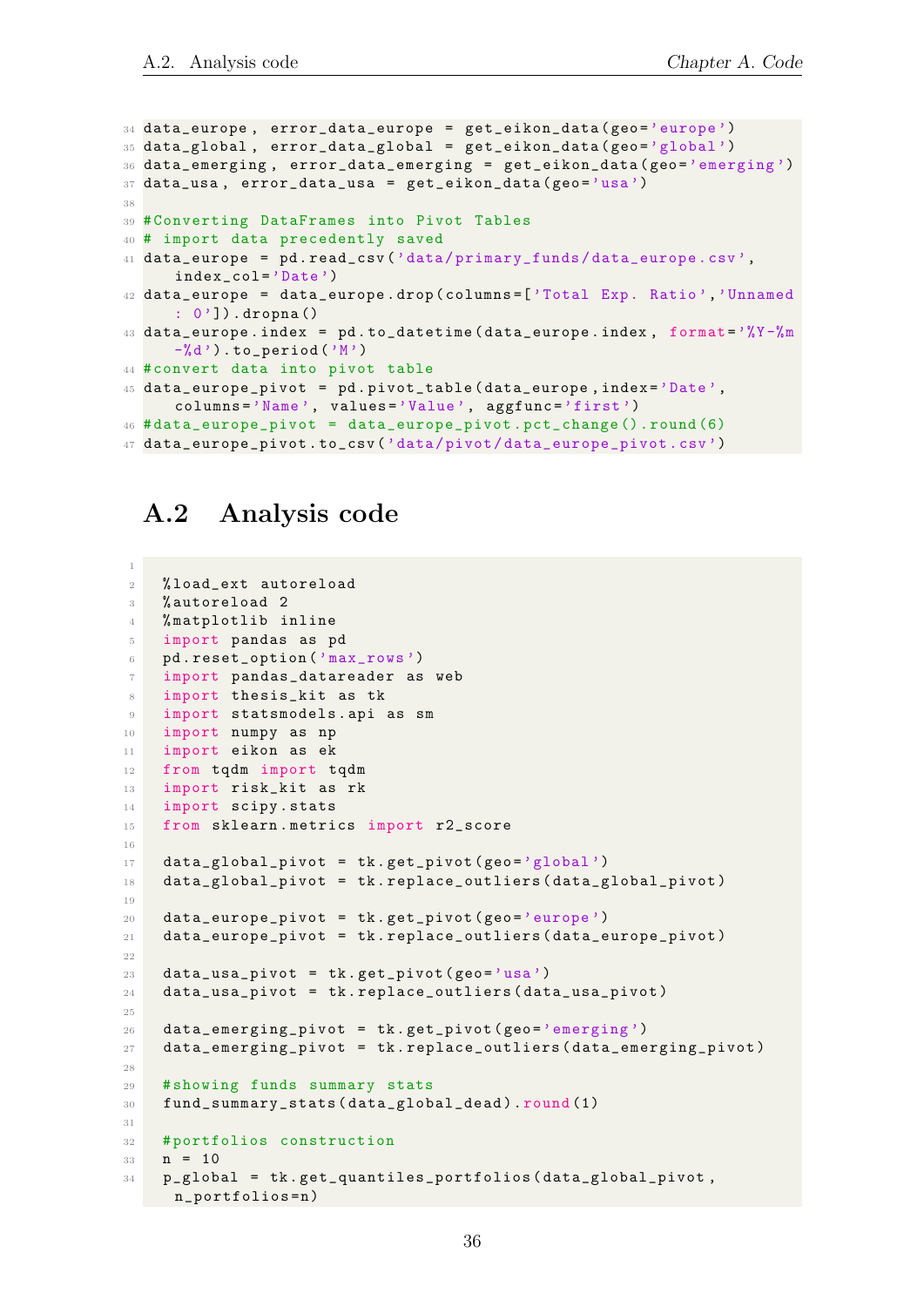```
34 data_europe, error_data_europe = get_eikon_data (geo='europe')
35 data_global , error_data_global = get_eikon_data ( geo ='global ')
36 data_emerging, error_data_emerging = get_eikon_data (geo='emerging')
37 data_usa, error_data_usa = get_eikon_data (geo='usa')
38
39 # Converting DataFrames into Pivot Tables
40 # import data precedently saved
41 data_europe = pd . read_csv ('data / primary_funds / data_europe . csv ',
     index_col ='Date ')
42 data_europe = data_europe . drop ( columns =[ 'Total Exp. Ratio ','Unnamed
     : 0']).dropna()
43 data_europe.index = pd. to_datetime (data_europe.index, format='%Y-%m
     -\%d').to_period('M')
44 # convert data into pivot table
45 data_europe_pivot = pd . pivot_table ( data_europe , index ='Date ',
     columns ='Name ', values ='Value ', aggfunc ='first ')
46 # data_europe_pivot = data_europe_pivot . pct_change (). round (6)
47 data_europe_pivot . to_csv ('data / pivot / data_europe_pivot . csv ')
```
### <span id="page-35-0"></span>A.2 Analysis code

```
2 % load_ext autoreload
3 % autoreload 2
4 % matplotlib inline
5 import pandas as pd
6 pd . reset_option ('max_rows ')
7 import pandas_datareader as web
8 import thesis_kit as tk
9 import statsmodels. api as sm
10 import numpy as np
11 import eikon as ek
12 from tqdm import tqdm
13 import risk_kit as rk
14 import scipy . stats
15 from sklearn . metrics import r2_score
16
17 data_global_pivot = tk.get_pivot (geo='global')
18 data_global_pivot = tk.replace_outliers (data_global_pivot)
19
20 data_europe_pivot = tk.get_pivot (geo='europe')
21 data_europe_pivot = tk . replace_outliers ( data_europe_pivot )
22
23 data_usa_pivot = tk.get_pivot (geo='usa')
24 data_usa_pivot = tk.replace_outliers (data_usa_pivot)
25
26 data_emerging_pivot = tk.get\_pivot(geo='emerging')27 data_emerging_pivot = tk . replace_outliers ( data_emerging_pivot )
28
29 # showing funds summary stats
30 fund_summary_stats ( data_global_dead ) . round (1)
31
32 # portfolios construction
33 \quad n = 1034 p_global = tk . get_quantiles_portfolios ( data_global_pivot ,
   n_portfolios = n )
```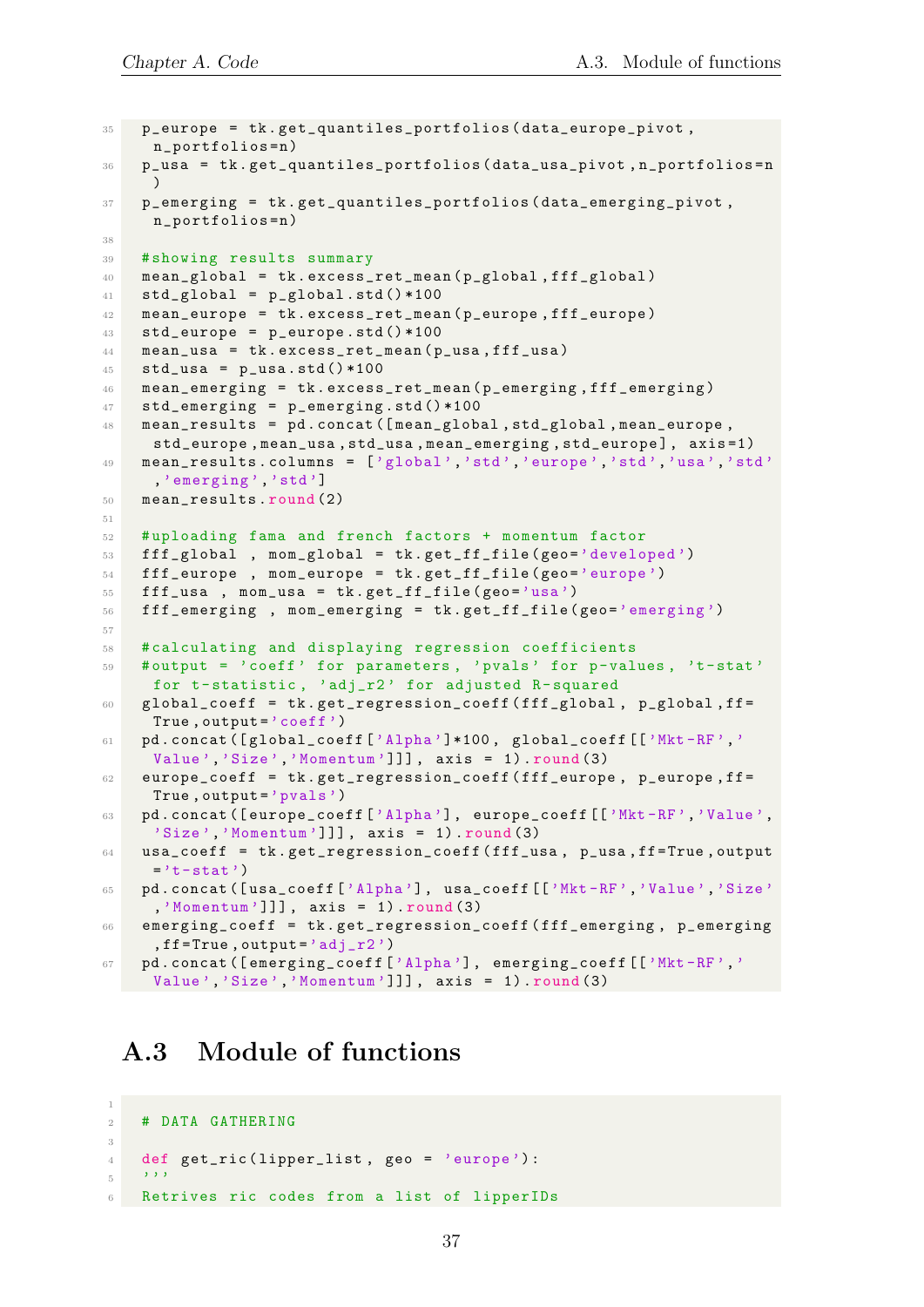```
35 p_europe = tk . get_quantiles_portfolios ( data_europe_pivot ,
     n_portfolios = n )
36 p_usa = tk . get_quantiles_portfolios ( data_usa_pivot , n_portfolios = n
     )
37 p_emerging = tk . get_quantiles_portfolios ( data_emerging_pivot ,
     n_portfolios = n )
38
39 # showing results summary
40 mean_global = tk . excess_ret_mean ( p_global , fff_global )
41 std_global = p_global.std() * 10042 mean_europe = tk . excess_ret_mean ( p_europe , fff_europe )
43 std_europe = p_europe . std () *100
44 mean_usa = tk . excess_ret_mean ( p_usa , fff_usa )
45 std_ussa = p_ussa.std() * 10046 mean_emerging = tk . excess_ret_mean ( p_emerging , fff_emerging )
47 std_emerging = p_emerging . std () *100
48 mean_results = pd . concat ([ mean_global , std_global , mean_europe ,
     std_europe , mean_usa , std_usa , mean_emerging , std_europe ] , axis =1)
49 mean_results.columns = ['global','std','europe','std','usa','std'
     ,'emerging ','std ']
50 mean_results . round (2)
51
52 # uploading fama and french factors + momentum factor
53 fff_global , mom_global = tk.get_ff_file(geo='developed')
54 fff_europe , mom_europe = tk . get_ff_file ( geo ='europe ')
55 fff_usa, mom_usa = tk.get_ff_file(geo='usa')
56 fff_emerging , mom_emerging = tk . get_ff_file ( geo ='emerging ')
57
58 # calculating and displaying regression coefficients
59 # output = 'coeff ' for parameters , 'pvals ' for p-values , 't- stat '
     for t-statistic, 'adj_r2' for adjusted R-squared
60 global_coeff = tk . get_regression_coeff ( fff_global , p_global , ff =
     True, output='coeff')
61 pd . concat ([global_coeff ['Alpha']*100, global_coeff [['Mkt-RF','
     Value','Size','Momentum']]], axis = 1).round(3)
62 europe_coeff = tk . get_regression_coeff ( fff_europe , p_europe , ff =
     True, output = 'pvals')
63 pd . concat ([europe_coeff ['Alpha'], europe_coeff [['Mkt-RF','Value',
     'Size ','Momentum ']]] , axis = 1) . round (3)
64 usa_coeff = tk . get_regression_coeff ( fff_usa , p_usa , ff = True , output
     ='t-stat')
65 pd . concat ([ usa_coeff ['Alpha '] , usa_coeff [[ 'Mkt -RF ','Value ','Size '
     ,'Momentum ']]] , axis = 1) . round (3)
66 emerging_coeff = tk . get_regression_coeff ( fff_emerging , p_emerging
     , ff = True, output = 'adj_T2')
67 pd. concat ([emerging_coeff ['Alpha'], emerging_coeff [['Mkt-RF','
     Value','Size','Momentum']]], axis = 1).round (3)
```
#### <span id="page-36-0"></span>A.3 Module of functions

1

```
2 # DATA GATHERING
3
4 def get_ric (lipper_list, geo = 'europe'):
5 \qquad \qquad '''
   Retrives ric codes from a list of lipperIDs
```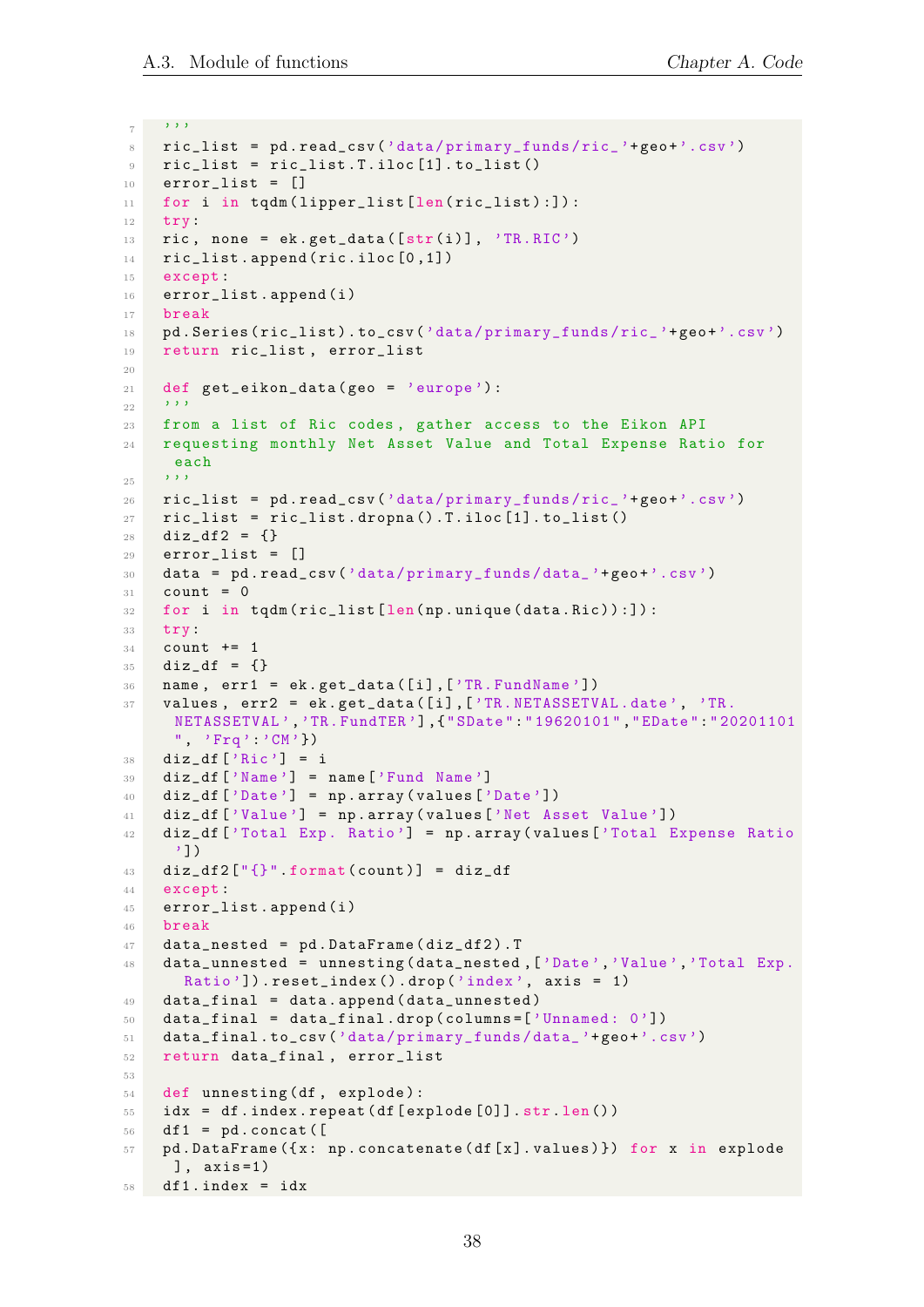```
7 ''''
8 ric_list = pd . read_csv ('data / primary_funds / ric_ '+ geo +'. csv ')
9 ric_list = ric_list. T. iloc[1]. to_list()
10 error_list = []
11 for i in tqdm (lipper_list [len(ric_list):]):
12 try:
13 ric, none = ek.get_data([str(i)], 'TR.RIC')
14 ric_list.append (ric.iloc [0,1])
15 except :
16 error_list.append(i)
17 break
18 pd . Series (ric_list) . to_csv ('data/primary_funds/ric_'+geo+'.csv')
19 return ric_list , error_list
20
21 def get_eikon_data (geo = 'europe'):
22 \cdot 7223 from a list of Ric codes , gather access to the Eikon API
24 requesting monthly Net Asset Value and Total Expense Ratio for
     each
25 '''''
26 ric_list = pd . read_csv ('data / primary_funds / ric_ '+ geo +'. csv ')
27 ric_list = ric_list.dropna().T.iloc[1].to_list()
28 \text{diz}_df2 = {}29 error_list = []
30 data = pd . read_csv ('data / primary_funds / data_ '+ geo +'.csv ')
31 count = 0
32 for i in tqdm (ric_list [len(np.unique(data.Ric)):]):
33 try:
34 count += 1
35 diz_df = {}
36 name, err1 = ek.get_data([i],['TR.FundName'])
37 values, err2 = ek.get_data([i],['TR.NETASSETVAL.date', 'TR.
     NETASSETVAL ','TR. FundTER '] ,{" SDate ":" 19620101 "," EDate ":" 20201101
     ", 'Frq''' CM' })
38 diz_df ['Ric'] = i
39 diz_df ['Name '] = name ['Fund Name ']
40 diz_df ['Date'] = np.array(values ['Date']41 diz_df ['Value '] = np . array ( values ['Net Asset Value '])
42 diz_df ['Total Exp. Ratio'] = np.array (values ['Total Expense Ratio
     '])
43 diz_df2 ["\{\}" format (count)] = diz_df
44 except :
45 error_list.append(i)
46 break
47 data_nested = pd . DataFrame ( diz_df2 ) . T
48 data unnested = unnesting (data nested , ['Date', 'Value', 'Total Exp.
      Ratio']).reset_index().drop('index', axis = 1)
49 data_final = data . append ( data_unnested )
50 data_final = data_final.drop(columns=['Unnamed: 0'])
51 data_final . to_csv('data/primary_funds/data_'+geo+'.csv')
52 return data_final , error_list
53
54 def unnesting (df, explode):
55 idx = df . index . repeat ( df [ explode [0]]. str.len () )
56 df1 = pd. concat ([
57 pd . DataFrame ({ x : np . concatenate ( df [ x ]. values ) }) for x in explode
     ], axis=1)58 df1. index = idx
```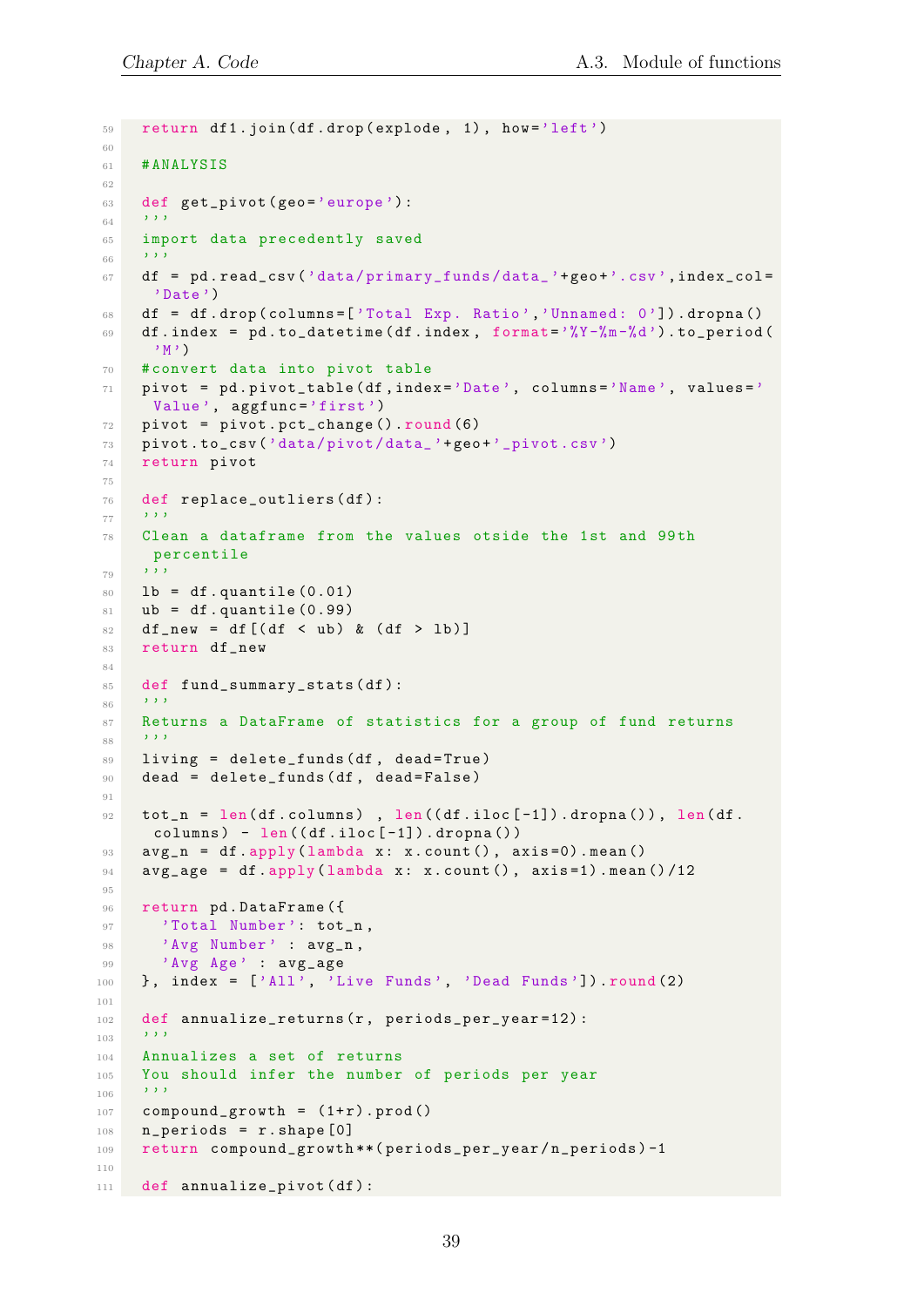```
59 return df1.join(df.drop(explode, 1), how='left')
60
61 # ANALYSIS
62
63 def get_pivot (geo='europe'):
6465 import data precedently saved
66 ''''
67 df = pd.read_csv('data/primary_funds/data_'+geo+'.csv',index_col=
     'Date')
68 df = df.drop(columns=['Total Exp. Ratio','Unnamed: 0']).dropna()
69 df.index = pd.to_datetime (df.index, format=\sqrt[9]{Y-\frac{9}{9}m-\frac{9}{9}d}).to_period (
      'M')
70 # convert data into pivot table
71 pivot = pd . pivot_table ( df , index ='Date ', columns ='Name ', values ='
     Value', aggfunc='first')
72 pivot = pivot.pct_change().round(6)
73 pivot . to_csv ('data / pivot / data_ '+ geo +'_pivot .csv ')
74 return pivot
75
76 def replace_outliers ( df ) :
77 ''''
78 Clean a dataframe from the values otside the 1st and 99th
     percentile
79 '''
80 lb = df.quantile (0.01)81 ub = df. quantile (0.99)82 df_new = df [(df < ub) & (df > lb)]
83 return df_new
84
85 def fund_summary_stats(df):
86 ''''
87 Returns a DataFrame of statistics for a group of fund returns
88 ''''
89 living = delete_funds (df, dead=True)
90 dead = delete_funds (df, dead=False)
91
92 tot_n = len(df.columns), len((df.iloc[-1]).dropna()), len(df.
     columns) - len((df.iloc[-1]).dropna())93 avg_n = df . apply (lambda x: x. count (), axis=0) . mean ()
94 avg_age = df. apply (lambda x: x. count (), axis=1). mean ()/12
95
96 return pd. DataFrame ({
97 'Total Number': tot_n,
98 'Avg Number' : avg_n,
99 'Avg Age' : avg age
100 }, index = ['All', 'Live Funds', 'Dead Funds']). round (2)
101
102 def annualize_returns (r, periods_per_year=12):
103 ''''
104 Annualizes a set of returns
105 You should infer the number of periods per year
106 ''''
107 compound_growth = (1+r).prod()
108 n_periods = r.shape [0]109 return compound_growth **( periods_per_year / n_periods ) -1
110
111 def annualize_pivot(df):
```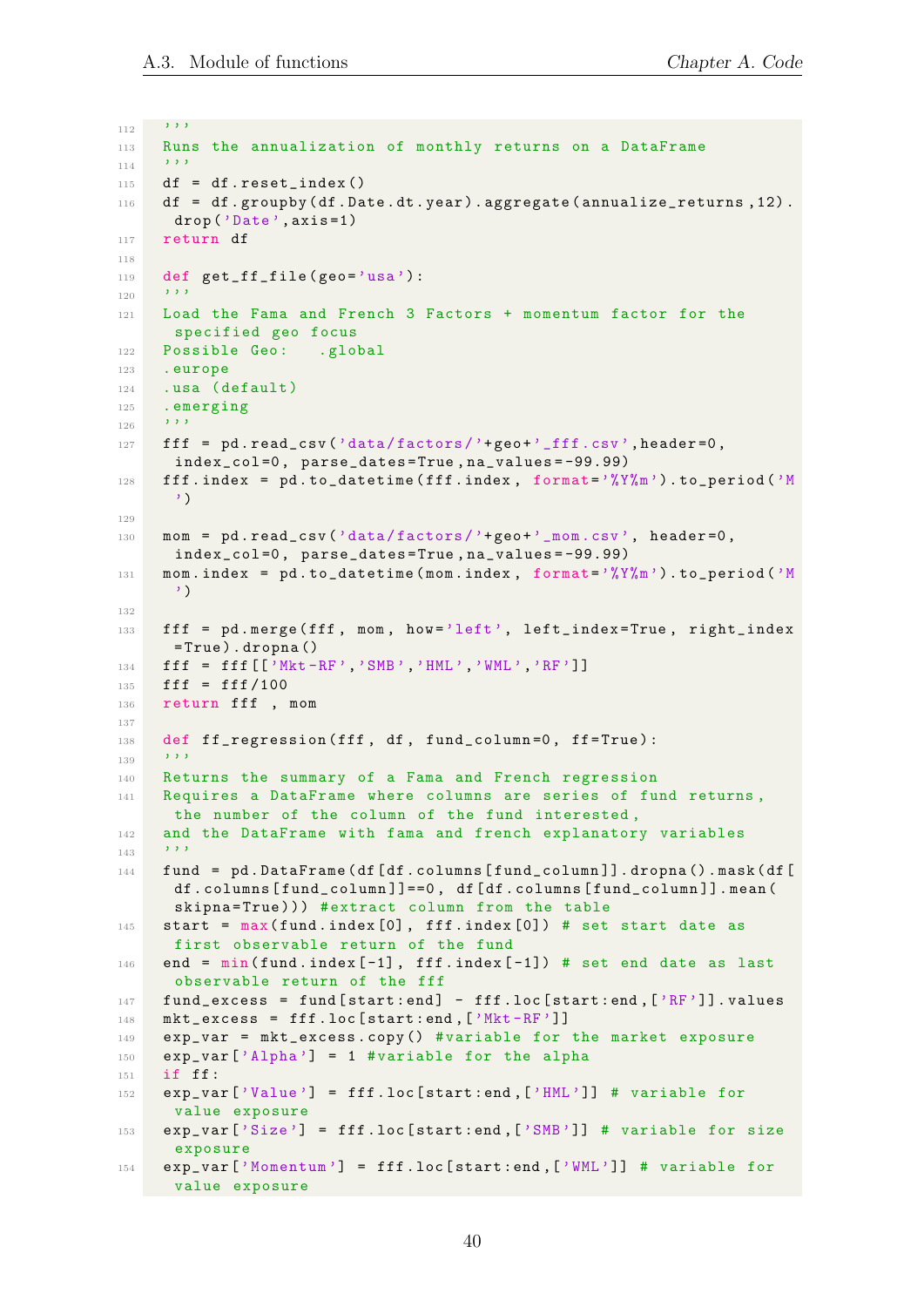$112$  ''''

```
113 Runs the annualization of monthly returns on a DataFrame
114 '''''
115 df = df.reset_index()
116 df = df.groupby (df.Date.dt.year).aggregate (annualize_returns, 12).
     drop ('Date ', axis =1)
117 return df
118
119 def get_ff_file ( geo = 'usa ') :
_{120} ''''
121 Load the Fama and French 3 Factors + momentum factor for the
     specified geo focus
122 Possible Geo: .global
123 . europe
124 .usa (default)
125 . emerging
126 '''
127 fff = pd.read_csv('data/factors')+geo' - fff.csv', header =0,
      index_col =0 , parse_dates = True , na_values = -99.99)
128 fff.index = pd.to_datetime (fff.index, format=\gamma''(Y''(m)).to_period (\gammaM)
      ')
129
130 mom = pd.read_csv('data/factors/'+geo+'_mom.csv', header=0,
      index_col =0 , parse_dates = True , na_values = -99.99)
131 mom.index = pd. to_datetime (mom.index, format=\gamma''(Y\gamma_{m})).to_period (\gammaM
      ')
132
133 fff = pd . merge ( fff , mom , how ='left ', left_index = True , right_index
      = True ) . dropna ()
134 fff = fff [ ' Mkt -RF', ' SMB', ' HML', ' WML', ' RF' ]]
135 fff = fff/100
136 return fff , mom
137
138 def ff_regression (fff, df, fund_column=0, ff=True):
139 '''
140 Returns the summary of a Fama and French regression
141 Requires a DataFrame where columns are series of fund returns ,
     the number of the column of the fund interested ,
142 and the DataFrame with fama and french explanatory variables
143 ''''
144 fund = pd . DataFrame ( df [ df . columns [ fund_column ]]. dropna () . mask ( df [
      df.columns [fund_column]]==0, df [df.columns [fund_column]].mean (
      skipna=True))) #extract column from the table
145 start = max( fund . index [0] , fff . index [0]) # set start date as
     first observable return of the fund
146 end = min(fund.index[-1], ff.findex[-1]) # set end date as last
      observable return of the fff
147 fund_excess = fund [start:end] - fff.loc [start:end, ['RF']]. values
148 mkt_eexcess = fff.loc[start:end,['Mkt-RF']]149 exp_var = mkt_excess . copy () # variable for the market exposure
150 exp_var ['Alpha'] = 1 #variable for the alpha
151 if ff :
152 exp_var ['Value'] = fff.loc [start:end, ['HML']] # variable for
     value exposure
153 exp_var['Size'] = fff.loc[start:end,['SMB']] # variable for size
      exposure
154 exp_var ['Momentum '] = fff . loc [ start : end ,[ 'WML ']] # variable for
     value exposure
```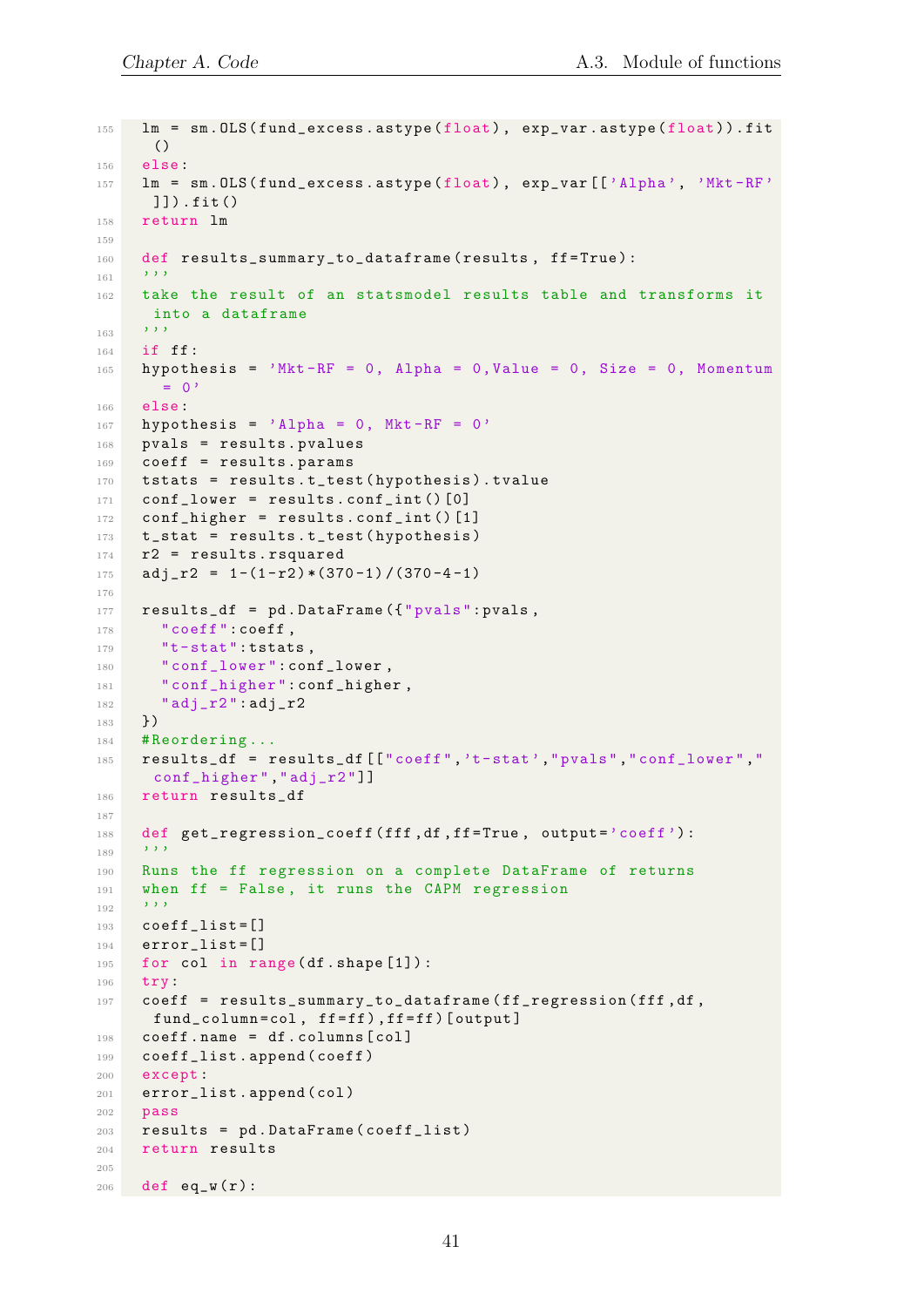```
155 lm = sm . OLS ( fund_excess . astype ( float ) , exp_var . astype ( float ) ) . fit
      ()
156 else :
157 lm = sm. OLS (fund_excess.astype (float), exp_var [['Alpha', 'Mkt-RF'
     ]]) . fit ()
158 return lm
159
160 def results_summary_to_dataframe (results, ff=True):
161 '''
162 take the result of an statsmodel results table and transforms it
     into a dataframe
163 ''''
164 if ff:
165 hypothesis = 'Mkt-RF = 0, Alpha = 0, Value = 0, Size = 0, Momentum
       = 0'166 else :
167 hypothesis = 'Alpha = 0, Mkt-RF = 0'
168 pvals = results . pvalues
169 coeff = results . params
170 tstats = results . t_test ( hypothesis ) . tvalue
171 conf_lower = results.conf_int()[0]
172 conf_higher = results.conf_int()[1]
173 t_stat = results.t_test (hypothesis)
174 r2 = results.rsquared
175 adj_r2 = 1-(1-r2)*(370-1)/(370-4-1)176
177 results_df = pd. DataFrame ({"pvals": pvals,
178 " coeff" : coeff,
179 "t-stat": tstats,
180 " conf_lower": conf_lower,
181 " conf_higher": conf_higher,
182 " adj_r2 ": adj_r2
183 })
184 # Reordering ...
185 results_df = results_df [["coeff",'t-stat',"pvals","conf_lower","
     conf_higher "," adj_r2 "]]
186 return results_df
187
188 def get_regression_coeff (fff, df, ff=True, output='coeff'):
189 '''
190 Runs the ff regression on a complete DataFrame of returns
191 when ff = False, it runs the CAPM regression
192 '''
193 coeff_list = []
194 error list = []
195 for col in range (df. shape [1]):
196 try:
197 coeff = results_summary_to_dataframe (ff_regression (fff, df,
     fund_column = col , ff = ff ) , ff = ff ) [ output ]
198 coeff.name = df.columns [col]
199 coeff_list . append ( coeff )
200 except :
201 error_list . append ( col )
202 pass
203 results = pd . DataFrame ( coeff_list )
204 return results
205
206 def eq_w(r):
```